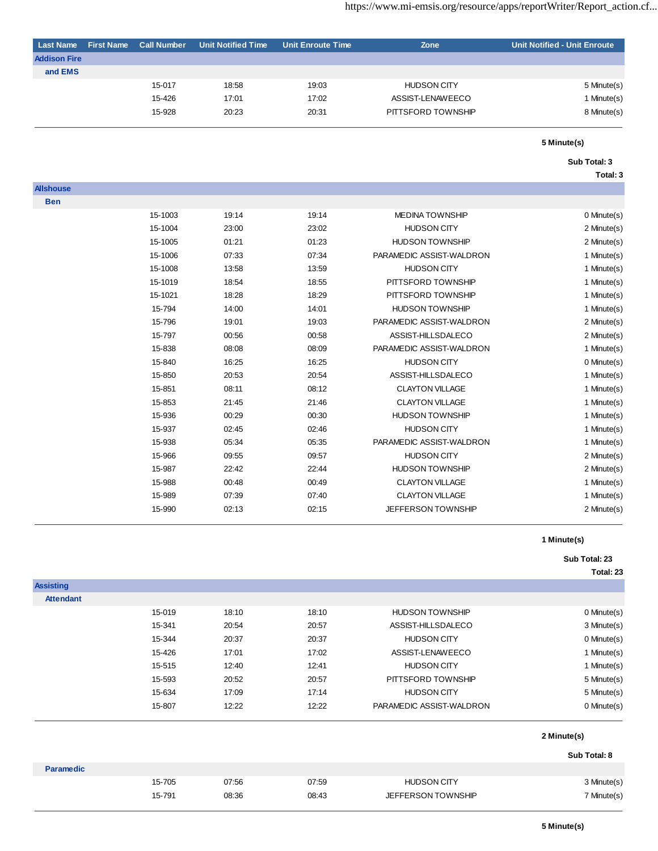| <b>Last Name</b>    | <b>First Name</b> | <b>Call Number</b> | <b>Unit Notified Time</b> | Unit Enroute Time | Zone               | <b>Unit Notified - Unit Enroute</b> |
|---------------------|-------------------|--------------------|---------------------------|-------------------|--------------------|-------------------------------------|
| <b>Addison Fire</b> |                   |                    |                           |                   |                    |                                     |
| and EMS             |                   |                    |                           |                   |                    |                                     |
|                     |                   | 15-017             | 18:58                     | 19:03             | <b>HUDSON CITY</b> | 5 Minute(s)                         |
|                     |                   | 15-426             | 17:01                     | 17:02             | ASSIST-LENAWEECO   | 1 Minute(s)                         |
|                     |                   | 15-928             | 20:23                     | 20:31             | PITTSFORD TOWNSHIP | 8 Minute(s)                         |
|                     |                   |                    |                           |                   |                    |                                     |

#### **Sub Total: 3**

**Total: 3**

| <b>Allshouse</b> |         |       |       |                          |             |
|------------------|---------|-------|-------|--------------------------|-------------|
| <b>Ben</b>       |         |       |       |                          |             |
|                  | 15-1003 | 19:14 | 19:14 | <b>MEDINA TOWNSHIP</b>   | 0 Minute(s) |
|                  | 15-1004 | 23:00 | 23:02 | <b>HUDSON CITY</b>       | 2 Minute(s) |
|                  | 15-1005 | 01:21 | 01:23 | <b>HUDSON TOWNSHIP</b>   | 2 Minute(s) |
|                  | 15-1006 | 07:33 | 07:34 | PARAMEDIC ASSIST-WALDRON | 1 Minute(s) |
|                  | 15-1008 | 13:58 | 13:59 | <b>HUDSON CITY</b>       | 1 Minute(s) |
|                  | 15-1019 | 18:54 | 18:55 | PITTSFORD TOWNSHIP       | 1 Minute(s) |
|                  | 15-1021 | 18:28 | 18:29 | PITTSFORD TOWNSHIP       | 1 Minute(s) |
|                  | 15-794  | 14:00 | 14:01 | <b>HUDSON TOWNSHIP</b>   | 1 Minute(s) |
|                  | 15-796  | 19:01 | 19:03 | PARAMEDIC ASSIST-WALDRON | 2 Minute(s) |
|                  | 15-797  | 00:56 | 00:58 | ASSIST-HILLSDALECO       | 2 Minute(s) |
|                  | 15-838  | 08:08 | 08:09 | PARAMEDIC ASSIST-WALDRON | 1 Minute(s) |
|                  | 15-840  | 16:25 | 16:25 | <b>HUDSON CITY</b>       | 0 Minute(s) |
|                  | 15-850  | 20:53 | 20:54 | ASSIST-HILLSDALECO       | 1 Minute(s) |
|                  | 15-851  | 08:11 | 08:12 | <b>CLAYTON VILLAGE</b>   | 1 Minute(s) |
|                  | 15-853  | 21:45 | 21:46 | <b>CLAYTON VILLAGE</b>   | 1 Minute(s) |
|                  | 15-936  | 00:29 | 00:30 | <b>HUDSON TOWNSHIP</b>   | 1 Minute(s) |
|                  | 15-937  | 02:45 | 02:46 | <b>HUDSON CITY</b>       | 1 Minute(s) |
|                  | 15-938  | 05:34 | 05:35 | PARAMEDIC ASSIST-WALDRON | 1 Minute(s) |
|                  | 15-966  | 09:55 | 09:57 | <b>HUDSON CITY</b>       | 2 Minute(s) |
|                  | 15-987  | 22:42 | 22:44 | <b>HUDSON TOWNSHIP</b>   | 2 Minute(s) |
|                  | 15-988  | 00:48 | 00:49 | <b>CLAYTON VILLAGE</b>   | 1 Minute(s) |
|                  | 15-989  | 07:39 | 07:40 | <b>CLAYTON VILLAGE</b>   | 1 Minute(s) |
|                  | 15-990  | 02:13 | 02:15 | JEFFERSON TOWNSHIP       | 2 Minute(s) |

### **1 Minute(s)**

### **Sub Total: 23**

| <b>Assisting</b> |        |       |       |                           |              |
|------------------|--------|-------|-------|---------------------------|--------------|
| <b>Attendant</b> |        |       |       |                           |              |
|                  | 15-019 | 18:10 | 18:10 | <b>HUDSON TOWNSHIP</b>    | 0 Minute(s)  |
|                  | 15-341 | 20:54 | 20:57 | ASSIST-HILLSDALECO        | 3 Minute(s)  |
|                  | 15-344 | 20:37 | 20:37 | <b>HUDSON CITY</b>        | 0 Minute(s)  |
|                  | 15-426 | 17:01 | 17:02 | ASSIST-LENAWEECO          | 1 Minute(s)  |
|                  | 15-515 | 12:40 | 12:41 | <b>HUDSON CITY</b>        | 1 Minute(s)  |
|                  | 15-593 | 20:52 | 20:57 | PITTSFORD TOWNSHIP        | 5 Minute(s)  |
|                  | 15-634 | 17:09 | 17:14 | <b>HUDSON CITY</b>        | 5 Minute(s)  |
|                  | 15-807 | 12:22 | 12:22 | PARAMEDIC ASSIST-WALDRON  | 0 Minute(s)  |
|                  |        |       |       |                           | 2 Minute(s)  |
|                  |        |       |       |                           | Sub Total: 8 |
| <b>Paramedic</b> |        |       |       |                           |              |
|                  | 15-705 | 07:56 | 07:59 | <b>HUDSON CITY</b>        | 3 Minute(s)  |
|                  | 15-791 | 08:36 | 08:43 | <b>JEFFERSON TOWNSHIP</b> | 7 Minute(s)  |
|                  |        |       |       |                           |              |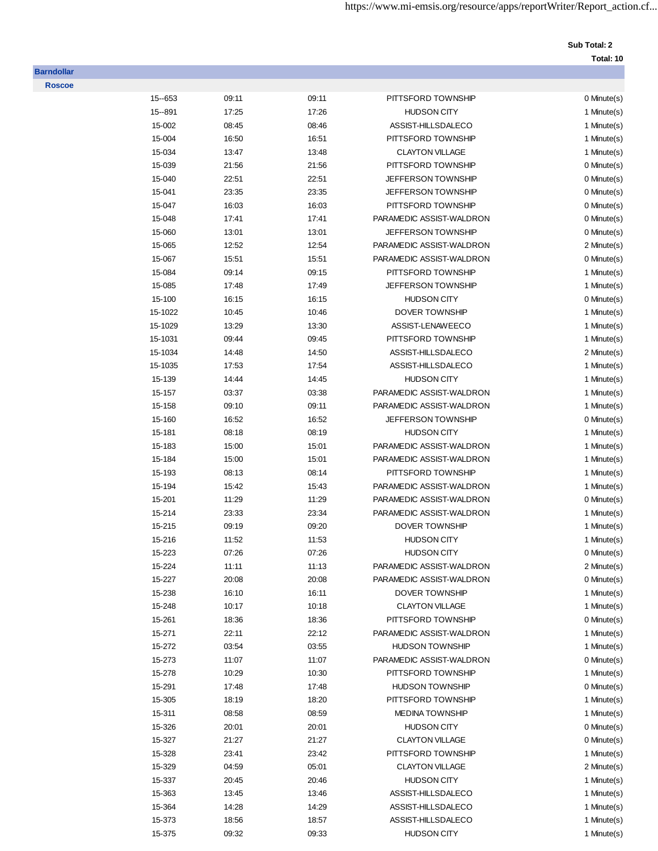# **Sub Total: 2**

| 15 -- 653 | 09:11 | 09:11 | PITTSFORD TOWNSHIP        | 0 Minute(s) |
|-----------|-------|-------|---------------------------|-------------|
| 15 -- 891 | 17:25 | 17:26 | <b>HUDSON CITY</b>        | 1 Minute(s) |
| 15-002    | 08:45 | 08:46 | ASSIST-HILLSDALECO        | 1 Minute(s) |
| 15-004    | 16:50 | 16:51 | PITTSFORD TOWNSHIP        | 1 Minute(s) |
| 15-034    | 13:47 | 13:48 | <b>CLAYTON VILLAGE</b>    | 1 Minute(s) |
| 15-039    | 21:56 | 21:56 | PITTSFORD TOWNSHIP        | 0 Minute(s) |
| 15-040    | 22:51 | 22:51 | <b>JEFFERSON TOWNSHIP</b> | 0 Minute(s) |
| 15-041    | 23:35 | 23:35 | <b>JEFFERSON TOWNSHIP</b> | 0 Minute(s) |
| 15-047    | 16:03 | 16:03 | PITTSFORD TOWNSHIP        | 0 Minute(s) |
| 15-048    | 17:41 | 17:41 | PARAMEDIC ASSIST-WALDRON  | 0 Minute(s) |
| 15-060    | 13:01 | 13:01 | <b>JEFFERSON TOWNSHIP</b> | 0 Minute(s) |
| 15-065    | 12:52 | 12:54 | PARAMEDIC ASSIST-WALDRON  | 2 Minute(s) |
| 15-067    | 15:51 | 15:51 | PARAMEDIC ASSIST-WALDRON  | 0 Minute(s) |
| 15-084    | 09:14 | 09:15 | PITTSFORD TOWNSHIP        | 1 Minute(s) |
| 15-085    | 17:48 | 17:49 | <b>JEFFERSON TOWNSHIP</b> | 1 Minute(s) |
| 15-100    | 16:15 | 16:15 | <b>HUDSON CITY</b>        | 0 Minute(s) |
| 15-1022   | 10:45 | 10:46 | <b>DOVER TOWNSHIP</b>     | 1 Minute(s) |
| 15-1029   | 13:29 | 13:30 | ASSIST-LENAWEECO          | 1 Minute(s) |
| 15-1031   | 09:44 | 09:45 | PITTSFORD TOWNSHIP        | 1 Minute(s) |
| 15-1034   | 14:48 | 14:50 | ASSIST-HILLSDALECO        | 2 Minute(s) |
| 15-1035   | 17:53 | 17:54 | ASSIST-HILLSDALECO        | 1 Minute(s) |
| 15-139    | 14:44 | 14:45 | <b>HUDSON CITY</b>        | 1 Minute(s) |
| 15-157    | 03:37 | 03:38 | PARAMEDIC ASSIST-WALDRON  | 1 Minute(s) |
| 15-158    | 09:10 | 09:11 | PARAMEDIC ASSIST-WALDRON  | 1 Minute(s) |
| 15-160    | 16:52 | 16:52 | JEFFERSON TOWNSHIP        | 0 Minute(s) |
| 15-181    | 08:18 | 08:19 | <b>HUDSON CITY</b>        | 1 Minute(s) |
| 15-183    | 15:00 | 15:01 | PARAMEDIC ASSIST-WALDRON  | 1 Minute(s) |
| 15-184    | 15:00 | 15:01 | PARAMEDIC ASSIST-WALDRON  | 1 Minute(s) |
| 15-193    | 08:13 | 08:14 | PITTSFORD TOWNSHIP        | 1 Minute(s) |
| 15-194    | 15:42 | 15:43 | PARAMEDIC ASSIST-WALDRON  | 1 Minute(s) |
| 15-201    | 11:29 | 11:29 | PARAMEDIC ASSIST-WALDRON  | 0 Minute(s) |
| 15-214    | 23:33 | 23:34 | PARAMEDIC ASSIST-WALDRON  | 1 Minute(s) |
| 15-215    | 09:19 | 09:20 | DOVER TOWNSHIP            | 1 Minute(s) |
| 15-216    | 11:52 | 11:53 | <b>HUDSON CITY</b>        | 1 Minute(s) |
| 15-223    | 07:26 | 07:26 | <b>HUDSON CITY</b>        | 0 Minute(s) |
| 15-224    | 11:11 | 11:13 | PARAMEDIC ASSIST-WALDRON  | 2 Minute(s) |
| 15-227    | 20:08 | 20:08 | PARAMEDIC ASSIST-WALDRON  | 0 Minute(s) |
| 15-238    | 16:10 | 16:11 | <b>DOVER TOWNSHIP</b>     | 1 Minute(s) |
| 15-248    | 10:17 | 10:18 | <b>CLAYTON VILLAGE</b>    | 1 Minute(s) |
| 15-261    | 18:36 | 18:36 | PITTSFORD TOWNSHIP        | 0 Minute(s) |
| 15-271    | 22:11 | 22:12 | PARAMEDIC ASSIST-WALDRON  | 1 Minute(s) |
| 15-272    | 03:54 | 03:55 | <b>HUDSON TOWNSHIP</b>    | 1 Minute(s) |
| 15-273    | 11:07 | 11:07 | PARAMEDIC ASSIST-WALDRON  | 0 Minute(s) |
| 15-278    | 10:29 | 10:30 | PITTSFORD TOWNSHIP        | 1 Minute(s) |
| 15-291    | 17:48 | 17:48 | <b>HUDSON TOWNSHIP</b>    | 0 Minute(s) |
| 15-305    | 18:19 | 18:20 | PITTSFORD TOWNSHIP        | 1 Minute(s) |
| 15-311    | 08:58 | 08:59 | <b>MEDINA TOWNSHIP</b>    | 1 Minute(s) |
| 15-326    | 20:01 | 20:01 | <b>HUDSON CITY</b>        | 0 Minute(s) |
| 15-327    | 21:27 | 21:27 | <b>CLAYTON VILLAGE</b>    | 0 Minute(s) |
| 15-328    | 23:41 | 23:42 | PITTSFORD TOWNSHIP        | 1 Minute(s) |
| 15-329    | 04:59 | 05:01 | <b>CLAYTON VILLAGE</b>    | 2 Minute(s) |
| 15-337    | 20:45 | 20:46 | <b>HUDSON CITY</b>        | 1 Minute(s) |
| 15-363    | 13:45 | 13:46 | ASSIST-HILLSDALECO        | 1 Minute(s) |
| 15-364    | 14:28 | 14:29 | ASSIST-HILLSDALECO        | 1 Minute(s) |
| 15-373    | 18:56 | 18:57 | ASSIST-HILLSDALECO        | 1 Minute(s) |
| 15-375    | 09:32 | 09:33 | <b>HUDSON CITY</b>        | 1 Minute(s) |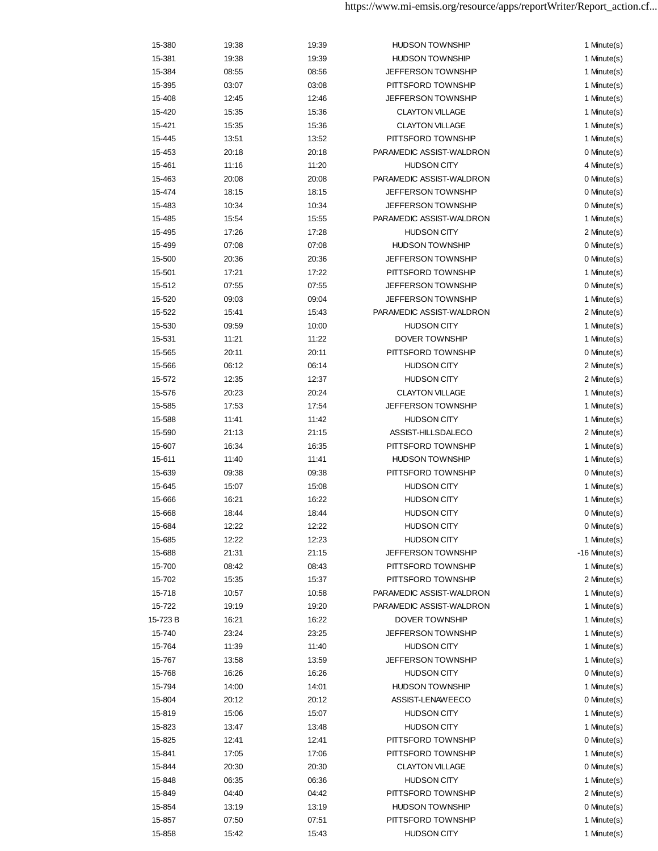| 15-380  | 19:38 | 19:39 | <b>HUDSON TOWNSHIP</b>    | 1 Minute(s)        |
|---------|-------|-------|---------------------------|--------------------|
| 15-381  | 19:38 | 19:39 | <b>HUDSON TOWNSHIP</b>    | 1 Minute(s)        |
| 15-384  | 08:55 | 08:56 | JEFFERSON TOWNSHIP        | 1 Minute(s)        |
| 15-395  | 03:07 | 03:08 | PITTSFORD TOWNSHIP        | 1 Minute(s)        |
| 15-408  | 12:45 | 12:46 | <b>JEFFERSON TOWNSHIP</b> | 1 Minute(s)        |
| 15-420  | 15:35 | 15:36 | <b>CLAYTON VILLAGE</b>    | 1 Minute(s)        |
| 15-421  | 15:35 | 15:36 | <b>CLAYTON VILLAGE</b>    | 1 Minute(s)        |
| 15-445  | 13:51 | 13:52 | PITTSFORD TOWNSHIP        | 1 Minute(s)        |
| 15-453  | 20:18 | 20:18 | PARAMEDIC ASSIST-WALDRON  | 0 Minute(s)        |
| 15-461  | 11:16 | 11:20 | <b>HUDSON CITY</b>        | 4 Minute(s)        |
| 15-463  | 20:08 | 20:08 | PARAMEDIC ASSIST-WALDRON  | 0 Minute(s)        |
| 15-474  | 18:15 | 18:15 | JEFFERSON TOWNSHIP        | 0 Minute(s)        |
| 15-483  | 10:34 | 10:34 | <b>JEFFERSON TOWNSHIP</b> | 0 Minute(s)        |
| 15-485  | 15:54 | 15:55 | PARAMEDIC ASSIST-WALDRON  | 1 Minute(s)        |
| 15-495  | 17:26 | 17:28 | <b>HUDSON CITY</b>        | 2 Minute(s)        |
|         |       |       | <b>HUDSON TOWNSHIP</b>    |                    |
| 15-499  | 07:08 | 07:08 |                           | 0 Minute(s)        |
| 15-500  | 20:36 | 20:36 | <b>JEFFERSON TOWNSHIP</b> | 0 Minute(s)        |
| 15-501  | 17:21 | 17:22 | PITTSFORD TOWNSHIP        | 1 Minute(s)        |
| 15-512  | 07:55 | 07:55 | JEFFERSON TOWNSHIP        | 0 Minute(s)        |
| 15-520  | 09:03 | 09:04 | JEFFERSON TOWNSHIP        | 1 Minute(s)        |
| 15-522  | 15:41 | 15:43 | PARAMEDIC ASSIST-WALDRON  | 2 Minute(s)        |
| 15-530  | 09:59 | 10:00 | <b>HUDSON CITY</b>        | 1 Minute(s)        |
| 15-531  | 11:21 | 11:22 | <b>DOVER TOWNSHIP</b>     | 1 Minute(s)        |
| 15-565  | 20:11 | 20:11 | PITTSFORD TOWNSHIP        | 0 Minute(s)        |
| 15-566  | 06:12 | 06:14 | <b>HUDSON CITY</b>        | 2 Minute(s)        |
| 15-572  | 12:35 | 12:37 | <b>HUDSON CITY</b>        | 2 Minute(s)        |
| 15-576  | 20:23 | 20:24 | <b>CLAYTON VILLAGE</b>    | 1 Minute(s)        |
| 15-585  | 17:53 | 17:54 | JEFFERSON TOWNSHIP        | 1 Minute(s)        |
| 15-588  | 11:41 | 11:42 | <b>HUDSON CITY</b>        | 1 Minute(s)        |
| 15-590  | 21:13 | 21:15 | ASSIST-HILLSDALECO        | 2 Minute(s)        |
| 15-607  | 16:34 | 16:35 | PITTSFORD TOWNSHIP        | 1 Minute(s)        |
| 15-611  | 11:40 | 11:41 | <b>HUDSON TOWNSHIP</b>    | 1 Minute(s)        |
| 15-639  | 09:38 | 09:38 | PITTSFORD TOWNSHIP        | 0 Minute(s)        |
| 15-645  | 15:07 | 15:08 | <b>HUDSON CITY</b>        | 1 Minute(s)        |
| 15-666  | 16:21 | 16:22 | <b>HUDSON CITY</b>        | 1 Minute(s)        |
| 15-668  | 18:44 | 18:44 | <b>HUDSON CITY</b>        | 0 Minute(s)        |
| 15-684  | 12:22 | 12:22 | <b>HUDSON CITY</b>        | 0 Minute(s)        |
| 15-685  | 12:22 | 12:23 | <b>HUDSON CITY</b>        | 1 Minute(s)        |
| 15-688  | 21:31 | 21:15 | JEFFERSON TOWNSHIP        | $-16$ Minute $(s)$ |
| 15-700  | 08:42 | 08:43 | PITTSFORD TOWNSHIP        | 1 Minute(s)        |
| 15-702  | 15:35 | 15:37 | PITTSFORD TOWNSHIP        | 2 Minute(s)        |
| 15-718  | 10:57 | 10:58 | PARAMEDIC ASSIST-WALDRON  | 1 Minute(s)        |
| 15-722  | 19:19 | 19:20 | PARAMEDIC ASSIST-WALDRON  | 1 Minute(s)        |
| 15-723B | 16:21 | 16:22 | <b>DOVER TOWNSHIP</b>     | 1 Minute(s)        |
| 15-740  | 23:24 | 23:25 | JEFFERSON TOWNSHIP        | 1 Minute(s)        |
| 15-764  | 11:39 | 11:40 | <b>HUDSON CITY</b>        | 1 Minute(s)        |
| 15-767  | 13:58 | 13:59 | JEFFERSON TOWNSHIP        | 1 Minute(s)        |
| 15-768  | 16:26 | 16:26 | <b>HUDSON CITY</b>        | 0 Minute(s)        |
| 15-794  | 14:00 | 14:01 | <b>HUDSON TOWNSHIP</b>    | 1 Minute(s)        |
| 15-804  | 20:12 | 20:12 | ASSIST-LENAWEECO          | 0 Minute(s)        |
| 15-819  | 15:06 | 15:07 | <b>HUDSON CITY</b>        | 1 Minute(s)        |
| 15-823  | 13:47 | 13:48 | <b>HUDSON CITY</b>        | 1 Minute(s)        |
| 15-825  | 12:41 | 12:41 | PITTSFORD TOWNSHIP        | 0 Minute(s)        |
| 15-841  | 17:05 | 17:06 | PITTSFORD TOWNSHIP        | 1 Minute(s)        |
| 15-844  | 20:30 | 20:30 | <b>CLAYTON VILLAGE</b>    | 0 Minute(s)        |
| 15-848  | 06:35 | 06:36 | <b>HUDSON CITY</b>        | 1 Minute(s)        |
| 15-849  | 04:40 | 04:42 | PITTSFORD TOWNSHIP        | 2 Minute(s)        |
| 15-854  | 13:19 | 13:19 | <b>HUDSON TOWNSHIP</b>    | 0 Minute(s)        |
| 15-857  | 07:50 | 07:51 | PITTSFORD TOWNSHIP        | 1 Minute(s)        |
| 15-858  | 15:42 | 15:43 | <b>HUDSON CITY</b>        | 1 Minute(s)        |
|         |       |       |                           |                    |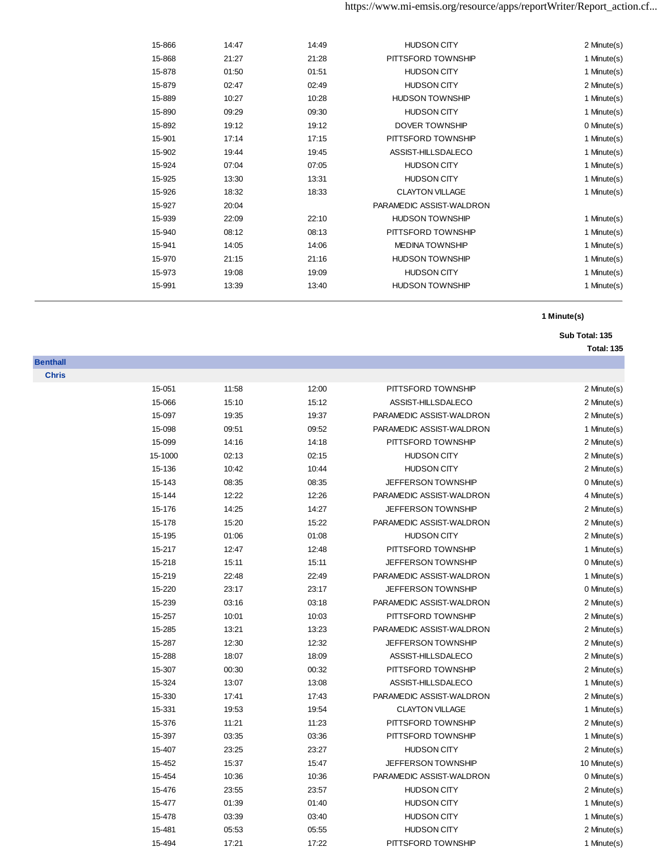| 15-866 | 14:47 | 14:49 | <b>HUDSON CITY</b>       | 2 Minute(s) |
|--------|-------|-------|--------------------------|-------------|
| 15-868 | 21:27 | 21:28 | PITTSFORD TOWNSHIP       | 1 Minute(s) |
| 15-878 | 01:50 | 01:51 | <b>HUDSON CITY</b>       | 1 Minute(s) |
| 15-879 | 02:47 | 02:49 | <b>HUDSON CITY</b>       | 2 Minute(s) |
| 15-889 | 10:27 | 10:28 | <b>HUDSON TOWNSHIP</b>   | 1 Minute(s) |
| 15-890 | 09:29 | 09:30 | <b>HUDSON CITY</b>       | 1 Minute(s) |
| 15-892 | 19:12 | 19:12 | <b>DOVER TOWNSHIP</b>    | 0 Minute(s) |
| 15-901 | 17:14 | 17:15 | PITTSFORD TOWNSHIP       | 1 Minute(s) |
| 15-902 | 19:44 | 19:45 | ASSIST-HILLSDALECO       | 1 Minute(s) |
| 15-924 | 07:04 | 07:05 | <b>HUDSON CITY</b>       | 1 Minute(s) |
| 15-925 | 13:30 | 13:31 | <b>HUDSON CITY</b>       | 1 Minute(s) |
| 15-926 | 18:32 | 18:33 | <b>CLAYTON VILLAGE</b>   | 1 Minute(s) |
| 15-927 | 20:04 |       | PARAMEDIC ASSIST-WALDRON |             |
| 15-939 | 22:09 | 22:10 | <b>HUDSON TOWNSHIP</b>   | 1 Minute(s) |
| 15-940 | 08:12 | 08:13 | PITTSFORD TOWNSHIP       | 1 Minute(s) |
| 15-941 | 14:05 | 14:06 | <b>MEDINA TOWNSHIP</b>   | 1 Minute(s) |
| 15-970 | 21:15 | 21:16 | <b>HUDSON TOWNSHIP</b>   | 1 Minute(s) |
| 15-973 | 19:08 | 19:09 | <b>HUDSON CITY</b>       | 1 Minute(s) |
| 15-991 | 13:39 | 13:40 | <b>HUDSON TOWNSHIP</b>   | 1 Minute(s) |
|        |       |       |                          |             |

### **Sub Total: 135 Total: 135**

| <b>Chris</b> |         |       |       |                           |              |
|--------------|---------|-------|-------|---------------------------|--------------|
|              | 15-051  | 11:58 | 12:00 | PITTSFORD TOWNSHIP        | 2 Minute(s)  |
|              | 15-066  | 15:10 | 15:12 | ASSIST-HILLSDALECO        | 2 Minute(s)  |
|              | 15-097  | 19:35 | 19:37 | PARAMEDIC ASSIST-WALDRON  | 2 Minute(s)  |
|              | 15-098  | 09:51 | 09:52 | PARAMEDIC ASSIST-WALDRON  | 1 Minute(s)  |
|              | 15-099  | 14:16 | 14:18 | PITTSFORD TOWNSHIP        | 2 Minute(s)  |
|              | 15-1000 | 02:13 | 02:15 | <b>HUDSON CITY</b>        | 2 Minute(s)  |
|              | 15-136  | 10:42 | 10:44 | <b>HUDSON CITY</b>        | 2 Minute(s)  |
|              | 15-143  | 08:35 | 08:35 | JEFFERSON TOWNSHIP        | 0 Minute(s)  |
|              | 15-144  | 12:22 | 12:26 | PARAMEDIC ASSIST-WALDRON  | 4 Minute(s)  |
|              | 15-176  | 14:25 | 14:27 | JEFFERSON TOWNSHIP        | 2 Minute(s)  |
|              | 15-178  | 15:20 | 15:22 | PARAMEDIC ASSIST-WALDRON  | 2 Minute(s)  |
|              | 15-195  | 01:06 | 01:08 | <b>HUDSON CITY</b>        | 2 Minute(s)  |
|              | 15-217  | 12:47 | 12:48 | PITTSFORD TOWNSHIP        | 1 Minute(s)  |
|              | 15-218  | 15:11 | 15:11 | JEFFERSON TOWNSHIP        | 0 Minute(s)  |
|              | 15-219  | 22:48 | 22:49 | PARAMEDIC ASSIST-WALDRON  | 1 Minute(s)  |
|              | 15-220  | 23:17 | 23:17 | <b>JEFFERSON TOWNSHIP</b> | 0 Minute(s)  |
|              | 15-239  | 03:16 | 03:18 | PARAMEDIC ASSIST-WALDRON  | 2 Minute(s)  |
|              | 15-257  | 10:01 | 10:03 | PITTSFORD TOWNSHIP        | 2 Minute(s)  |
|              | 15-285  | 13:21 | 13:23 | PARAMEDIC ASSIST-WALDRON  | 2 Minute(s)  |
|              | 15-287  | 12:30 | 12:32 | JEFFERSON TOWNSHIP        | 2 Minute(s)  |
|              | 15-288  | 18:07 | 18:09 | ASSIST-HILLSDALECO        | 2 Minute(s)  |
|              | 15-307  | 00:30 | 00:32 | PITTSFORD TOWNSHIP        | 2 Minute(s)  |
|              | 15-324  | 13:07 | 13:08 | ASSIST-HILLSDALECO        | 1 Minute(s)  |
|              | 15-330  | 17:41 | 17:43 | PARAMEDIC ASSIST-WALDRON  | 2 Minute(s)  |
|              | 15-331  | 19:53 | 19:54 | <b>CLAYTON VILLAGE</b>    | 1 Minute(s)  |
|              | 15-376  | 11:21 | 11:23 | PITTSFORD TOWNSHIP        | 2 Minute(s)  |
|              | 15-397  | 03:35 | 03:36 | PITTSFORD TOWNSHIP        | 1 Minute(s)  |
|              | 15-407  | 23:25 | 23:27 | <b>HUDSON CITY</b>        | 2 Minute(s)  |
|              | 15-452  | 15:37 | 15:47 | JEFFERSON TOWNSHIP        | 10 Minute(s) |
|              | 15-454  | 10:36 | 10:36 | PARAMEDIC ASSIST-WALDRON  | 0 Minute(s)  |
|              | 15-476  | 23:55 | 23:57 | <b>HUDSON CITY</b>        | 2 Minute(s)  |
|              | 15-477  | 01:39 | 01:40 | <b>HUDSON CITY</b>        | 1 Minute(s)  |
|              | 15-478  | 03:39 | 03:40 | <b>HUDSON CITY</b>        | 1 Minute(s)  |
|              | 15-481  | 05:53 | 05:55 | <b>HUDSON CITY</b>        | 2 Minute(s)  |
|              | 15-494  | 17:21 | 17:22 | PITTSFORD TOWNSHIP        | 1 Minute(s)  |

**Benthall**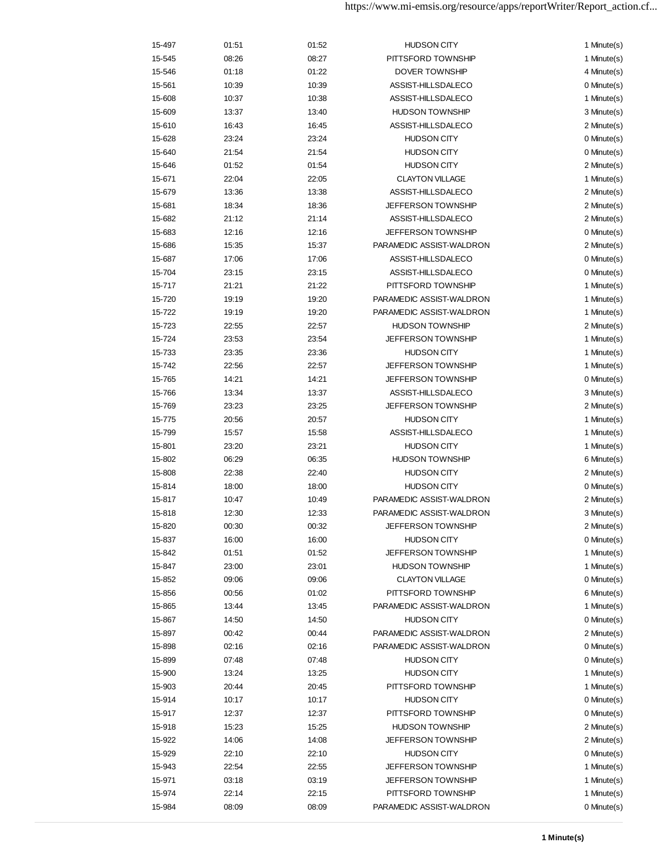| 15-497 | 01:51 | 01:52 | <b>HUDSON CITY</b>        | 1 Minute(s) |
|--------|-------|-------|---------------------------|-------------|
| 15-545 | 08:26 | 08:27 | PITTSFORD TOWNSHIP        | 1 Minute(s) |
| 15-546 | 01:18 | 01:22 | DOVER TOWNSHIP            | 4 Minute(s) |
| 15-561 | 10:39 | 10:39 | ASSIST-HILLSDALECO        | 0 Minute(s) |
| 15-608 | 10:37 | 10:38 | ASSIST-HILLSDALECO        | 1 Minute(s) |
| 15-609 | 13:37 | 13:40 | <b>HUDSON TOWNSHIP</b>    | 3 Minute(s) |
| 15-610 | 16:43 | 16:45 | ASSIST-HILLSDALECO        | 2 Minute(s) |
| 15-628 | 23:24 | 23:24 | <b>HUDSON CITY</b>        | 0 Minute(s) |
| 15-640 | 21:54 | 21:54 | <b>HUDSON CITY</b>        | 0 Minute(s) |
| 15-646 | 01:52 | 01:54 | <b>HUDSON CITY</b>        | 2 Minute(s) |
| 15-671 | 22:04 | 22:05 | <b>CLAYTON VILLAGE</b>    | 1 Minute(s) |
| 15-679 | 13:36 | 13:38 | ASSIST-HILLSDALECO        | 2 Minute(s) |
| 15-681 | 18:34 | 18:36 | <b>JEFFERSON TOWNSHIP</b> | 2 Minute(s) |
| 15-682 | 21:12 | 21:14 | ASSIST-HILLSDALECO        | 2 Minute(s) |
| 15-683 | 12:16 | 12:16 | <b>JEFFERSON TOWNSHIP</b> | 0 Minute(s) |
| 15-686 | 15:35 | 15:37 | PARAMEDIC ASSIST-WALDRON  | 2 Minute(s) |
| 15-687 | 17:06 | 17:06 | ASSIST-HILLSDALECO        | 0 Minute(s) |
| 15-704 | 23:15 | 23:15 | ASSIST-HILLSDALECO        | 0 Minute(s) |
| 15-717 | 21:21 | 21:22 | PITTSFORD TOWNSHIP        | 1 Minute(s) |
| 15-720 | 19:19 | 19:20 | PARAMEDIC ASSIST-WALDRON  | 1 Minute(s) |
| 15-722 | 19:19 | 19:20 | PARAMEDIC ASSIST-WALDRON  | 1 Minute(s) |
| 15-723 | 22:55 | 22:57 | <b>HUDSON TOWNSHIP</b>    | 2 Minute(s) |
| 15-724 | 23:53 | 23:54 | <b>JEFFERSON TOWNSHIP</b> | 1 Minute(s) |
| 15-733 | 23:35 | 23:36 | <b>HUDSON CITY</b>        | 1 Minute(s) |
| 15-742 | 22:56 | 22:57 | <b>JEFFERSON TOWNSHIP</b> | 1 Minute(s) |
| 15-765 | 14:21 | 14:21 | <b>JEFFERSON TOWNSHIP</b> | 0 Minute(s) |
| 15-766 | 13:34 | 13:37 | ASSIST-HILLSDALECO        | 3 Minute(s) |
| 15-769 | 23:23 | 23:25 | <b>JEFFERSON TOWNSHIP</b> | 2 Minute(s) |
| 15-775 | 20:56 | 20:57 | <b>HUDSON CITY</b>        | 1 Minute(s) |
| 15-799 | 15:57 | 15:58 | ASSIST-HILLSDALECO        | 1 Minute(s) |
| 15-801 | 23:20 | 23:21 | <b>HUDSON CITY</b>        | 1 Minute(s) |
| 15-802 | 06:29 | 06:35 | <b>HUDSON TOWNSHIP</b>    | 6 Minute(s) |
| 15-808 | 22:38 | 22:40 | <b>HUDSON CITY</b>        | 2 Minute(s) |
| 15-814 | 18:00 | 18:00 | <b>HUDSON CITY</b>        | 0 Minute(s) |
| 15-817 | 10:47 | 10:49 | PARAMEDIC ASSIST-WALDRON  | 2 Minute(s) |
| 15-818 | 12:30 | 12:33 | PARAMEDIC ASSIST-WALDRON  | 3 Minute(s) |
| 15-820 | 00:30 | 00:32 | JEFFERSON TOWNSHIP        | 2 Minute(s) |
| 15-837 | 16:00 | 16:00 | <b>HUDSON CITY</b>        | 0 Minute(s) |
| 15-842 | 01:51 | 01:52 | JEFFERSON TOWNSHIP        | 1 Minute(s) |
| 15-847 | 23:00 | 23:01 | <b>HUDSON TOWNSHIP</b>    | 1 Minute(s) |
| 15-852 | 09:06 | 09:06 | <b>CLAYTON VILLAGE</b>    | 0 Minute(s) |
| 15-856 | 00:56 | 01:02 | PITTSFORD TOWNSHIP        | 6 Minute(s) |
| 15-865 | 13:44 | 13:45 | PARAMEDIC ASSIST-WALDRON  | 1 Minute(s) |
| 15-867 | 14:50 | 14:50 | <b>HUDSON CITY</b>        | 0 Minute(s) |
| 15-897 | 00:42 | 00:44 | PARAMEDIC ASSIST-WALDRON  | 2 Minute(s) |
| 15-898 | 02:16 | 02:16 | PARAMEDIC ASSIST-WALDRON  | 0 Minute(s) |
| 15-899 | 07:48 | 07:48 | <b>HUDSON CITY</b>        | 0 Minute(s) |
| 15-900 | 13:24 | 13:25 | <b>HUDSON CITY</b>        | 1 Minute(s) |
| 15-903 | 20:44 | 20:45 | PITTSFORD TOWNSHIP        | 1 Minute(s) |
| 15-914 | 10:17 | 10:17 | <b>HUDSON CITY</b>        | 0 Minute(s) |
| 15-917 | 12:37 | 12:37 | PITTSFORD TOWNSHIP        | 0 Minute(s) |
| 15-918 | 15:23 | 15:25 | <b>HUDSON TOWNSHIP</b>    | 2 Minute(s) |
| 15-922 | 14:06 | 14:08 | <b>JEFFERSON TOWNSHIP</b> | 2 Minute(s) |
| 15-929 | 22:10 | 22:10 | <b>HUDSON CITY</b>        | 0 Minute(s) |
| 15-943 | 22:54 | 22:55 | <b>JEFFERSON TOWNSHIP</b> | 1 Minute(s) |
| 15-971 | 03:18 | 03:19 | <b>JEFFERSON TOWNSHIP</b> | 1 Minute(s) |
| 15-974 | 22:14 | 22:15 | PITTSFORD TOWNSHIP        | 1 Minute(s) |
| 15-984 | 08:09 | 08:09 | PARAMEDIC ASSIST-WALDRON  | 0 Minute(s) |
|        |       |       |                           |             |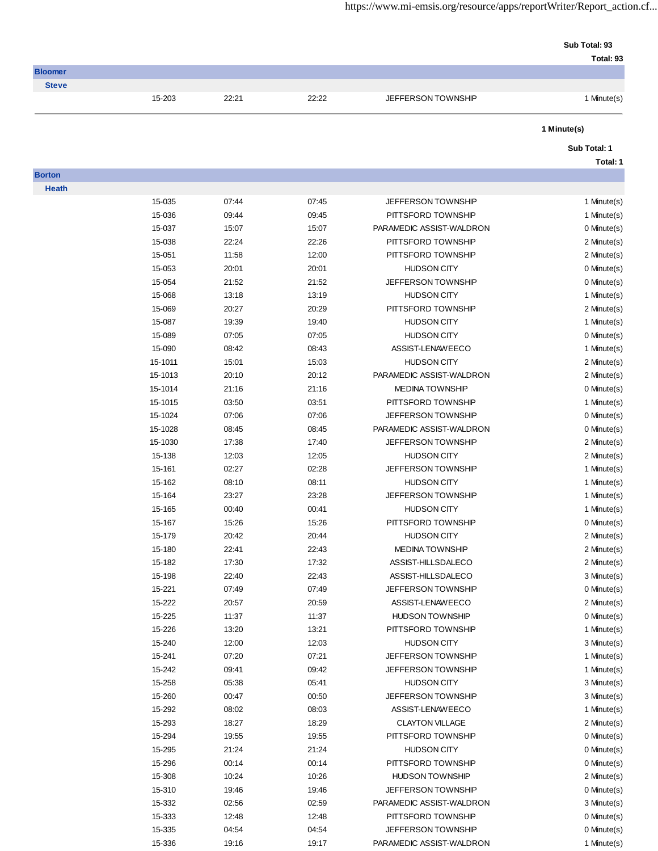| Sub Total: 93 |           |
|---------------|-----------|
|               | Total: 93 |

| <b>Bloomer</b> |        |       |       |                    |           |
|----------------|--------|-------|-------|--------------------|-----------|
| <b>Steve</b>   |        |       |       |                    |           |
|                | 15-203 | 22.21 | 22:22 | JEFFERSON TOWNSHIP | Minute(s) |

# **Sub Total: 1**

**Total: 1**

**Borton Hea** 

| ath |         |       |       |                           |             |
|-----|---------|-------|-------|---------------------------|-------------|
|     | 15-035  | 07:44 | 07:45 | <b>JEFFERSON TOWNSHIP</b> | 1 Minute(s) |
|     | 15-036  | 09:44 | 09:45 | PITTSFORD TOWNSHIP        | 1 Minute(s) |
|     | 15-037  | 15:07 | 15:07 | PARAMEDIC ASSIST-WALDRON  | 0 Minute(s) |
|     | 15-038  | 22:24 | 22:26 | PITTSFORD TOWNSHIP        | 2 Minute(s) |
|     | 15-051  | 11:58 | 12:00 | PITTSFORD TOWNSHIP        | 2 Minute(s) |
|     | 15-053  | 20:01 | 20:01 | <b>HUDSON CITY</b>        | 0 Minute(s) |
|     | 15-054  | 21:52 | 21:52 | <b>JEFFERSON TOWNSHIP</b> | 0 Minute(s) |
|     | 15-068  | 13:18 | 13:19 | <b>HUDSON CITY</b>        | 1 Minute(s) |
|     | 15-069  | 20:27 | 20:29 | PITTSFORD TOWNSHIP        | 2 Minute(s) |
|     | 15-087  | 19:39 | 19:40 | <b>HUDSON CITY</b>        | 1 Minute(s) |
|     | 15-089  | 07:05 | 07:05 | <b>HUDSON CITY</b>        | 0 Minute(s) |
|     | 15-090  | 08:42 | 08:43 | ASSIST-LENAWEECO          | 1 Minute(s) |
|     | 15-1011 | 15:01 | 15:03 | <b>HUDSON CITY</b>        | 2 Minute(s) |
|     | 15-1013 | 20:10 | 20:12 | PARAMEDIC ASSIST-WALDRON  | 2 Minute(s) |
|     | 15-1014 | 21:16 | 21:16 | <b>MEDINA TOWNSHIP</b>    | 0 Minute(s) |
|     | 15-1015 | 03:50 | 03:51 | PITTSFORD TOWNSHIP        | 1 Minute(s) |
|     | 15-1024 | 07:06 | 07:06 | JEFFERSON TOWNSHIP        | 0 Minute(s) |
|     | 15-1028 | 08:45 | 08:45 | PARAMEDIC ASSIST-WALDRON  | 0 Minute(s) |
|     | 15-1030 | 17:38 | 17:40 | JEFFERSON TOWNSHIP        | 2 Minute(s) |
|     | 15-138  | 12:03 | 12:05 | <b>HUDSON CITY</b>        | 2 Minute(s) |
|     | 15-161  | 02:27 | 02:28 | <b>JEFFERSON TOWNSHIP</b> | 1 Minute(s) |
|     | 15-162  | 08:10 | 08:11 | <b>HUDSON CITY</b>        | 1 Minute(s) |
|     | 15-164  | 23:27 | 23:28 | <b>JEFFERSON TOWNSHIP</b> | 1 Minute(s) |
|     | 15-165  | 00:40 | 00:41 | <b>HUDSON CITY</b>        | 1 Minute(s) |
|     | 15-167  | 15:26 | 15:26 | PITTSFORD TOWNSHIP        | 0 Minute(s) |
|     | 15-179  | 20:42 | 20:44 | <b>HUDSON CITY</b>        | 2 Minute(s) |
|     | 15-180  | 22:41 | 22:43 | <b>MEDINA TOWNSHIP</b>    | 2 Minute(s) |
|     | 15-182  | 17:30 | 17:32 | ASSIST-HILLSDALECO        | 2 Minute(s) |
|     | 15-198  | 22:40 | 22:43 | ASSIST-HILLSDALECO        | 3 Minute(s) |
|     | 15-221  | 07:49 | 07:49 | <b>JEFFERSON TOWNSHIP</b> | 0 Minute(s) |
|     | 15-222  | 20:57 | 20:59 | ASSIST-LENAWEECO          | 2 Minute(s) |
|     | 15-225  | 11:37 | 11:37 | <b>HUDSON TOWNSHIP</b>    | 0 Minute(s) |
|     | 15-226  | 13:20 | 13:21 | PITTSFORD TOWNSHIP        | 1 Minute(s) |
|     | 15-240  | 12:00 | 12:03 | <b>HUDSON CITY</b>        | 3 Minute(s) |
|     | 15-241  | 07:20 | 07:21 | <b>JEFFERSON TOWNSHIP</b> | 1 Minute(s) |
|     | 15-242  | 09:41 | 09:42 | JEFFERSON TOWNSHIP        | 1 Minute(s) |
|     | 15-258  | 05:38 | 05:41 | <b>HUDSON CITY</b>        | 3 Minute(s) |
|     | 15-260  | 00:47 | 00:50 | <b>JEFFERSON TOWNSHIP</b> | 3 Minute(s) |
|     | 15-292  | 08:02 | 08:03 | ASSIST-LENAWEECO          | 1 Minute(s) |
|     | 15-293  | 18:27 | 18:29 | <b>CLAYTON VILLAGE</b>    | 2 Minute(s) |
|     | 15-294  | 19:55 | 19:55 | PITTSFORD TOWNSHIP        | 0 Minute(s) |
|     | 15-295  | 21:24 | 21:24 | <b>HUDSON CITY</b>        | 0 Minute(s) |
|     | 15-296  | 00:14 | 00:14 | PITTSFORD TOWNSHIP        | 0 Minute(s) |
|     | 15-308  | 10:24 | 10:26 | <b>HUDSON TOWNSHIP</b>    | 2 Minute(s) |
|     | 15-310  | 19:46 | 19:46 | <b>JEFFERSON TOWNSHIP</b> | 0 Minute(s) |
|     | 15-332  | 02:56 | 02:59 | PARAMEDIC ASSIST-WALDRON  | 3 Minute(s) |
|     | 15-333  | 12:48 | 12:48 | PITTSFORD TOWNSHIP        | 0 Minute(s) |
|     | 15-335  | 04:54 | 04:54 | <b>JEFFERSON TOWNSHIP</b> | 0 Minute(s) |
|     | 15-336  | 19:16 | 19:17 | PARAMEDIC ASSIST-WALDRON  | 1 Minute(s) |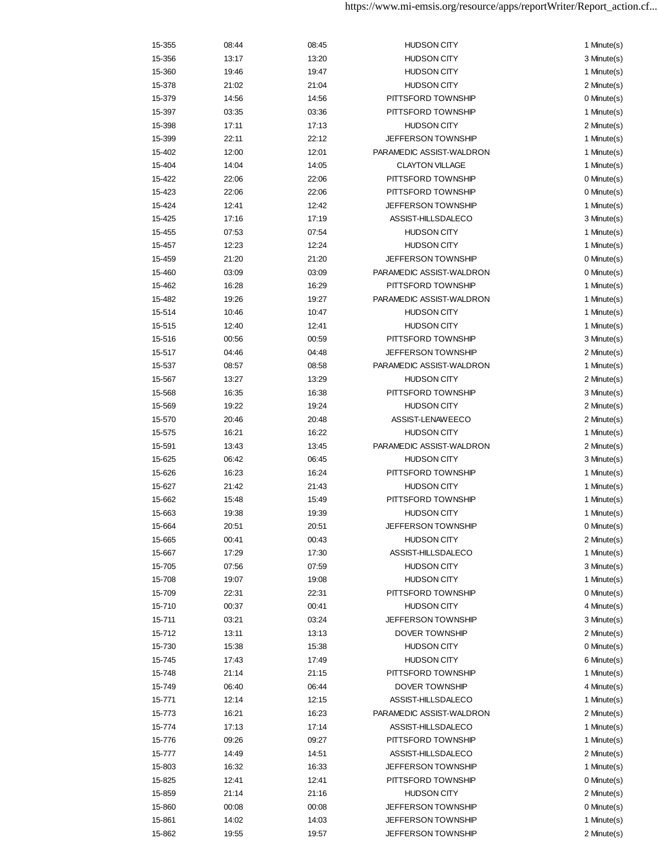| 15-355 | 08:44 | 08:45 | <b>HUDSON CITY</b>        | 1 Minute(s) |
|--------|-------|-------|---------------------------|-------------|
| 15-356 | 13:17 | 13:20 | <b>HUDSON CITY</b>        | 3 Minute(s) |
| 15-360 | 19:46 | 19:47 | <b>HUDSON CITY</b>        | 1 Minute(s) |
| 15-378 | 21:02 | 21:04 | <b>HUDSON CITY</b>        | 2 Minute(s) |
| 15-379 | 14:56 | 14:56 | PITTSFORD TOWNSHIP        | 0 Minute(s) |
| 15-397 | 03:35 | 03:36 | PITTSFORD TOWNSHIP        | 1 Minute(s) |
| 15-398 | 17:11 | 17:13 | <b>HUDSON CITY</b>        | 2 Minute(s) |
| 15-399 | 22:11 | 22:12 | <b>JEFFERSON TOWNSHIP</b> | 1 Minute(s) |
| 15-402 | 12:00 | 12:01 | PARAMEDIC ASSIST-WALDRON  | 1 Minute(s) |
| 15-404 | 14:04 | 14:05 | <b>CLAYTON VILLAGE</b>    | 1 Minute(s) |
| 15-422 | 22:06 | 22:06 | PITTSFORD TOWNSHIP        | 0 Minute(s) |
| 15-423 | 22:06 | 22:06 | PITTSFORD TOWNSHIP        | 0 Minute(s) |
| 15-424 | 12:41 | 12:42 | JEFFERSON TOWNSHIP        | 1 Minute(s) |
| 15-425 | 17:16 | 17:19 | ASSIST-HILLSDALECO        | 3 Minute(s) |
| 15-455 | 07:53 | 07:54 | <b>HUDSON CITY</b>        | 1 Minute(s) |
| 15-457 | 12:23 | 12:24 | <b>HUDSON CITY</b>        | 1 Minute(s) |
| 15-459 | 21:20 | 21:20 | JEFFERSON TOWNSHIP        | 0 Minute(s) |
| 15-460 | 03:09 | 03:09 | PARAMEDIC ASSIST-WALDRON  | 0 Minute(s) |
| 15-462 | 16:28 | 16:29 | PITTSFORD TOWNSHIP        | 1 Minute(s) |
| 15-482 | 19:26 | 19:27 | PARAMEDIC ASSIST-WALDRON  | 1 Minute(s) |
| 15-514 | 10:46 | 10:47 | <b>HUDSON CITY</b>        | 1 Minute(s) |
| 15-515 | 12:40 | 12:41 | <b>HUDSON CITY</b>        | 1 Minute(s) |
| 15-516 | 00:56 | 00:59 | PITTSFORD TOWNSHIP        | 3 Minute(s) |
| 15-517 | 04:46 | 04:48 | <b>JEFFERSON TOWNSHIP</b> | 2 Minute(s) |
| 15-537 | 08:57 | 08:58 | PARAMEDIC ASSIST-WALDRON  | 1 Minute(s) |
| 15-567 | 13:27 | 13:29 | <b>HUDSON CITY</b>        | 2 Minute(s) |
| 15-568 | 16:35 | 16:38 | PITTSFORD TOWNSHIP        | 3 Minute(s) |
| 15-569 | 19:22 | 19:24 | <b>HUDSON CITY</b>        | 2 Minute(s) |
| 15-570 | 20:46 | 20:48 | ASSIST-LENAWEECO          | 2 Minute(s) |
| 15-575 | 16:21 | 16:22 | <b>HUDSON CITY</b>        | 1 Minute(s) |
| 15-591 | 13:43 | 13:45 | PARAMEDIC ASSIST-WALDRON  | 2 Minute(s) |
| 15-625 | 06:42 | 06:45 | <b>HUDSON CITY</b>        | 3 Minute(s) |
| 15-626 | 16:23 | 16:24 | PITTSFORD TOWNSHIP        | 1 Minute(s) |
| 15-627 | 21:42 | 21:43 | <b>HUDSON CITY</b>        | 1 Minute(s) |
| 15-662 | 15:48 | 15:49 | PITTSFORD TOWNSHIP        | 1 Minute(s) |
| 15-663 | 19:38 | 19:39 | <b>HUDSON CITY</b>        | 1 Minute(s) |
| 15-664 | 20:51 | 20:51 | JEFFERSON TOWNSHIP        | 0 Minute(s) |
| 15-665 | 00:41 | 00:43 | <b>HUDSON CITY</b>        | 2 Minute(s) |
| 15-667 | 17:29 | 17:30 | ASSIST-HILLSDALECO        | 1 Minute(s) |
| 15-705 | 07:56 | 07:59 | <b>HUDSON CITY</b>        | 3 Minute(s) |
| 15-708 | 19:07 | 19:08 | <b>HUDSON CITY</b>        | 1 Minute(s) |
| 15-709 | 22:31 | 22:31 | PITTSFORD TOWNSHIP        | 0 Minute(s) |
| 15-710 | 00:37 | 00:41 | <b>HUDSON CITY</b>        | 4 Minute(s) |
| 15-711 | 03:21 | 03:24 | <b>JEFFERSON TOWNSHIP</b> | 3 Minute(s) |
| 15-712 | 13:11 | 13:13 | DOVER TOWNSHIP            | 2 Minute(s) |
| 15-730 | 15:38 | 15:38 | <b>HUDSON CITY</b>        | 0 Minute(s) |
| 15-745 | 17:43 | 17:49 | <b>HUDSON CITY</b>        | 6 Minute(s) |
| 15-748 | 21:14 | 21:15 | PITTSFORD TOWNSHIP        | 1 Minute(s) |
| 15-749 | 06:40 | 06:44 | DOVER TOWNSHIP            | 4 Minute(s) |
| 15-771 | 12:14 | 12:15 | ASSIST-HILLSDALECO        | 1 Minute(s) |
| 15-773 | 16:21 | 16:23 | PARAMEDIC ASSIST-WALDRON  | 2 Minute(s) |
| 15-774 | 17:13 | 17:14 | ASSIST-HILLSDALECO        | 1 Minute(s) |
| 15-776 | 09:26 | 09:27 | PITTSFORD TOWNSHIP        | 1 Minute(s) |
| 15-777 | 14:49 | 14:51 | ASSIST-HILLSDALECO        | 2 Minute(s) |
| 15-803 | 16:32 | 16:33 | <b>JEFFERSON TOWNSHIP</b> | 1 Minute(s) |
| 15-825 | 12:41 | 12:41 | PITTSFORD TOWNSHIP        | 0 Minute(s) |
| 15-859 | 21:14 | 21:16 | <b>HUDSON CITY</b>        | 2 Minute(s) |
| 15-860 | 00:08 | 00:08 | <b>JEFFERSON TOWNSHIP</b> | 0 Minute(s) |
| 15-861 | 14:02 | 14:03 | <b>JEFFERSON TOWNSHIP</b> | 1 Minute(s) |
| 15-862 | 19:55 | 19:57 | <b>JEFFERSON TOWNSHIP</b> | 2 Minute(s) |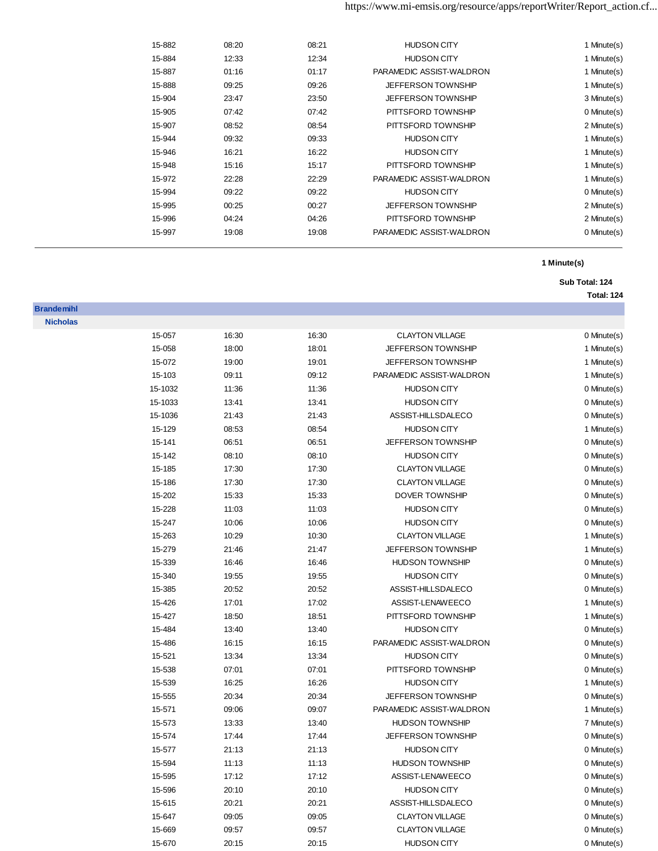| 15-882 | 08:20 | 08:21 | <b>HUDSON CITY</b>        | 1 Minute(s) |
|--------|-------|-------|---------------------------|-------------|
| 15-884 | 12:33 | 12:34 | <b>HUDSON CITY</b>        | 1 Minute(s) |
| 15-887 | 01:16 | 01:17 | PARAMEDIC ASSIST-WALDRON  | 1 Minute(s) |
| 15-888 | 09:25 | 09:26 | <b>JEFFERSON TOWNSHIP</b> | 1 Minute(s) |
| 15-904 | 23:47 | 23:50 | <b>JEFFERSON TOWNSHIP</b> | 3 Minute(s) |
| 15-905 | 07:42 | 07:42 | PITTSFORD TOWNSHIP        | 0 Minute(s) |
| 15-907 | 08:52 | 08:54 | PITTSFORD TOWNSHIP        | 2 Minute(s) |
| 15-944 | 09:32 | 09:33 | <b>HUDSON CITY</b>        | 1 Minute(s) |
| 15-946 | 16:21 | 16:22 | <b>HUDSON CITY</b>        | 1 Minute(s) |
| 15-948 | 15:16 | 15:17 | PITTSFORD TOWNSHIP        | 1 Minute(s) |
| 15-972 | 22:28 | 22:29 | PARAMEDIC ASSIST-WALDRON  | 1 Minute(s) |
| 15-994 | 09:22 | 09:22 | <b>HUDSON CITY</b>        | 0 Minute(s) |
| 15-995 | 00:25 | 00:27 | <b>JEFFERSON TOWNSHIP</b> | 2 Minute(s) |
| 15-996 | 04:24 | 04:26 | PITTSFORD TOWNSHIP        | 2 Minute(s) |
| 15-997 | 19:08 | 19:08 | PARAMEDIC ASSIST-WALDRON  | 0 Minute(s) |
|        |       |       |                           |             |

# **Sub Total: 124**

## **Total: 124**

| 15-057  | 16:30 | 16:30 | <b>CLAYTON VILLAGE</b>    | 0 Minute(s) |
|---------|-------|-------|---------------------------|-------------|
| 15-058  | 18:00 | 18:01 | JEFFERSON TOWNSHIP        | 1 Minute(s) |
| 15-072  | 19:00 | 19:01 | <b>JEFFERSON TOWNSHIP</b> | 1 Minute(s) |
| 15-103  | 09:11 | 09:12 | PARAMEDIC ASSIST-WALDRON  | 1 Minute(s) |
| 15-1032 | 11:36 | 11:36 | <b>HUDSON CITY</b>        | 0 Minute(s) |
| 15-1033 | 13:41 | 13:41 | <b>HUDSON CITY</b>        | 0 Minute(s) |
| 15-1036 | 21:43 | 21:43 | ASSIST-HILLSDALECO        | 0 Minute(s) |
| 15-129  | 08:53 | 08:54 | <b>HUDSON CITY</b>        | 1 Minute(s) |
| 15-141  | 06:51 | 06:51 | JEFFERSON TOWNSHIP        | 0 Minute(s) |
| 15-142  | 08:10 | 08:10 | <b>HUDSON CITY</b>        | 0 Minute(s) |
| 15-185  | 17:30 | 17:30 | <b>CLAYTON VILLAGE</b>    | 0 Minute(s) |
| 15-186  | 17:30 | 17:30 | <b>CLAYTON VILLAGE</b>    | 0 Minute(s) |
| 15-202  | 15:33 | 15:33 | <b>DOVER TOWNSHIP</b>     | 0 Minute(s) |
| 15-228  | 11:03 | 11:03 | <b>HUDSON CITY</b>        | 0 Minute(s) |
| 15-247  | 10:06 | 10:06 | <b>HUDSON CITY</b>        | 0 Minute(s) |
| 15-263  | 10:29 | 10:30 | <b>CLAYTON VILLAGE</b>    | 1 Minute(s) |
| 15-279  | 21:46 | 21:47 | JEFFERSON TOWNSHIP        | 1 Minute(s) |
| 15-339  | 16:46 | 16:46 | <b>HUDSON TOWNSHIP</b>    | 0 Minute(s) |
| 15-340  | 19:55 | 19:55 | <b>HUDSON CITY</b>        | 0 Minute(s) |
| 15-385  | 20:52 | 20:52 | ASSIST-HILLSDALECO        | 0 Minute(s) |
| 15-426  | 17:01 | 17:02 | ASSIST-LENAWEECO          | 1 Minute(s) |
| 15-427  | 18:50 | 18:51 | PITTSFORD TOWNSHIP        | 1 Minute(s) |
| 15-484  | 13:40 | 13:40 | <b>HUDSON CITY</b>        | 0 Minute(s) |
| 15-486  | 16:15 | 16:15 | PARAMEDIC ASSIST-WALDRON  | 0 Minute(s) |
| 15-521  | 13:34 | 13:34 | <b>HUDSON CITY</b>        | 0 Minute(s) |
| 15-538  | 07:01 | 07:01 | PITTSFORD TOWNSHIP        | 0 Minute(s) |
| 15-539  | 16:25 | 16:26 | <b>HUDSON CITY</b>        | 1 Minute(s) |
| 15-555  | 20:34 | 20:34 | JEFFERSON TOWNSHIP        | 0 Minute(s) |
| 15-571  | 09:06 | 09:07 | PARAMEDIC ASSIST-WALDRON  | 1 Minute(s) |
| 15-573  | 13:33 | 13:40 | <b>HUDSON TOWNSHIP</b>    | 7 Minute(s) |
| 15-574  | 17:44 | 17:44 | JEFFERSON TOWNSHIP        | 0 Minute(s) |
| 15-577  | 21:13 | 21:13 | <b>HUDSON CITY</b>        | 0 Minute(s) |
| 15-594  | 11:13 | 11:13 | <b>HUDSON TOWNSHIP</b>    | 0 Minute(s) |
| 15-595  | 17:12 | 17:12 | ASSIST-LENAWEECO          | 0 Minute(s) |
|         |       |       |                           |             |

 15-596 20:10 20:10 HUDSON CITY 0 Minute(s) 15-615 20:21 20:21 ASSIST-HILLSDALECO 0 Minute(s) 15-647 09:05 09:05 CLAYTON VILLAGE 0 Minute(s) 15-669 09:57 09:57 09:57 CLAYTON VILLAGE 0 Minute(s) 15-670 20:15 20:15 HUDSON CITY 0 Minute(s)

**Brandemihl Nicholas**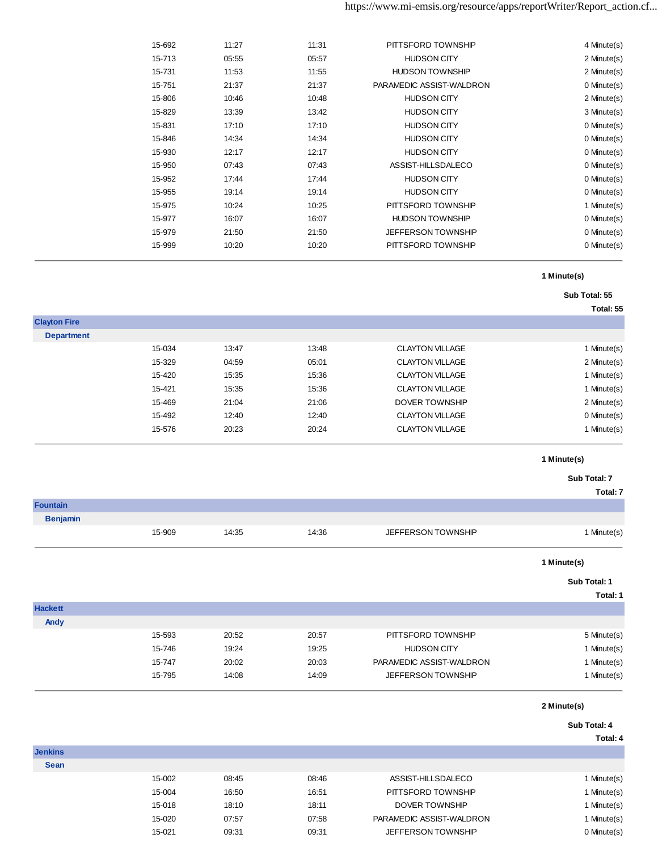| 15-692 | 11:27 | 11:31 | PITTSFORD TOWNSHIP        | 4 Minute(s) |
|--------|-------|-------|---------------------------|-------------|
| 15-713 | 05:55 | 05:57 | <b>HUDSON CITY</b>        | 2 Minute(s) |
| 15-731 | 11:53 | 11:55 | <b>HUDSON TOWNSHIP</b>    | 2 Minute(s) |
| 15-751 | 21:37 | 21:37 | PARAMEDIC ASSIST-WALDRON  | 0 Minute(s) |
| 15-806 | 10:46 | 10:48 | <b>HUDSON CITY</b>        | 2 Minute(s) |
| 15-829 | 13:39 | 13:42 | <b>HUDSON CITY</b>        | 3 Minute(s) |
| 15-831 | 17:10 | 17:10 | <b>HUDSON CITY</b>        | 0 Minute(s) |
| 15-846 | 14:34 | 14:34 | <b>HUDSON CITY</b>        | 0 Minute(s) |
| 15-930 | 12:17 | 12:17 | <b>HUDSON CITY</b>        | 0 Minute(s) |
| 15-950 | 07:43 | 07:43 | ASSIST-HILLSDALECO        | 0 Minute(s) |
| 15-952 | 17:44 | 17:44 | <b>HUDSON CITY</b>        | 0 Minute(s) |
| 15-955 | 19:14 | 19:14 | <b>HUDSON CITY</b>        | 0 Minute(s) |
| 15-975 | 10:24 | 10:25 | PITTSFORD TOWNSHIP        | 1 Minute(s) |
| 15-977 | 16:07 | 16:07 | <b>HUDSON TOWNSHIP</b>    | 0 Minute(s) |
| 15-979 | 21:50 | 21:50 | <b>JEFFERSON TOWNSHIP</b> | 0 Minute(s) |
| 15-999 | 10:20 | 10:20 | PITTSFORD TOWNSHIP        | 0 Minute(s) |
|        |       |       |                           |             |

### **Sub Total: 55**

**Total: 55**

| <b>Clayton Fire</b> |        |       |       |                        |             |
|---------------------|--------|-------|-------|------------------------|-------------|
| <b>Department</b>   |        |       |       |                        |             |
|                     | 15-034 | 13:47 | 13:48 | <b>CLAYTON VILLAGE</b> | 1 Minute(s) |
|                     | 15-329 | 04:59 | 05:01 | <b>CLAYTON VILLAGE</b> | 2 Minute(s) |
|                     | 15-420 | 15:35 | 15:36 | <b>CLAYTON VILLAGE</b> | 1 Minute(s) |
|                     | 15-421 | 15:35 | 15:36 | <b>CLAYTON VILLAGE</b> | 1 Minute(s) |
|                     | 15-469 | 21:04 | 21:06 | DOVER TOWNSHIP         | 2 Minute(s) |
|                     | 15-492 | 12:40 | 12:40 | <b>CLAYTON VILLAGE</b> | 0 Minute(s) |
|                     | 15-576 | 20:23 | 20:24 | <b>CLAYTON VILLAGE</b> | 1 Minute(s) |
|                     |        |       |       |                        |             |

# **1 Minute(s)**

**Sub Total: 7** 

**Total: 7**

| <b>Fountain</b> |        |       |       |                    |             |
|-----------------|--------|-------|-------|--------------------|-------------|
| <b>Benjamin</b> |        |       |       |                    |             |
|                 | 15-909 | 14:35 | 14:36 | JEFFERSON TOWNSHIP | I Minute(s) |

### **1 Minute(s)**

#### **Sub Total: 1**

**Total: 1**

| <b>Hackett</b> |        |       |       |                           |             |
|----------------|--------|-------|-------|---------------------------|-------------|
| Andy           |        |       |       |                           |             |
|                | 15-593 | 20:52 | 20:57 | PITTSFORD TOWNSHIP        | 5 Minute(s) |
|                | 15-746 | 19:24 | 19:25 | <b>HUDSON CITY</b>        | 1 Minute(s) |
|                | 15-747 | 20:02 | 20:03 | PARAMEDIC ASSIST-WALDRON  | 1 Minute(s) |
|                | 15-795 | 14:08 | 14:09 | <b>JEFFERSON TOWNSHIP</b> | 1 Minute(s) |
|                |        |       |       |                           |             |

**2 Minute(s)**

#### **Sub Total: 4**

| <b>Jenkins</b> |        |       |       |                           |             |
|----------------|--------|-------|-------|---------------------------|-------------|
| <b>Sean</b>    |        |       |       |                           |             |
|                | 15-002 | 08:45 | 08:46 | ASSIST-HILLSDALECO        | I Minute(s) |
|                | 15-004 | 16:50 | 16:51 | PITTSFORD TOWNSHIP        | I Minute(s) |
|                | 15-018 | 18:10 | 18:11 | DOVER TOWNSHIP            | Minute(s)   |
|                | 15-020 | 07:57 | 07:58 | PARAMEDIC ASSIST-WALDRON  | Minute(s)   |
|                | 15-021 | 09:31 | 09:31 | <b>JEFFERSON TOWNSHIP</b> | 0 Minute(s) |
|                |        |       |       |                           |             |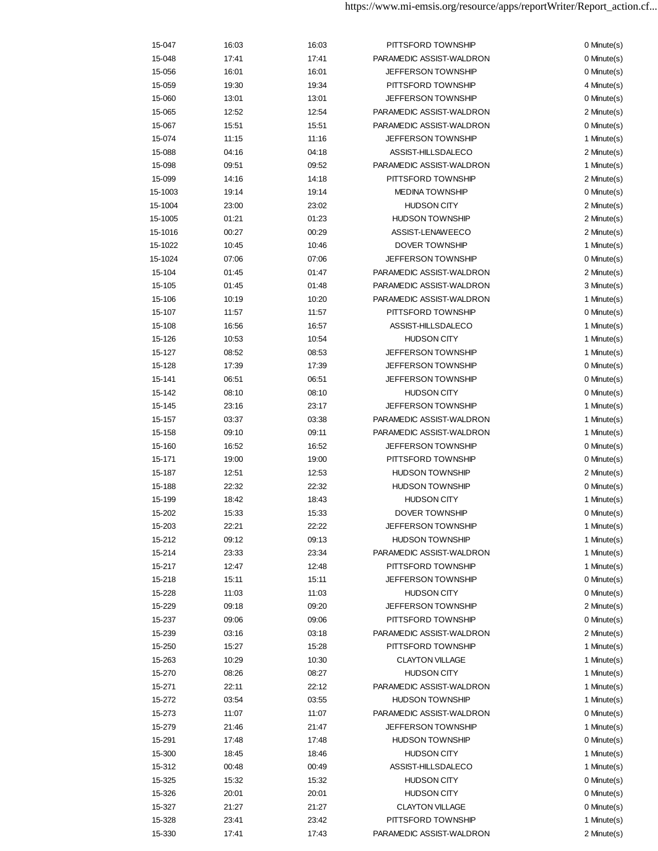| 15-048<br>17:41<br>17:41<br>PARAMEDIC ASSIST-WALDRON<br>JEFFERSON TOWNSHIP<br>15-056<br>16:01<br>16:01<br>15-059<br>19:30<br>19:34<br>PITTSFORD TOWNSHIP<br>15-060<br>13:01<br>13:01<br><b>JEFFERSON TOWNSHIP</b><br>15-065<br>12:52<br>12:54<br>PARAMEDIC ASSIST-WALDRON<br>PARAMEDIC ASSIST-WALDRON<br>15-067<br>15:51<br>15:51<br>11:16<br><b>JEFFERSON TOWNSHIP</b><br>15-074<br>11:15<br>15-088<br>04:16<br>04:18<br>ASSIST-HILLSDALECO<br>PARAMEDIC ASSIST-WALDRON<br>15-098<br>09:51<br>09:52<br>PITTSFORD TOWNSHIP<br>15-099<br>14:16<br>14:18<br>15-1003<br>19:14<br>19:14<br><b>MEDINA TOWNSHIP</b><br>15-1004<br>23:00<br>23:02<br><b>HUDSON CITY</b><br>01:23<br>01:21<br><b>HUDSON TOWNSHIP</b><br>15-1005<br>15-1016<br>00:27<br>00:29<br>ASSIST-LENAWEECO<br>15-1022<br>10:45<br>10:46<br>DOVER TOWNSHIP<br>JEFFERSON TOWNSHIP<br>15-1024<br>07:06<br>07:06<br>15-104<br>01:45<br>01:47<br>PARAMEDIC ASSIST-WALDRON<br>15-105<br>PARAMEDIC ASSIST-WALDRON<br>01:45<br>01:48<br>PARAMEDIC ASSIST-WALDRON<br>15-106<br>10:19<br>10:20<br>15-107<br>PITTSFORD TOWNSHIP<br>11:57<br>11:57<br>15-108<br>16:57<br>ASSIST-HILLSDALECO<br>16:56<br>15-126<br>10:53<br>10:54<br><b>HUDSON CITY</b><br>JEFFERSON TOWNSHIP<br>15-127<br>08:52<br>08:53<br>15-128<br>17:39<br>17:39<br><b>JEFFERSON TOWNSHIP</b><br>15-141<br>06:51<br>06:51<br><b>JEFFERSON TOWNSHIP</b><br><b>HUDSON CITY</b><br>15-142<br>08:10<br>08:10<br>JEFFERSON TOWNSHIP<br>15-145<br>23:16<br>23:17<br>PARAMEDIC ASSIST-WALDRON<br>15-157<br>03:37<br>03:38<br>PARAMEDIC ASSIST-WALDRON<br>15-158<br>09:10<br>09:11<br>JEFFERSON TOWNSHIP<br>15-160<br>16:52<br>16:52<br>19:00<br>PITTSFORD TOWNSHIP<br>15-171<br>19:00<br>12:51<br>12:53<br><b>HUDSON TOWNSHIP</b><br>15-187<br>22:32<br><b>HUDSON TOWNSHIP</b><br>15-188<br>22:32<br><b>HUDSON CITY</b><br>15-199<br>18:42<br>18:43<br>15-202<br>15:33<br>15:33<br><b>DOVER TOWNSHIP</b><br>15-203<br>22:21<br>22:22<br>JEFFERSON TOWNSHIP<br>15-212<br>09:12<br>09:13<br><b>HUDSON TOWNSHIP</b><br>15-214<br>23:33<br>23:34<br>PARAMEDIC ASSIST-WALDRON<br>15-217<br>12:47<br>12:48<br>PITTSFORD TOWNSHIP<br>JEFFERSON TOWNSHIP<br>15-218<br>15:11<br>15:11<br>15-228<br>11:03<br>11:03<br><b>HUDSON CITY</b><br>15-229<br>09:18<br>09:20<br><b>JEFFERSON TOWNSHIP</b><br>15-237<br>09:06<br>09:06<br>PITTSFORD TOWNSHIP<br>15-239<br>03:16<br>03:18<br>PARAMEDIC ASSIST-WALDRON<br>15:27<br>15:28<br>PITTSFORD TOWNSHIP<br>15-250<br>15-263<br>10:29<br>10:30<br><b>CLAYTON VILLAGE</b><br>15-270<br>08:26<br>08:27<br><b>HUDSON CITY</b><br>22:12<br>PARAMEDIC ASSIST-WALDRON<br>15-271<br>22:11<br>03:54<br>03:55<br><b>HUDSON TOWNSHIP</b><br>15-272 |
|------------------------------------------------------------------------------------------------------------------------------------------------------------------------------------------------------------------------------------------------------------------------------------------------------------------------------------------------------------------------------------------------------------------------------------------------------------------------------------------------------------------------------------------------------------------------------------------------------------------------------------------------------------------------------------------------------------------------------------------------------------------------------------------------------------------------------------------------------------------------------------------------------------------------------------------------------------------------------------------------------------------------------------------------------------------------------------------------------------------------------------------------------------------------------------------------------------------------------------------------------------------------------------------------------------------------------------------------------------------------------------------------------------------------------------------------------------------------------------------------------------------------------------------------------------------------------------------------------------------------------------------------------------------------------------------------------------------------------------------------------------------------------------------------------------------------------------------------------------------------------------------------------------------------------------------------------------------------------------------------------------------------------------------------------------------------------------------------------------------------------------------------------------------------------------------------------------------------------------------------------------------------------------------------------------------------------------------------------------------------------------------------------------------------------------------------------------------------------------------------------------------------------------------------------------------------------------------------------------------------------------------------------------------------------------------|
|                                                                                                                                                                                                                                                                                                                                                                                                                                                                                                                                                                                                                                                                                                                                                                                                                                                                                                                                                                                                                                                                                                                                                                                                                                                                                                                                                                                                                                                                                                                                                                                                                                                                                                                                                                                                                                                                                                                                                                                                                                                                                                                                                                                                                                                                                                                                                                                                                                                                                                                                                                                                                                                                                          |
|                                                                                                                                                                                                                                                                                                                                                                                                                                                                                                                                                                                                                                                                                                                                                                                                                                                                                                                                                                                                                                                                                                                                                                                                                                                                                                                                                                                                                                                                                                                                                                                                                                                                                                                                                                                                                                                                                                                                                                                                                                                                                                                                                                                                                                                                                                                                                                                                                                                                                                                                                                                                                                                                                          |
|                                                                                                                                                                                                                                                                                                                                                                                                                                                                                                                                                                                                                                                                                                                                                                                                                                                                                                                                                                                                                                                                                                                                                                                                                                                                                                                                                                                                                                                                                                                                                                                                                                                                                                                                                                                                                                                                                                                                                                                                                                                                                                                                                                                                                                                                                                                                                                                                                                                                                                                                                                                                                                                                                          |
|                                                                                                                                                                                                                                                                                                                                                                                                                                                                                                                                                                                                                                                                                                                                                                                                                                                                                                                                                                                                                                                                                                                                                                                                                                                                                                                                                                                                                                                                                                                                                                                                                                                                                                                                                                                                                                                                                                                                                                                                                                                                                                                                                                                                                                                                                                                                                                                                                                                                                                                                                                                                                                                                                          |
|                                                                                                                                                                                                                                                                                                                                                                                                                                                                                                                                                                                                                                                                                                                                                                                                                                                                                                                                                                                                                                                                                                                                                                                                                                                                                                                                                                                                                                                                                                                                                                                                                                                                                                                                                                                                                                                                                                                                                                                                                                                                                                                                                                                                                                                                                                                                                                                                                                                                                                                                                                                                                                                                                          |
|                                                                                                                                                                                                                                                                                                                                                                                                                                                                                                                                                                                                                                                                                                                                                                                                                                                                                                                                                                                                                                                                                                                                                                                                                                                                                                                                                                                                                                                                                                                                                                                                                                                                                                                                                                                                                                                                                                                                                                                                                                                                                                                                                                                                                                                                                                                                                                                                                                                                                                                                                                                                                                                                                          |
|                                                                                                                                                                                                                                                                                                                                                                                                                                                                                                                                                                                                                                                                                                                                                                                                                                                                                                                                                                                                                                                                                                                                                                                                                                                                                                                                                                                                                                                                                                                                                                                                                                                                                                                                                                                                                                                                                                                                                                                                                                                                                                                                                                                                                                                                                                                                                                                                                                                                                                                                                                                                                                                                                          |
|                                                                                                                                                                                                                                                                                                                                                                                                                                                                                                                                                                                                                                                                                                                                                                                                                                                                                                                                                                                                                                                                                                                                                                                                                                                                                                                                                                                                                                                                                                                                                                                                                                                                                                                                                                                                                                                                                                                                                                                                                                                                                                                                                                                                                                                                                                                                                                                                                                                                                                                                                                                                                                                                                          |
|                                                                                                                                                                                                                                                                                                                                                                                                                                                                                                                                                                                                                                                                                                                                                                                                                                                                                                                                                                                                                                                                                                                                                                                                                                                                                                                                                                                                                                                                                                                                                                                                                                                                                                                                                                                                                                                                                                                                                                                                                                                                                                                                                                                                                                                                                                                                                                                                                                                                                                                                                                                                                                                                                          |
|                                                                                                                                                                                                                                                                                                                                                                                                                                                                                                                                                                                                                                                                                                                                                                                                                                                                                                                                                                                                                                                                                                                                                                                                                                                                                                                                                                                                                                                                                                                                                                                                                                                                                                                                                                                                                                                                                                                                                                                                                                                                                                                                                                                                                                                                                                                                                                                                                                                                                                                                                                                                                                                                                          |
|                                                                                                                                                                                                                                                                                                                                                                                                                                                                                                                                                                                                                                                                                                                                                                                                                                                                                                                                                                                                                                                                                                                                                                                                                                                                                                                                                                                                                                                                                                                                                                                                                                                                                                                                                                                                                                                                                                                                                                                                                                                                                                                                                                                                                                                                                                                                                                                                                                                                                                                                                                                                                                                                                          |
|                                                                                                                                                                                                                                                                                                                                                                                                                                                                                                                                                                                                                                                                                                                                                                                                                                                                                                                                                                                                                                                                                                                                                                                                                                                                                                                                                                                                                                                                                                                                                                                                                                                                                                                                                                                                                                                                                                                                                                                                                                                                                                                                                                                                                                                                                                                                                                                                                                                                                                                                                                                                                                                                                          |
|                                                                                                                                                                                                                                                                                                                                                                                                                                                                                                                                                                                                                                                                                                                                                                                                                                                                                                                                                                                                                                                                                                                                                                                                                                                                                                                                                                                                                                                                                                                                                                                                                                                                                                                                                                                                                                                                                                                                                                                                                                                                                                                                                                                                                                                                                                                                                                                                                                                                                                                                                                                                                                                                                          |
|                                                                                                                                                                                                                                                                                                                                                                                                                                                                                                                                                                                                                                                                                                                                                                                                                                                                                                                                                                                                                                                                                                                                                                                                                                                                                                                                                                                                                                                                                                                                                                                                                                                                                                                                                                                                                                                                                                                                                                                                                                                                                                                                                                                                                                                                                                                                                                                                                                                                                                                                                                                                                                                                                          |
|                                                                                                                                                                                                                                                                                                                                                                                                                                                                                                                                                                                                                                                                                                                                                                                                                                                                                                                                                                                                                                                                                                                                                                                                                                                                                                                                                                                                                                                                                                                                                                                                                                                                                                                                                                                                                                                                                                                                                                                                                                                                                                                                                                                                                                                                                                                                                                                                                                                                                                                                                                                                                                                                                          |
|                                                                                                                                                                                                                                                                                                                                                                                                                                                                                                                                                                                                                                                                                                                                                                                                                                                                                                                                                                                                                                                                                                                                                                                                                                                                                                                                                                                                                                                                                                                                                                                                                                                                                                                                                                                                                                                                                                                                                                                                                                                                                                                                                                                                                                                                                                                                                                                                                                                                                                                                                                                                                                                                                          |
|                                                                                                                                                                                                                                                                                                                                                                                                                                                                                                                                                                                                                                                                                                                                                                                                                                                                                                                                                                                                                                                                                                                                                                                                                                                                                                                                                                                                                                                                                                                                                                                                                                                                                                                                                                                                                                                                                                                                                                                                                                                                                                                                                                                                                                                                                                                                                                                                                                                                                                                                                                                                                                                                                          |
|                                                                                                                                                                                                                                                                                                                                                                                                                                                                                                                                                                                                                                                                                                                                                                                                                                                                                                                                                                                                                                                                                                                                                                                                                                                                                                                                                                                                                                                                                                                                                                                                                                                                                                                                                                                                                                                                                                                                                                                                                                                                                                                                                                                                                                                                                                                                                                                                                                                                                                                                                                                                                                                                                          |
|                                                                                                                                                                                                                                                                                                                                                                                                                                                                                                                                                                                                                                                                                                                                                                                                                                                                                                                                                                                                                                                                                                                                                                                                                                                                                                                                                                                                                                                                                                                                                                                                                                                                                                                                                                                                                                                                                                                                                                                                                                                                                                                                                                                                                                                                                                                                                                                                                                                                                                                                                                                                                                                                                          |
|                                                                                                                                                                                                                                                                                                                                                                                                                                                                                                                                                                                                                                                                                                                                                                                                                                                                                                                                                                                                                                                                                                                                                                                                                                                                                                                                                                                                                                                                                                                                                                                                                                                                                                                                                                                                                                                                                                                                                                                                                                                                                                                                                                                                                                                                                                                                                                                                                                                                                                                                                                                                                                                                                          |
|                                                                                                                                                                                                                                                                                                                                                                                                                                                                                                                                                                                                                                                                                                                                                                                                                                                                                                                                                                                                                                                                                                                                                                                                                                                                                                                                                                                                                                                                                                                                                                                                                                                                                                                                                                                                                                                                                                                                                                                                                                                                                                                                                                                                                                                                                                                                                                                                                                                                                                                                                                                                                                                                                          |
|                                                                                                                                                                                                                                                                                                                                                                                                                                                                                                                                                                                                                                                                                                                                                                                                                                                                                                                                                                                                                                                                                                                                                                                                                                                                                                                                                                                                                                                                                                                                                                                                                                                                                                                                                                                                                                                                                                                                                                                                                                                                                                                                                                                                                                                                                                                                                                                                                                                                                                                                                                                                                                                                                          |
|                                                                                                                                                                                                                                                                                                                                                                                                                                                                                                                                                                                                                                                                                                                                                                                                                                                                                                                                                                                                                                                                                                                                                                                                                                                                                                                                                                                                                                                                                                                                                                                                                                                                                                                                                                                                                                                                                                                                                                                                                                                                                                                                                                                                                                                                                                                                                                                                                                                                                                                                                                                                                                                                                          |
|                                                                                                                                                                                                                                                                                                                                                                                                                                                                                                                                                                                                                                                                                                                                                                                                                                                                                                                                                                                                                                                                                                                                                                                                                                                                                                                                                                                                                                                                                                                                                                                                                                                                                                                                                                                                                                                                                                                                                                                                                                                                                                                                                                                                                                                                                                                                                                                                                                                                                                                                                                                                                                                                                          |
|                                                                                                                                                                                                                                                                                                                                                                                                                                                                                                                                                                                                                                                                                                                                                                                                                                                                                                                                                                                                                                                                                                                                                                                                                                                                                                                                                                                                                                                                                                                                                                                                                                                                                                                                                                                                                                                                                                                                                                                                                                                                                                                                                                                                                                                                                                                                                                                                                                                                                                                                                                                                                                                                                          |
|                                                                                                                                                                                                                                                                                                                                                                                                                                                                                                                                                                                                                                                                                                                                                                                                                                                                                                                                                                                                                                                                                                                                                                                                                                                                                                                                                                                                                                                                                                                                                                                                                                                                                                                                                                                                                                                                                                                                                                                                                                                                                                                                                                                                                                                                                                                                                                                                                                                                                                                                                                                                                                                                                          |
|                                                                                                                                                                                                                                                                                                                                                                                                                                                                                                                                                                                                                                                                                                                                                                                                                                                                                                                                                                                                                                                                                                                                                                                                                                                                                                                                                                                                                                                                                                                                                                                                                                                                                                                                                                                                                                                                                                                                                                                                                                                                                                                                                                                                                                                                                                                                                                                                                                                                                                                                                                                                                                                                                          |
|                                                                                                                                                                                                                                                                                                                                                                                                                                                                                                                                                                                                                                                                                                                                                                                                                                                                                                                                                                                                                                                                                                                                                                                                                                                                                                                                                                                                                                                                                                                                                                                                                                                                                                                                                                                                                                                                                                                                                                                                                                                                                                                                                                                                                                                                                                                                                                                                                                                                                                                                                                                                                                                                                          |
|                                                                                                                                                                                                                                                                                                                                                                                                                                                                                                                                                                                                                                                                                                                                                                                                                                                                                                                                                                                                                                                                                                                                                                                                                                                                                                                                                                                                                                                                                                                                                                                                                                                                                                                                                                                                                                                                                                                                                                                                                                                                                                                                                                                                                                                                                                                                                                                                                                                                                                                                                                                                                                                                                          |
|                                                                                                                                                                                                                                                                                                                                                                                                                                                                                                                                                                                                                                                                                                                                                                                                                                                                                                                                                                                                                                                                                                                                                                                                                                                                                                                                                                                                                                                                                                                                                                                                                                                                                                                                                                                                                                                                                                                                                                                                                                                                                                                                                                                                                                                                                                                                                                                                                                                                                                                                                                                                                                                                                          |
|                                                                                                                                                                                                                                                                                                                                                                                                                                                                                                                                                                                                                                                                                                                                                                                                                                                                                                                                                                                                                                                                                                                                                                                                                                                                                                                                                                                                                                                                                                                                                                                                                                                                                                                                                                                                                                                                                                                                                                                                                                                                                                                                                                                                                                                                                                                                                                                                                                                                                                                                                                                                                                                                                          |
|                                                                                                                                                                                                                                                                                                                                                                                                                                                                                                                                                                                                                                                                                                                                                                                                                                                                                                                                                                                                                                                                                                                                                                                                                                                                                                                                                                                                                                                                                                                                                                                                                                                                                                                                                                                                                                                                                                                                                                                                                                                                                                                                                                                                                                                                                                                                                                                                                                                                                                                                                                                                                                                                                          |
|                                                                                                                                                                                                                                                                                                                                                                                                                                                                                                                                                                                                                                                                                                                                                                                                                                                                                                                                                                                                                                                                                                                                                                                                                                                                                                                                                                                                                                                                                                                                                                                                                                                                                                                                                                                                                                                                                                                                                                                                                                                                                                                                                                                                                                                                                                                                                                                                                                                                                                                                                                                                                                                                                          |
|                                                                                                                                                                                                                                                                                                                                                                                                                                                                                                                                                                                                                                                                                                                                                                                                                                                                                                                                                                                                                                                                                                                                                                                                                                                                                                                                                                                                                                                                                                                                                                                                                                                                                                                                                                                                                                                                                                                                                                                                                                                                                                                                                                                                                                                                                                                                                                                                                                                                                                                                                                                                                                                                                          |
|                                                                                                                                                                                                                                                                                                                                                                                                                                                                                                                                                                                                                                                                                                                                                                                                                                                                                                                                                                                                                                                                                                                                                                                                                                                                                                                                                                                                                                                                                                                                                                                                                                                                                                                                                                                                                                                                                                                                                                                                                                                                                                                                                                                                                                                                                                                                                                                                                                                                                                                                                                                                                                                                                          |
|                                                                                                                                                                                                                                                                                                                                                                                                                                                                                                                                                                                                                                                                                                                                                                                                                                                                                                                                                                                                                                                                                                                                                                                                                                                                                                                                                                                                                                                                                                                                                                                                                                                                                                                                                                                                                                                                                                                                                                                                                                                                                                                                                                                                                                                                                                                                                                                                                                                                                                                                                                                                                                                                                          |
|                                                                                                                                                                                                                                                                                                                                                                                                                                                                                                                                                                                                                                                                                                                                                                                                                                                                                                                                                                                                                                                                                                                                                                                                                                                                                                                                                                                                                                                                                                                                                                                                                                                                                                                                                                                                                                                                                                                                                                                                                                                                                                                                                                                                                                                                                                                                                                                                                                                                                                                                                                                                                                                                                          |
|                                                                                                                                                                                                                                                                                                                                                                                                                                                                                                                                                                                                                                                                                                                                                                                                                                                                                                                                                                                                                                                                                                                                                                                                                                                                                                                                                                                                                                                                                                                                                                                                                                                                                                                                                                                                                                                                                                                                                                                                                                                                                                                                                                                                                                                                                                                                                                                                                                                                                                                                                                                                                                                                                          |
|                                                                                                                                                                                                                                                                                                                                                                                                                                                                                                                                                                                                                                                                                                                                                                                                                                                                                                                                                                                                                                                                                                                                                                                                                                                                                                                                                                                                                                                                                                                                                                                                                                                                                                                                                                                                                                                                                                                                                                                                                                                                                                                                                                                                                                                                                                                                                                                                                                                                                                                                                                                                                                                                                          |
|                                                                                                                                                                                                                                                                                                                                                                                                                                                                                                                                                                                                                                                                                                                                                                                                                                                                                                                                                                                                                                                                                                                                                                                                                                                                                                                                                                                                                                                                                                                                                                                                                                                                                                                                                                                                                                                                                                                                                                                                                                                                                                                                                                                                                                                                                                                                                                                                                                                                                                                                                                                                                                                                                          |
|                                                                                                                                                                                                                                                                                                                                                                                                                                                                                                                                                                                                                                                                                                                                                                                                                                                                                                                                                                                                                                                                                                                                                                                                                                                                                                                                                                                                                                                                                                                                                                                                                                                                                                                                                                                                                                                                                                                                                                                                                                                                                                                                                                                                                                                                                                                                                                                                                                                                                                                                                                                                                                                                                          |
|                                                                                                                                                                                                                                                                                                                                                                                                                                                                                                                                                                                                                                                                                                                                                                                                                                                                                                                                                                                                                                                                                                                                                                                                                                                                                                                                                                                                                                                                                                                                                                                                                                                                                                                                                                                                                                                                                                                                                                                                                                                                                                                                                                                                                                                                                                                                                                                                                                                                                                                                                                                                                                                                                          |
|                                                                                                                                                                                                                                                                                                                                                                                                                                                                                                                                                                                                                                                                                                                                                                                                                                                                                                                                                                                                                                                                                                                                                                                                                                                                                                                                                                                                                                                                                                                                                                                                                                                                                                                                                                                                                                                                                                                                                                                                                                                                                                                                                                                                                                                                                                                                                                                                                                                                                                                                                                                                                                                                                          |
|                                                                                                                                                                                                                                                                                                                                                                                                                                                                                                                                                                                                                                                                                                                                                                                                                                                                                                                                                                                                                                                                                                                                                                                                                                                                                                                                                                                                                                                                                                                                                                                                                                                                                                                                                                                                                                                                                                                                                                                                                                                                                                                                                                                                                                                                                                                                                                                                                                                                                                                                                                                                                                                                                          |
|                                                                                                                                                                                                                                                                                                                                                                                                                                                                                                                                                                                                                                                                                                                                                                                                                                                                                                                                                                                                                                                                                                                                                                                                                                                                                                                                                                                                                                                                                                                                                                                                                                                                                                                                                                                                                                                                                                                                                                                                                                                                                                                                                                                                                                                                                                                                                                                                                                                                                                                                                                                                                                                                                          |
|                                                                                                                                                                                                                                                                                                                                                                                                                                                                                                                                                                                                                                                                                                                                                                                                                                                                                                                                                                                                                                                                                                                                                                                                                                                                                                                                                                                                                                                                                                                                                                                                                                                                                                                                                                                                                                                                                                                                                                                                                                                                                                                                                                                                                                                                                                                                                                                                                                                                                                                                                                                                                                                                                          |
|                                                                                                                                                                                                                                                                                                                                                                                                                                                                                                                                                                                                                                                                                                                                                                                                                                                                                                                                                                                                                                                                                                                                                                                                                                                                                                                                                                                                                                                                                                                                                                                                                                                                                                                                                                                                                                                                                                                                                                                                                                                                                                                                                                                                                                                                                                                                                                                                                                                                                                                                                                                                                                                                                          |
|                                                                                                                                                                                                                                                                                                                                                                                                                                                                                                                                                                                                                                                                                                                                                                                                                                                                                                                                                                                                                                                                                                                                                                                                                                                                                                                                                                                                                                                                                                                                                                                                                                                                                                                                                                                                                                                                                                                                                                                                                                                                                                                                                                                                                                                                                                                                                                                                                                                                                                                                                                                                                                                                                          |
|                                                                                                                                                                                                                                                                                                                                                                                                                                                                                                                                                                                                                                                                                                                                                                                                                                                                                                                                                                                                                                                                                                                                                                                                                                                                                                                                                                                                                                                                                                                                                                                                                                                                                                                                                                                                                                                                                                                                                                                                                                                                                                                                                                                                                                                                                                                                                                                                                                                                                                                                                                                                                                                                                          |
|                                                                                                                                                                                                                                                                                                                                                                                                                                                                                                                                                                                                                                                                                                                                                                                                                                                                                                                                                                                                                                                                                                                                                                                                                                                                                                                                                                                                                                                                                                                                                                                                                                                                                                                                                                                                                                                                                                                                                                                                                                                                                                                                                                                                                                                                                                                                                                                                                                                                                                                                                                                                                                                                                          |
| 15-273<br>11:07<br>11:07<br>PARAMEDIC ASSIST-WALDRON                                                                                                                                                                                                                                                                                                                                                                                                                                                                                                                                                                                                                                                                                                                                                                                                                                                                                                                                                                                                                                                                                                                                                                                                                                                                                                                                                                                                                                                                                                                                                                                                                                                                                                                                                                                                                                                                                                                                                                                                                                                                                                                                                                                                                                                                                                                                                                                                                                                                                                                                                                                                                                     |
| 15-279<br>21:46<br>21:47<br><b>JEFFERSON TOWNSHIP</b>                                                                                                                                                                                                                                                                                                                                                                                                                                                                                                                                                                                                                                                                                                                                                                                                                                                                                                                                                                                                                                                                                                                                                                                                                                                                                                                                                                                                                                                                                                                                                                                                                                                                                                                                                                                                                                                                                                                                                                                                                                                                                                                                                                                                                                                                                                                                                                                                                                                                                                                                                                                                                                    |
| 15-291<br>17:48<br>17:48<br><b>HUDSON TOWNSHIP</b>                                                                                                                                                                                                                                                                                                                                                                                                                                                                                                                                                                                                                                                                                                                                                                                                                                                                                                                                                                                                                                                                                                                                                                                                                                                                                                                                                                                                                                                                                                                                                                                                                                                                                                                                                                                                                                                                                                                                                                                                                                                                                                                                                                                                                                                                                                                                                                                                                                                                                                                                                                                                                                       |
| 15-300<br>18:45<br>18:46<br><b>HUDSON CITY</b>                                                                                                                                                                                                                                                                                                                                                                                                                                                                                                                                                                                                                                                                                                                                                                                                                                                                                                                                                                                                                                                                                                                                                                                                                                                                                                                                                                                                                                                                                                                                                                                                                                                                                                                                                                                                                                                                                                                                                                                                                                                                                                                                                                                                                                                                                                                                                                                                                                                                                                                                                                                                                                           |
| 15-312<br>00:48<br>ASSIST-HILLSDALECO<br>00:49                                                                                                                                                                                                                                                                                                                                                                                                                                                                                                                                                                                                                                                                                                                                                                                                                                                                                                                                                                                                                                                                                                                                                                                                                                                                                                                                                                                                                                                                                                                                                                                                                                                                                                                                                                                                                                                                                                                                                                                                                                                                                                                                                                                                                                                                                                                                                                                                                                                                                                                                                                                                                                           |
| 15-325<br>15:32<br>15:32<br><b>HUDSON CITY</b>                                                                                                                                                                                                                                                                                                                                                                                                                                                                                                                                                                                                                                                                                                                                                                                                                                                                                                                                                                                                                                                                                                                                                                                                                                                                                                                                                                                                                                                                                                                                                                                                                                                                                                                                                                                                                                                                                                                                                                                                                                                                                                                                                                                                                                                                                                                                                                                                                                                                                                                                                                                                                                           |
| 15-326<br>20:01<br>20:01<br><b>HUDSON CITY</b>                                                                                                                                                                                                                                                                                                                                                                                                                                                                                                                                                                                                                                                                                                                                                                                                                                                                                                                                                                                                                                                                                                                                                                                                                                                                                                                                                                                                                                                                                                                                                                                                                                                                                                                                                                                                                                                                                                                                                                                                                                                                                                                                                                                                                                                                                                                                                                                                                                                                                                                                                                                                                                           |
|                                                                                                                                                                                                                                                                                                                                                                                                                                                                                                                                                                                                                                                                                                                                                                                                                                                                                                                                                                                                                                                                                                                                                                                                                                                                                                                                                                                                                                                                                                                                                                                                                                                                                                                                                                                                                                                                                                                                                                                                                                                                                                                                                                                                                                                                                                                                                                                                                                                                                                                                                                                                                                                                                          |
| 15-327<br>21:27<br>21:27<br><b>CLAYTON VILLAGE</b>                                                                                                                                                                                                                                                                                                                                                                                                                                                                                                                                                                                                                                                                                                                                                                                                                                                                                                                                                                                                                                                                                                                                                                                                                                                                                                                                                                                                                                                                                                                                                                                                                                                                                                                                                                                                                                                                                                                                                                                                                                                                                                                                                                                                                                                                                                                                                                                                                                                                                                                                                                                                                                       |
| 15-328<br>23:42<br>PITTSFORD TOWNSHIP<br>23:41                                                                                                                                                                                                                                                                                                                                                                                                                                                                                                                                                                                                                                                                                                                                                                                                                                                                                                                                                                                                                                                                                                                                                                                                                                                                                                                                                                                                                                                                                                                                                                                                                                                                                                                                                                                                                                                                                                                                                                                                                                                                                                                                                                                                                                                                                                                                                                                                                                                                                                                                                                                                                                           |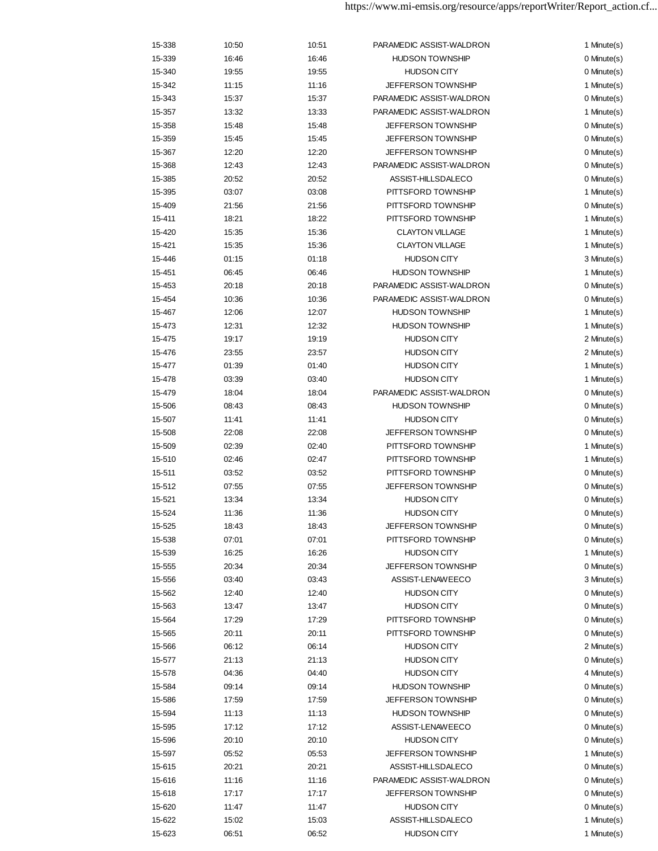| 15-338 | 10:50 | 10:51 | PARAMEDIC ASSIST-WALDRON  | 1 Minute(s) |
|--------|-------|-------|---------------------------|-------------|
| 15-339 | 16:46 | 16:46 | <b>HUDSON TOWNSHIP</b>    | 0 Minute(s) |
| 15-340 | 19:55 | 19:55 | <b>HUDSON CITY</b>        | 0 Minute(s) |
| 15-342 | 11:15 | 11:16 | <b>JEFFERSON TOWNSHIP</b> | 1 Minute(s) |
| 15-343 | 15:37 | 15:37 | PARAMEDIC ASSIST-WALDRON  | 0 Minute(s) |
| 15-357 | 13:32 | 13:33 | PARAMEDIC ASSIST-WALDRON  | 1 Minute(s) |
| 15-358 | 15:48 | 15:48 | <b>JEFFERSON TOWNSHIP</b> | 0 Minute(s) |
| 15-359 | 15:45 | 15:45 | <b>JEFFERSON TOWNSHIP</b> | 0 Minute(s) |
| 15-367 | 12:20 | 12:20 | <b>JEFFERSON TOWNSHIP</b> | 0 Minute(s) |
| 15-368 | 12:43 | 12:43 | PARAMEDIC ASSIST-WALDRON  | 0 Minute(s) |
| 15-385 | 20:52 | 20:52 | ASSIST-HILLSDALECO        | 0 Minute(s) |
| 15-395 | 03:07 | 03:08 | PITTSFORD TOWNSHIP        | 1 Minute(s) |
| 15-409 | 21:56 | 21:56 | PITTSFORD TOWNSHIP        | 0 Minute(s) |
| 15-411 | 18:21 | 18:22 | PITTSFORD TOWNSHIP        | 1 Minute(s) |
| 15-420 | 15:35 | 15:36 | <b>CLAYTON VILLAGE</b>    | 1 Minute(s) |
| 15-421 | 15:35 | 15:36 | <b>CLAYTON VILLAGE</b>    | 1 Minute(s) |
| 15-446 | 01:15 | 01:18 | <b>HUDSON CITY</b>        | 3 Minute(s) |
| 15-451 | 06:45 | 06:46 | <b>HUDSON TOWNSHIP</b>    | 1 Minute(s) |
| 15-453 | 20:18 | 20:18 | PARAMEDIC ASSIST-WALDRON  | 0 Minute(s) |
| 15-454 | 10:36 | 10:36 | PARAMEDIC ASSIST-WALDRON  | 0 Minute(s) |
| 15-467 | 12:06 | 12:07 | <b>HUDSON TOWNSHIP</b>    | 1 Minute(s) |
| 15-473 | 12:31 | 12:32 | <b>HUDSON TOWNSHIP</b>    | 1 Minute(s) |
| 15-475 | 19:17 | 19:19 | <b>HUDSON CITY</b>        | 2 Minute(s) |
| 15-476 | 23:55 | 23:57 | <b>HUDSON CITY</b>        | 2 Minute(s) |
| 15-477 | 01:39 | 01:40 | <b>HUDSON CITY</b>        | 1 Minute(s) |
| 15-478 | 03:39 | 03:40 | <b>HUDSON CITY</b>        | 1 Minute(s) |
| 15-479 | 18:04 | 18:04 | PARAMEDIC ASSIST-WALDRON  | 0 Minute(s) |
| 15-506 | 08:43 | 08:43 | <b>HUDSON TOWNSHIP</b>    | 0 Minute(s) |
| 15-507 | 11:41 | 11:41 | <b>HUDSON CITY</b>        | 0 Minute(s) |
| 15-508 | 22:08 | 22:08 | <b>JEFFERSON TOWNSHIP</b> | 0 Minute(s) |
| 15-509 | 02:39 | 02:40 | PITTSFORD TOWNSHIP        | 1 Minute(s) |
| 15-510 | 02:46 | 02:47 | PITTSFORD TOWNSHIP        | 1 Minute(s) |
| 15-511 | 03:52 | 03:52 | PITTSFORD TOWNSHIP        | 0 Minute(s) |
| 15-512 | 07:55 | 07:55 | <b>JEFFERSON TOWNSHIP</b> | 0 Minute(s) |
| 15-521 | 13:34 | 13:34 | <b>HUDSON CITY</b>        | 0 Minute(s) |
| 15-524 | 11:36 | 11:36 | <b>HUDSON CITY</b>        | 0 Minute(s) |
| 15-525 | 18:43 | 18:43 | <b>JEFFERSON TOWNSHIP</b> | 0 Minute(s) |
| 15-538 | 07:01 | 07:01 | PITTSFORD TOWNSHIP        | 0 Minute(s) |
| 15-539 | 16:25 | 16:26 | <b>HUDSON CITY</b>        | 1 Minute(s) |
| 15-555 | 20:34 | 20:34 | JEFFERSON TOWNSHIP        | 0 Minute(s) |
| 15-556 | 03:40 | 03:43 | ASSIST-LENAWEECO          | 3 Minute(s) |
| 15-562 | 12:40 | 12:40 | <b>HUDSON CITY</b>        | 0 Minute(s) |
| 15-563 | 13:47 | 13:47 | <b>HUDSON CITY</b>        | 0 Minute(s) |
| 15-564 | 17:29 | 17:29 | PITTSFORD TOWNSHIP        | 0 Minute(s) |
| 15-565 | 20:11 | 20:11 | PITTSFORD TOWNSHIP        | 0 Minute(s) |
| 15-566 | 06:12 | 06:14 | <b>HUDSON CITY</b>        | 2 Minute(s) |
| 15-577 | 21:13 | 21:13 | <b>HUDSON CITY</b>        | 0 Minute(s) |
| 15-578 | 04:36 | 04:40 | <b>HUDSON CITY</b>        | 4 Minute(s) |
| 15-584 | 09:14 | 09:14 | <b>HUDSON TOWNSHIP</b>    | 0 Minute(s) |
| 15-586 | 17:59 | 17:59 | <b>JEFFERSON TOWNSHIP</b> | 0 Minute(s) |
| 15-594 | 11:13 | 11:13 | <b>HUDSON TOWNSHIP</b>    | 0 Minute(s) |
| 15-595 | 17:12 | 17:12 | ASSIST-LENAWEECO          | 0 Minute(s) |
| 15-596 | 20:10 | 20:10 | <b>HUDSON CITY</b>        | 0 Minute(s) |
| 15-597 | 05:52 | 05:53 | JEFFERSON TOWNSHIP        | 1 Minute(s) |
| 15-615 | 20:21 | 20:21 | ASSIST-HILLSDALECO        | 0 Minute(s) |
| 15-616 | 11:16 | 11:16 | PARAMEDIC ASSIST-WALDRON  | 0 Minute(s) |
| 15-618 | 17:17 | 17:17 | <b>JEFFERSON TOWNSHIP</b> | 0 Minute(s) |
| 15-620 | 11:47 | 11:47 | <b>HUDSON CITY</b>        | 0 Minute(s) |
| 15-622 | 15:02 | 15:03 | ASSIST-HILLSDALECO        | 1 Minute(s) |
| 15-623 | 06:51 | 06:52 | <b>HUDSON CITY</b>        | 1 Minute(s) |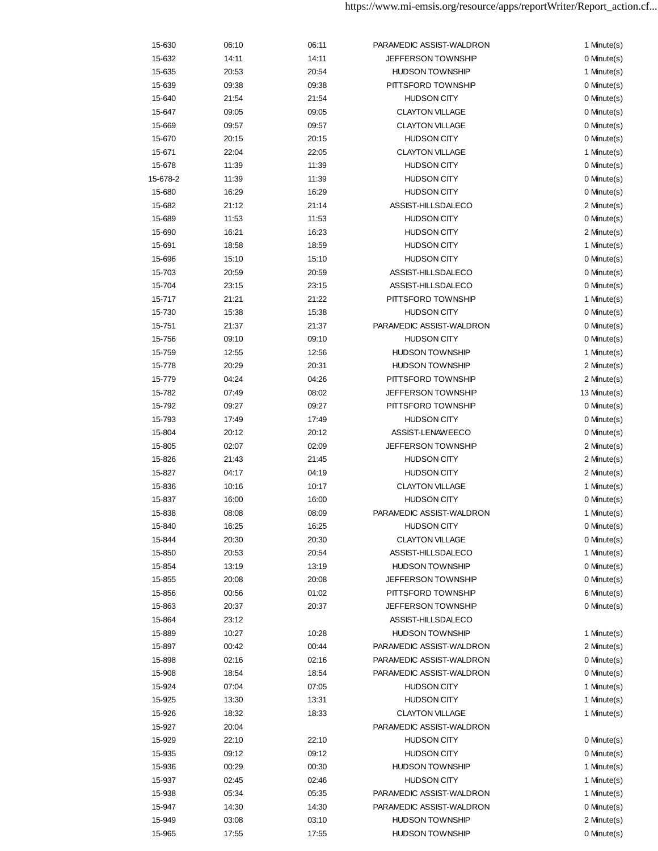| 15-630   | 06:10 | 06:11 | PARAMEDIC ASSIST-WALDRON  | 1 Minute(s)  |
|----------|-------|-------|---------------------------|--------------|
| 15-632   | 14:11 | 14:11 | <b>JEFFERSON TOWNSHIP</b> | 0 Minute(s)  |
| 15-635   | 20:53 | 20:54 | <b>HUDSON TOWNSHIP</b>    | 1 Minute(s)  |
| 15-639   | 09:38 | 09:38 | PITTSFORD TOWNSHIP        | 0 Minute(s)  |
| 15-640   | 21:54 | 21:54 | <b>HUDSON CITY</b>        | 0 Minute(s)  |
| 15-647   | 09:05 | 09:05 | <b>CLAYTON VILLAGE</b>    | 0 Minute(s)  |
| 15-669   | 09:57 | 09:57 | <b>CLAYTON VILLAGE</b>    | 0 Minute(s)  |
| 15-670   | 20:15 | 20:15 | <b>HUDSON CITY</b>        | 0 Minute(s)  |
| 15-671   | 22:04 | 22:05 | <b>CLAYTON VILLAGE</b>    | 1 Minute(s)  |
| 15-678   | 11:39 | 11:39 | <b>HUDSON CITY</b>        | 0 Minute(s)  |
| 15-678-2 | 11:39 | 11:39 | <b>HUDSON CITY</b>        | 0 Minute(s)  |
| 15-680   | 16:29 | 16:29 | <b>HUDSON CITY</b>        | 0 Minute(s)  |
| 15-682   | 21:12 | 21:14 | ASSIST-HILLSDALECO        | 2 Minute(s)  |
| 15-689   | 11:53 | 11:53 | <b>HUDSON CITY</b>        | 0 Minute(s)  |
| 15-690   | 16:21 | 16:23 | <b>HUDSON CITY</b>        | 2 Minute(s)  |
| 15-691   | 18:58 | 18:59 | <b>HUDSON CITY</b>        | 1 Minute(s)  |
| 15-696   | 15:10 | 15:10 | <b>HUDSON CITY</b>        | 0 Minute(s)  |
| 15-703   | 20:59 | 20:59 | ASSIST-HILLSDALECO        | 0 Minute(s)  |
| 15-704   | 23:15 | 23:15 | ASSIST-HILLSDALECO        | 0 Minute(s)  |
|          |       |       |                           |              |
| 15-717   | 21:21 | 21:22 | PITTSFORD TOWNSHIP        | 1 Minute(s)  |
| 15-730   | 15:38 | 15:38 | <b>HUDSON CITY</b>        | 0 Minute(s)  |
| 15-751   | 21:37 | 21:37 | PARAMEDIC ASSIST-WALDRON  | 0 Minute(s)  |
| 15-756   | 09:10 | 09:10 | <b>HUDSON CITY</b>        | 0 Minute(s)  |
| 15-759   | 12:55 | 12:56 | <b>HUDSON TOWNSHIP</b>    | 1 Minute(s)  |
| 15-778   | 20:29 | 20:31 | <b>HUDSON TOWNSHIP</b>    | 2 Minute(s)  |
| 15-779   | 04:24 | 04:26 | PITTSFORD TOWNSHIP        | 2 Minute(s)  |
| 15-782   | 07:49 | 08:02 | <b>JEFFERSON TOWNSHIP</b> | 13 Minute(s) |
| 15-792   | 09:27 | 09:27 | PITTSFORD TOWNSHIP        | 0 Minute(s)  |
| 15-793   | 17:49 | 17:49 | <b>HUDSON CITY</b>        | 0 Minute(s)  |
| 15-804   | 20:12 | 20:12 | ASSIST-LENAWEECO          | 0 Minute(s)  |
| 15-805   | 02:07 | 02:09 | <b>JEFFERSON TOWNSHIP</b> | 2 Minute(s)  |
| 15-826   | 21:43 | 21:45 | <b>HUDSON CITY</b>        | 2 Minute(s)  |
| 15-827   | 04:17 | 04:19 | <b>HUDSON CITY</b>        | 2 Minute(s)  |
| 15-836   | 10:16 | 10:17 | <b>CLAYTON VILLAGE</b>    | 1 Minute(s)  |
| 15-837   | 16:00 | 16:00 | <b>HUDSON CITY</b>        | 0 Minute(s)  |
| 15-838   | 08:08 | 08:09 | PARAMEDIC ASSIST-WALDRON  | 1 Minute(s)  |
| 15-840   | 16:25 | 16:25 | <b>HUDSON CITY</b>        | 0 Minute(s)  |
| 15-844   | 20:30 | 20:30 | <b>CLAYTON VILLAGE</b>    | 0 Minute(s)  |
| 15-850   | 20:53 | 20:54 | ASSIST-HILLSDALECO        | 1 Minute(s)  |
| 15-854   | 13:19 | 13:19 | <b>HUDSON TOWNSHIP</b>    | 0 Minute(s)  |
| 15-855   | 20:08 | 20:08 | JEFFERSON TOWNSHIP        | 0 Minute(s)  |
| 15-856   | 00:56 | 01:02 | PITTSFORD TOWNSHIP        | 6 Minute(s)  |
| 15-863   | 20:37 | 20:37 | <b>JEFFERSON TOWNSHIP</b> | 0 Minute(s)  |
| 15-864   | 23:12 |       | ASSIST-HILLSDALECO        |              |
| 15-889   | 10:27 | 10:28 | <b>HUDSON TOWNSHIP</b>    | 1 Minute(s)  |
| 15-897   | 00:42 | 00:44 | PARAMEDIC ASSIST-WALDRON  | 2 Minute(s)  |
| 15-898   | 02:16 | 02:16 | PARAMEDIC ASSIST-WALDRON  | 0 Minute(s)  |
| 15-908   | 18:54 | 18:54 | PARAMEDIC ASSIST-WALDRON  | 0 Minute(s)  |
| 15-924   | 07:04 | 07:05 | <b>HUDSON CITY</b>        | 1 Minute(s)  |
| 15-925   | 13:30 | 13:31 | <b>HUDSON CITY</b>        | 1 Minute(s)  |
| 15-926   | 18:32 | 18:33 | <b>CLAYTON VILLAGE</b>    | 1 Minute(s)  |
| 15-927   | 20:04 |       | PARAMEDIC ASSIST-WALDRON  |              |
| 15-929   | 22:10 | 22:10 | <b>HUDSON CITY</b>        | 0 Minute(s)  |
| 15-935   | 09:12 | 09:12 | <b>HUDSON CITY</b>        | 0 Minute(s)  |
| 15-936   | 00:29 | 00:30 | <b>HUDSON TOWNSHIP</b>    | 1 Minute(s)  |
| 15-937   | 02:45 | 02:46 | <b>HUDSON CITY</b>        | 1 Minute(s)  |
| 15-938   | 05:34 | 05:35 | PARAMEDIC ASSIST-WALDRON  | 1 Minute(s)  |
|          |       |       |                           | 0 Minute(s)  |
| 15-947   | 14:30 | 14:30 | PARAMEDIC ASSIST-WALDRON  |              |
| 15-949   | 03:08 | 03:10 | <b>HUDSON TOWNSHIP</b>    | 2 Minute(s)  |
| 15-965   | 17:55 | 17:55 | <b>HUDSON TOWNSHIP</b>    | 0 Minute(s)  |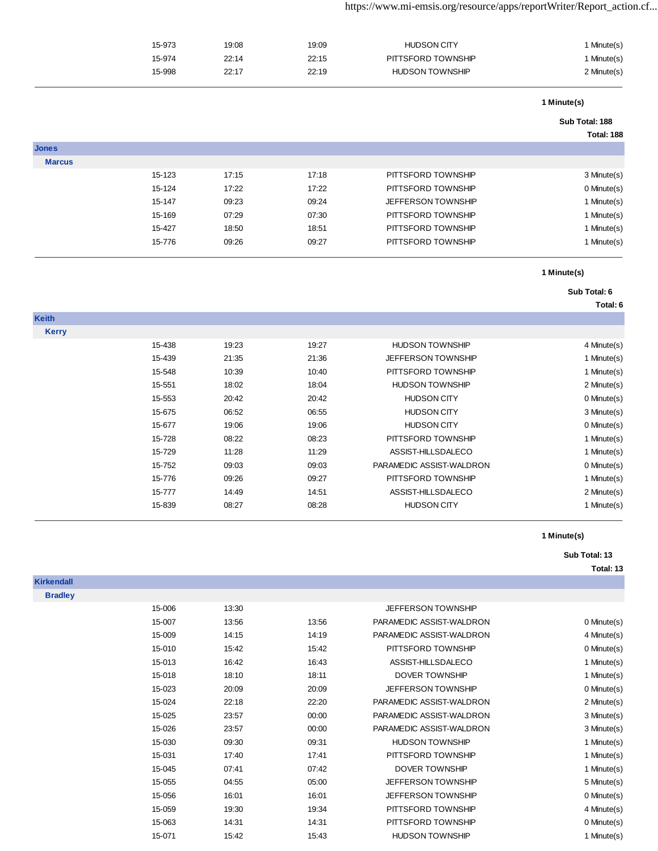|               | 15-973 | 19:08 | 19:09 | <b>HUDSON CITY</b>        | 1 Minute(s)    |
|---------------|--------|-------|-------|---------------------------|----------------|
|               | 15-974 | 22:14 | 22:15 | PITTSFORD TOWNSHIP        | 1 Minute(s)    |
|               | 15-998 | 22:17 | 22:19 | <b>HUDSON TOWNSHIP</b>    | 2 Minute(s)    |
|               |        |       |       |                           | 1 Minute(s)    |
|               |        |       |       |                           | Sub Total: 188 |
|               |        |       |       |                           | Total: 188     |
| <b>Jones</b>  |        |       |       |                           |                |
| <b>Marcus</b> |        |       |       |                           |                |
|               | 15-123 | 17:15 | 17:18 | PITTSFORD TOWNSHIP        | 3 Minute(s)    |
|               | 15-124 | 17:22 | 17:22 | PITTSFORD TOWNSHIP        | 0 Minute(s)    |
|               | 15-147 | 09:23 | 09:24 | <b>JEFFERSON TOWNSHIP</b> | 1 Minute(s)    |
|               | 15-169 | 07:29 | 07:30 | PITTSFORD TOWNSHIP        | 1 Minute(s)    |

15-427 18:50 18:51 PITTSFORD TOWNSHIP 1 Minute(s) 15-776 09:26 09:27 PITTSFORD TOWNSHIP 15-776 1 Minute(s)

### **1 Minute(s)**

# **Sub Total: 6**

**Total: 6**

| <b>Keith</b> |        |       |       |                           |             |
|--------------|--------|-------|-------|---------------------------|-------------|
| <b>Kerry</b> |        |       |       |                           |             |
|              | 15-438 | 19:23 | 19:27 | <b>HUDSON TOWNSHIP</b>    | 4 Minute(s) |
|              | 15-439 | 21:35 | 21:36 | <b>JEFFERSON TOWNSHIP</b> | 1 Minute(s) |
|              | 15-548 | 10:39 | 10:40 | PITTSFORD TOWNSHIP        | 1 Minute(s) |
|              | 15-551 | 18:02 | 18:04 | <b>HUDSON TOWNSHIP</b>    | 2 Minute(s) |
|              | 15-553 | 20:42 | 20:42 | <b>HUDSON CITY</b>        | 0 Minute(s) |
|              | 15-675 | 06:52 | 06:55 | <b>HUDSON CITY</b>        | 3 Minute(s) |
|              | 15-677 | 19:06 | 19:06 | <b>HUDSON CITY</b>        | 0 Minute(s) |
|              | 15-728 | 08:22 | 08:23 | PITTSFORD TOWNSHIP        | 1 Minute(s) |
|              | 15-729 | 11:28 | 11:29 | ASSIST-HILLSDALECO        | 1 Minute(s) |
|              | 15-752 | 09:03 | 09:03 | PARAMEDIC ASSIST-WALDRON  | 0 Minute(s) |
|              | 15-776 | 09:26 | 09:27 | PITTSFORD TOWNSHIP        | 1 Minute(s) |
|              | 15-777 | 14:49 | 14:51 | ASSIST-HILLSDALECO        | 2 Minute(s) |
|              | 15-839 | 08:27 | 08:28 | <b>HUDSON CITY</b>        | 1 Minute(s) |
|              |        |       |       |                           |             |

#### **1 Minute(s)**

#### **Sub Total: 13**

| <b>Kirkendall</b> |        |       |       |                           |             |
|-------------------|--------|-------|-------|---------------------------|-------------|
| <b>Bradley</b>    |        |       |       |                           |             |
|                   | 15-006 | 13:30 |       | JEFFERSON TOWNSHIP        |             |
|                   | 15-007 | 13:56 | 13:56 | PARAMEDIC ASSIST-WALDRON  | 0 Minute(s) |
|                   | 15-009 | 14:15 | 14:19 | PARAMEDIC ASSIST-WALDRON  | 4 Minute(s) |
|                   | 15-010 | 15:42 | 15:42 | PITTSFORD TOWNSHIP        | 0 Minute(s) |
|                   | 15-013 | 16:42 | 16:43 | ASSIST-HILLSDALECO        | 1 Minute(s) |
|                   | 15-018 | 18:10 | 18:11 | <b>DOVER TOWNSHIP</b>     | 1 Minute(s) |
|                   | 15-023 | 20:09 | 20:09 | JEFFERSON TOWNSHIP        | 0 Minute(s) |
|                   | 15-024 | 22:18 | 22:20 | PARAMEDIC ASSIST-WALDRON  | 2 Minute(s) |
|                   | 15-025 | 23:57 | 00:00 | PARAMEDIC ASSIST-WALDRON  | 3 Minute(s) |
|                   | 15-026 | 23:57 | 00:00 | PARAMEDIC ASSIST-WALDRON  | 3 Minute(s) |
|                   | 15-030 | 09:30 | 09:31 | <b>HUDSON TOWNSHIP</b>    | 1 Minute(s) |
|                   | 15-031 | 17:40 | 17:41 | PITTSFORD TOWNSHIP        | 1 Minute(s) |
|                   | 15-045 | 07:41 | 07:42 | <b>DOVER TOWNSHIP</b>     | 1 Minute(s) |
|                   | 15-055 | 04:55 | 05:00 | JEFFERSON TOWNSHIP        | 5 Minute(s) |
|                   | 15-056 | 16:01 | 16:01 | <b>JEFFERSON TOWNSHIP</b> | 0 Minute(s) |
|                   | 15-059 | 19:30 | 19:34 | PITTSFORD TOWNSHIP        | 4 Minute(s) |
|                   | 15-063 | 14:31 | 14:31 | PITTSFORD TOWNSHIP        | 0 Minute(s) |
|                   | 15-071 | 15:42 | 15:43 | <b>HUDSON TOWNSHIP</b>    | 1 Minute(s) |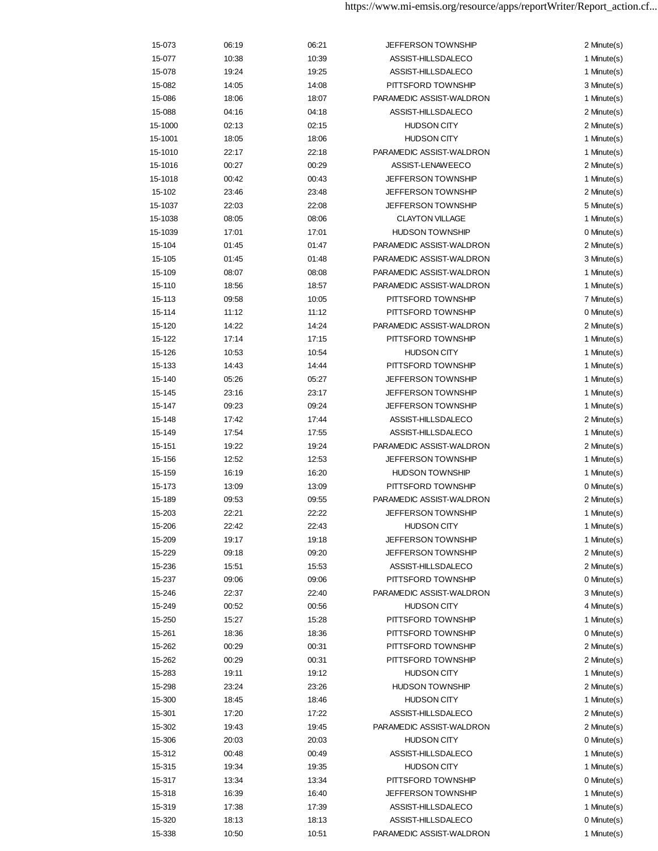| 15-073  | 06:19 | 06:21 | <b>JEFFERSON TOWNSHIP</b> | 2 Minute(s) |
|---------|-------|-------|---------------------------|-------------|
| 15-077  | 10:38 | 10:39 | ASSIST-HILLSDALECO        | 1 Minute(s) |
| 15-078  | 19:24 | 19:25 | ASSIST-HILLSDALECO        | 1 Minute(s) |
| 15-082  | 14:05 | 14:08 | PITTSFORD TOWNSHIP        | 3 Minute(s) |
| 15-086  | 18:06 | 18:07 | PARAMEDIC ASSIST-WALDRON  | 1 Minute(s) |
| 15-088  | 04:16 | 04:18 | ASSIST-HILLSDALECO        | 2 Minute(s) |
| 15-1000 | 02:13 | 02:15 | <b>HUDSON CITY</b>        | 2 Minute(s) |
| 15-1001 | 18:05 | 18:06 | <b>HUDSON CITY</b>        | 1 Minute(s) |
| 15-1010 | 22:17 | 22:18 | PARAMEDIC ASSIST-WALDRON  | 1 Minute(s) |
| 15-1016 | 00:27 | 00:29 | ASSIST-LENAWEECO          | 2 Minute(s) |
| 15-1018 | 00:42 | 00:43 | <b>JEFFERSON TOWNSHIP</b> | 1 Minute(s) |
| 15-102  | 23:46 | 23:48 | JEFFERSON TOWNSHIP        | 2 Minute(s) |
| 15-1037 | 22:03 | 22:08 | <b>JEFFERSON TOWNSHIP</b> | 5 Minute(s) |
| 15-1038 | 08:05 | 08:06 | <b>CLAYTON VILLAGE</b>    | 1 Minute(s) |
| 15-1039 | 17:01 | 17:01 | <b>HUDSON TOWNSHIP</b>    | 0 Minute(s) |
| 15-104  | 01:45 | 01:47 | PARAMEDIC ASSIST-WALDRON  | 2 Minute(s) |
| 15-105  | 01:45 | 01:48 | PARAMEDIC ASSIST-WALDRON  | 3 Minute(s) |
| 15-109  | 08:07 | 08:08 | PARAMEDIC ASSIST-WALDRON  | 1 Minute(s) |
| 15-110  | 18:56 | 18:57 | PARAMEDIC ASSIST-WALDRON  | 1 Minute(s) |
| 15-113  | 09:58 | 10:05 | PITTSFORD TOWNSHIP        | 7 Minute(s) |
|         |       |       |                           |             |
| 15-114  | 11:12 | 11:12 | PITTSFORD TOWNSHIP        | 0 Minute(s) |
| 15-120  | 14:22 | 14:24 | PARAMEDIC ASSIST-WALDRON  | 2 Minute(s) |
| 15-122  | 17:14 | 17:15 | PITTSFORD TOWNSHIP        | 1 Minute(s) |
| 15-126  | 10:53 | 10:54 | <b>HUDSON CITY</b>        | 1 Minute(s) |
| 15-133  | 14:43 | 14:44 | PITTSFORD TOWNSHIP        | 1 Minute(s) |
| 15-140  | 05:26 | 05:27 | <b>JEFFERSON TOWNSHIP</b> | 1 Minute(s) |
| 15-145  | 23:16 | 23:17 | <b>JEFFERSON TOWNSHIP</b> | 1 Minute(s) |
| 15-147  | 09:23 | 09:24 | <b>JEFFERSON TOWNSHIP</b> | 1 Minute(s) |
| 15-148  | 17:42 | 17:44 | ASSIST-HILLSDALECO        | 2 Minute(s) |
| 15-149  | 17:54 | 17:55 | ASSIST-HILLSDALECO        | 1 Minute(s) |
| 15-151  | 19:22 | 19:24 | PARAMEDIC ASSIST-WALDRON  | 2 Minute(s) |
| 15-156  | 12:52 | 12:53 | JEFFERSON TOWNSHIP        | 1 Minute(s) |
| 15-159  | 16:19 | 16:20 | <b>HUDSON TOWNSHIP</b>    | 1 Minute(s) |
| 15-173  | 13:09 | 13:09 | PITTSFORD TOWNSHIP        | 0 Minute(s) |
| 15-189  | 09:53 | 09:55 | PARAMEDIC ASSIST-WALDRON  | 2 Minute(s) |
| 15-203  | 22:21 | 22:22 | <b>JEFFERSON TOWNSHIP</b> | 1 Minute(s) |
| 15-206  | 22:42 | 22:43 | <b>HUDSON CITY</b>        | 1 Minute(s) |
| 15-209  | 19:17 | 19:18 | <b>JEFFERSON TOWNSHIP</b> | 1 Minute(s) |
| 15-229  | 09:18 | 09:20 | <b>JEFFERSON TOWNSHIP</b> | 2 Minute(s) |
| 15-236  | 15:51 | 15:53 | ASSIST-HILLSDALECO        | 2 Minute(s) |
| 15-237  | 09:06 | 09:06 | PITTSFORD TOWNSHIP        | 0 Minute(s) |
| 15-246  | 22:37 | 22:40 | PARAMEDIC ASSIST-WALDRON  | 3 Minute(s) |
| 15-249  | 00:52 | 00:56 | <b>HUDSON CITY</b>        | 4 Minute(s) |
| 15-250  | 15:27 | 15:28 | PITTSFORD TOWNSHIP        | 1 Minute(s) |
| 15-261  | 18:36 | 18:36 | PITTSFORD TOWNSHIP        | 0 Minute(s) |
| 15-262  | 00:29 | 00:31 | PITTSFORD TOWNSHIP        | 2 Minute(s) |
| 15-262  | 00:29 | 00:31 | PITTSFORD TOWNSHIP        | 2 Minute(s) |
| 15-283  | 19:11 | 19:12 | <b>HUDSON CITY</b>        | 1 Minute(s) |
| 15-298  | 23:24 | 23:26 | <b>HUDSON TOWNSHIP</b>    | 2 Minute(s) |
| 15-300  | 18:45 | 18:46 | <b>HUDSON CITY</b>        | 1 Minute(s) |
| 15-301  | 17:20 | 17:22 | ASSIST-HILLSDALECO        | 2 Minute(s) |
| 15-302  | 19:43 | 19:45 | PARAMEDIC ASSIST-WALDRON  | 2 Minute(s) |
| 15-306  | 20:03 | 20:03 | <b>HUDSON CITY</b>        | 0 Minute(s) |
| 15-312  | 00:48 | 00:49 | ASSIST-HILLSDALECO        | 1 Minute(s) |
| 15-315  | 19:34 | 19:35 | <b>HUDSON CITY</b>        | 1 Minute(s) |
| 15-317  | 13:34 | 13:34 | PITTSFORD TOWNSHIP        | 0 Minute(s) |
| 15-318  | 16:39 | 16:40 | <b>JEFFERSON TOWNSHIP</b> | 1 Minute(s) |
| 15-319  | 17:38 | 17:39 | ASSIST-HILLSDALECO        | 1 Minute(s) |
| 15-320  | 18:13 | 18:13 | ASSIST-HILLSDALECO        | 0 Minute(s) |
| 15-338  | 10:50 | 10:51 | PARAMEDIC ASSIST-WALDRON  | 1 Minute(s) |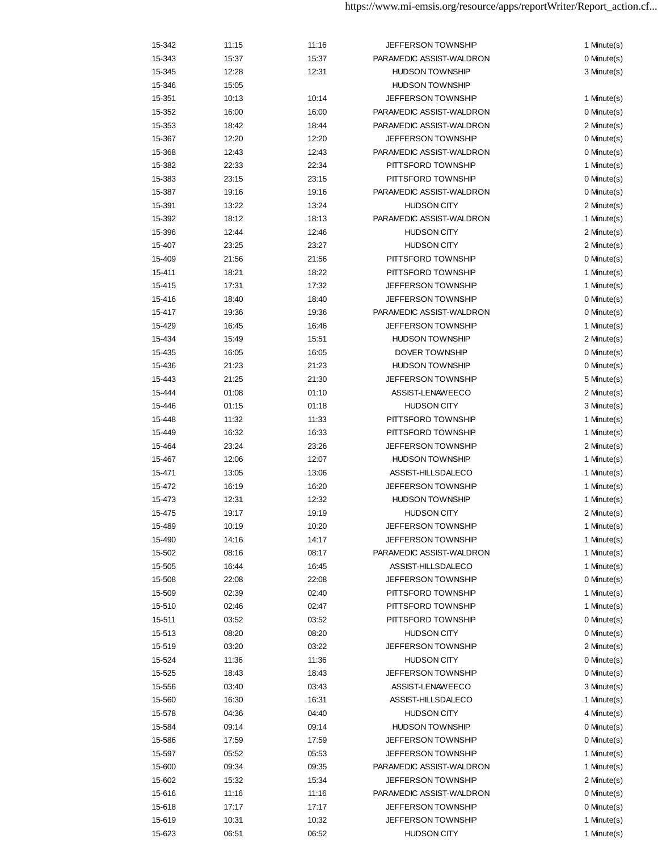| 15-342 | 11:15 | 11:16 | <b>JEFFERSON TOWNSHIP</b> | 1 Minute(s) |
|--------|-------|-------|---------------------------|-------------|
| 15-343 | 15:37 | 15:37 | PARAMEDIC ASSIST-WALDRON  | 0 Minute(s) |
| 15-345 | 12:28 | 12:31 | <b>HUDSON TOWNSHIP</b>    | 3 Minute(s) |
| 15-346 | 15:05 |       | <b>HUDSON TOWNSHIP</b>    |             |
| 15-351 | 10:13 | 10:14 | <b>JEFFERSON TOWNSHIP</b> | 1 Minute(s) |
| 15-352 | 16:00 | 16:00 | PARAMEDIC ASSIST-WALDRON  | 0 Minute(s) |
| 15-353 | 18:42 | 18:44 | PARAMEDIC ASSIST-WALDRON  | 2 Minute(s) |
| 15-367 | 12:20 | 12:20 | <b>JEFFERSON TOWNSHIP</b> | 0 Minute(s) |
| 15-368 | 12:43 | 12:43 | PARAMEDIC ASSIST-WALDRON  | 0 Minute(s) |
| 15-382 | 22:33 | 22:34 | PITTSFORD TOWNSHIP        | 1 Minute(s) |
| 15-383 | 23:15 | 23:15 | PITTSFORD TOWNSHIP        | 0 Minute(s) |
| 15-387 | 19:16 | 19:16 | PARAMEDIC ASSIST-WALDRON  | 0 Minute(s) |
| 15-391 | 13:22 | 13:24 | <b>HUDSON CITY</b>        | 2 Minute(s) |
| 15-392 | 18:12 | 18:13 | PARAMEDIC ASSIST-WALDRON  | 1 Minute(s) |
| 15-396 | 12:44 | 12:46 | <b>HUDSON CITY</b>        | 2 Minute(s) |
| 15-407 | 23:25 | 23:27 | <b>HUDSON CITY</b>        | 2 Minute(s) |
| 15-409 | 21:56 | 21:56 | PITTSFORD TOWNSHIP        | 0 Minute(s) |
| 15-411 |       | 18:22 | PITTSFORD TOWNSHIP        | 1 Minute(s) |
|        | 18:21 |       | JEFFERSON TOWNSHIP        | 1 Minute(s) |
| 15-415 | 17:31 | 17:32 | JEFFERSON TOWNSHIP        | 0 Minute(s) |
| 15-416 | 18:40 | 18:40 |                           |             |
| 15-417 | 19:36 | 19:36 | PARAMEDIC ASSIST-WALDRON  | 0 Minute(s) |
| 15-429 | 16:45 | 16:46 | <b>JEFFERSON TOWNSHIP</b> | 1 Minute(s) |
| 15-434 | 15:49 | 15:51 | <b>HUDSON TOWNSHIP</b>    | 2 Minute(s) |
| 15-435 | 16:05 | 16:05 | DOVER TOWNSHIP            | 0 Minute(s) |
| 15-436 | 21:23 | 21:23 | <b>HUDSON TOWNSHIP</b>    | 0 Minute(s) |
| 15-443 | 21:25 | 21:30 | <b>JEFFERSON TOWNSHIP</b> | 5 Minute(s) |
| 15-444 | 01:08 | 01:10 | ASSIST-LENAWEECO          | 2 Minute(s) |
| 15-446 | 01:15 | 01:18 | <b>HUDSON CITY</b>        | 3 Minute(s) |
| 15-448 | 11:32 | 11:33 | PITTSFORD TOWNSHIP        | 1 Minute(s) |
| 15-449 | 16:32 | 16:33 | PITTSFORD TOWNSHIP        | 1 Minute(s) |
| 15-464 | 23:24 | 23:26 | <b>JEFFERSON TOWNSHIP</b> | 2 Minute(s) |
| 15-467 | 12:06 | 12:07 | <b>HUDSON TOWNSHIP</b>    | 1 Minute(s) |
| 15-471 | 13:05 | 13:06 | ASSIST-HILLSDALECO        | 1 Minute(s) |
| 15-472 | 16:19 | 16:20 | <b>JEFFERSON TOWNSHIP</b> | 1 Minute(s) |
| 15-473 | 12:31 | 12:32 | <b>HUDSON TOWNSHIP</b>    | 1 Minute(s) |
| 15-475 | 19:17 | 19:19 | <b>HUDSON CITY</b>        | 2 Minute(s) |
| 15-489 | 10:19 | 10:20 | JEFFERSON TOWNSHIP        | 1 Minute(s) |
| 15-490 | 14:16 | 14:17 | JEFFERSON TOWNSHIP        | 1 Minute(s) |
| 15-502 | 08:16 | 08:17 | PARAMEDIC ASSIST-WALDRON  | 1 Minute(s) |
| 15-505 | 16:44 | 16:45 | ASSIST-HILLSDALECO        | 1 Minute(s) |
| 15-508 | 22:08 | 22:08 | <b>JEFFERSON TOWNSHIP</b> | 0 Minute(s) |
| 15-509 | 02:39 | 02:40 | PITTSFORD TOWNSHIP        | 1 Minute(s) |
| 15-510 | 02:46 | 02:47 | PITTSFORD TOWNSHIP        | 1 Minute(s) |
| 15-511 | 03:52 | 03:52 | PITTSFORD TOWNSHIP        | 0 Minute(s) |
| 15-513 | 08:20 | 08:20 | <b>HUDSON CITY</b>        | 0 Minute(s) |
| 15-519 | 03:20 | 03:22 | JEFFERSON TOWNSHIP        | 2 Minute(s) |
| 15-524 | 11:36 | 11:36 | <b>HUDSON CITY</b>        | 0 Minute(s) |
| 15-525 | 18:43 | 18:43 | <b>JEFFERSON TOWNSHIP</b> | 0 Minute(s) |
| 15-556 | 03:40 | 03:43 | ASSIST-LENAWEECO          | 3 Minute(s) |
| 15-560 | 16:30 | 16:31 | ASSIST-HILLSDALECO        | 1 Minute(s) |
| 15-578 | 04:36 | 04:40 | <b>HUDSON CITY</b>        | 4 Minute(s) |
| 15-584 | 09:14 | 09:14 | <b>HUDSON TOWNSHIP</b>    | 0 Minute(s) |
| 15-586 | 17:59 | 17:59 | <b>JEFFERSON TOWNSHIP</b> | 0 Minute(s) |
| 15-597 | 05:52 | 05:53 | <b>JEFFERSON TOWNSHIP</b> | 1 Minute(s) |
| 15-600 | 09:34 | 09:35 | PARAMEDIC ASSIST-WALDRON  | 1 Minute(s) |
| 15-602 | 15:32 | 15:34 | <b>JEFFERSON TOWNSHIP</b> | 2 Minute(s) |
| 15-616 | 11:16 | 11:16 | PARAMEDIC ASSIST-WALDRON  | 0 Minute(s) |
| 15-618 | 17:17 | 17:17 | <b>JEFFERSON TOWNSHIP</b> | 0 Minute(s) |
| 15-619 | 10:31 | 10:32 | <b>JEFFERSON TOWNSHIP</b> | 1 Minute(s) |
| 15-623 | 06:51 | 06:52 | <b>HUDSON CITY</b>        | 1 Minute(s) |
|        |       |       |                           |             |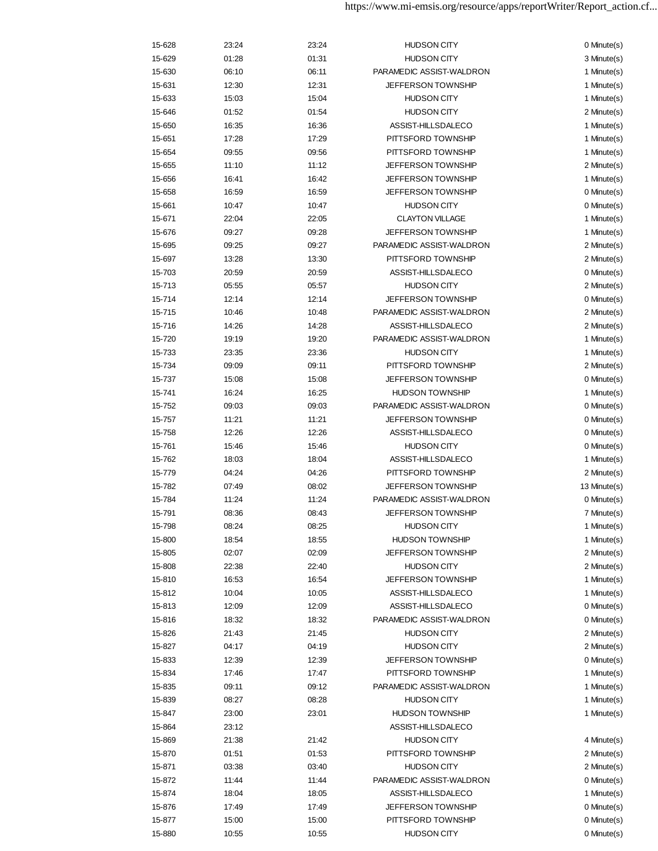| 15-628 | 23:24 | 23:24 | <b>HUDSON CITY</b>        | 0 Minute(s)  |
|--------|-------|-------|---------------------------|--------------|
| 15-629 | 01:28 | 01:31 | <b>HUDSON CITY</b>        | 3 Minute(s)  |
| 15-630 | 06:10 | 06:11 | PARAMEDIC ASSIST-WALDRON  | 1 Minute(s)  |
| 15-631 | 12:30 | 12:31 | <b>JEFFERSON TOWNSHIP</b> | 1 Minute(s)  |
| 15-633 | 15:03 | 15:04 | <b>HUDSON CITY</b>        | 1 Minute(s)  |
| 15-646 | 01:52 | 01:54 | <b>HUDSON CITY</b>        | 2 Minute(s)  |
| 15-650 | 16:35 | 16:36 | ASSIST-HILLSDALECO        | 1 Minute(s)  |
| 15-651 | 17:28 | 17:29 | PITTSFORD TOWNSHIP        | 1 Minute(s)  |
| 15-654 | 09:55 | 09:56 | PITTSFORD TOWNSHIP        | 1 Minute(s)  |
| 15-655 | 11:10 | 11:12 | <b>JEFFERSON TOWNSHIP</b> | 2 Minute(s)  |
| 15-656 | 16:41 | 16:42 | JEFFERSON TOWNSHIP        | 1 Minute(s)  |
| 15-658 | 16:59 | 16:59 | <b>JEFFERSON TOWNSHIP</b> | 0 Minute(s)  |
| 15-661 | 10:47 | 10:47 | <b>HUDSON CITY</b>        | 0 Minute(s)  |
| 15-671 | 22:04 | 22:05 | <b>CLAYTON VILLAGE</b>    | 1 Minute(s)  |
| 15-676 | 09:27 | 09:28 | <b>JEFFERSON TOWNSHIP</b> | 1 Minute(s)  |
| 15-695 | 09:25 | 09:27 | PARAMEDIC ASSIST-WALDRON  | 2 Minute(s)  |
|        |       |       |                           |              |
| 15-697 | 13:28 | 13:30 | PITTSFORD TOWNSHIP        | 2 Minute(s)  |
| 15-703 | 20:59 | 20:59 | ASSIST-HILLSDALECO        | 0 Minute(s)  |
| 15-713 | 05:55 | 05:57 | <b>HUDSON CITY</b>        | 2 Minute(s)  |
| 15-714 | 12:14 | 12:14 | <b>JEFFERSON TOWNSHIP</b> | 0 Minute(s)  |
| 15-715 | 10:46 | 10:48 | PARAMEDIC ASSIST-WALDRON  | 2 Minute(s)  |
| 15-716 | 14:26 | 14:28 | ASSIST-HILLSDALECO        | 2 Minute(s)  |
| 15-720 | 19:19 | 19:20 | PARAMEDIC ASSIST-WALDRON  | 1 Minute(s)  |
| 15-733 | 23:35 | 23:36 | <b>HUDSON CITY</b>        | 1 Minute(s)  |
| 15-734 | 09:09 | 09:11 | PITTSFORD TOWNSHIP        | 2 Minute(s)  |
| 15-737 | 15:08 | 15:08 | <b>JEFFERSON TOWNSHIP</b> | 0 Minute(s)  |
| 15-741 | 16:24 | 16:25 | <b>HUDSON TOWNSHIP</b>    | 1 Minute(s)  |
| 15-752 | 09:03 | 09:03 | PARAMEDIC ASSIST-WALDRON  | 0 Minute(s)  |
| 15-757 | 11:21 | 11:21 | <b>JEFFERSON TOWNSHIP</b> | 0 Minute(s)  |
| 15-758 | 12:26 | 12:26 | ASSIST-HILLSDALECO        | 0 Minute(s)  |
| 15-761 | 15:46 | 15:46 | <b>HUDSON CITY</b>        | 0 Minute(s)  |
| 15-762 | 18:03 | 18:04 | ASSIST-HILLSDALECO        | 1 Minute(s)  |
| 15-779 | 04:24 | 04:26 | PITTSFORD TOWNSHIP        | 2 Minute(s)  |
| 15-782 | 07:49 | 08:02 | <b>JEFFERSON TOWNSHIP</b> | 13 Minute(s) |
| 15-784 | 11:24 | 11:24 | PARAMEDIC ASSIST-WALDRON  | 0 Minute(s)  |
| 15-791 | 08:36 | 08:43 | <b>JEFFERSON TOWNSHIP</b> | 7 Minute(s)  |
| 15-798 | 08:24 | 08:25 | <b>HUDSON CITY</b>        | 1 Minute(s)  |
| 15-800 | 18:54 | 18:55 | <b>HUDSON TOWNSHIP</b>    | 1 Minute(s)  |
| 15-805 | 02:07 | 02:09 | JEFFERSON TOWNSHIP        | 2 Minute(s)  |
| 15-808 | 22:38 | 22:40 | <b>HUDSON CITY</b>        | 2 Minute(s)  |
| 15-810 | 16:53 | 16:54 | <b>JEFFERSON TOWNSHIP</b> | 1 Minute(s)  |
| 15-812 | 10:04 | 10:05 | ASSIST-HILLSDALECO        | 1 Minute(s)  |
| 15-813 | 12:09 | 12:09 | ASSIST-HILLSDALECO        | 0 Minute(s)  |
| 15-816 | 18:32 | 18:32 | PARAMEDIC ASSIST-WALDRON  | 0 Minute(s)  |
| 15-826 | 21:43 | 21:45 | <b>HUDSON CITY</b>        | 2 Minute(s)  |
| 15-827 | 04:17 | 04:19 | <b>HUDSON CITY</b>        | 2 Minute(s)  |
| 15-833 | 12:39 | 12:39 | <b>JEFFERSON TOWNSHIP</b> | 0 Minute(s)  |
| 15-834 | 17:46 | 17:47 | PITTSFORD TOWNSHIP        | 1 Minute(s)  |
| 15-835 | 09:11 | 09:12 | PARAMEDIC ASSIST-WALDRON  | 1 Minute(s)  |
| 15-839 | 08:27 | 08:28 | <b>HUDSON CITY</b>        | 1 Minute(s)  |
| 15-847 | 23:00 | 23:01 | <b>HUDSON TOWNSHIP</b>    | 1 Minute(s)  |
| 15-864 | 23:12 |       | ASSIST-HILLSDALECO        |              |
| 15-869 | 21:38 | 21:42 | <b>HUDSON CITY</b>        | 4 Minute(s)  |
| 15-870 | 01:51 | 01:53 | PITTSFORD TOWNSHIP        | 2 Minute(s)  |
|        |       |       |                           | 2 Minute(s)  |
| 15-871 | 03:38 | 03:40 | <b>HUDSON CITY</b>        |              |
| 15-872 | 11:44 | 11:44 | PARAMEDIC ASSIST-WALDRON  | 0 Minute(s)  |
| 15-874 | 18:04 | 18:05 | ASSIST-HILLSDALECO        | 1 Minute(s)  |
| 15-876 | 17:49 | 17:49 | <b>JEFFERSON TOWNSHIP</b> | 0 Minute(s)  |
| 15-877 | 15:00 | 15:00 | PITTSFORD TOWNSHIP        | 0 Minute(s)  |
| 15-880 | 10:55 | 10:55 | <b>HUDSON CITY</b>        | 0 Minute(s)  |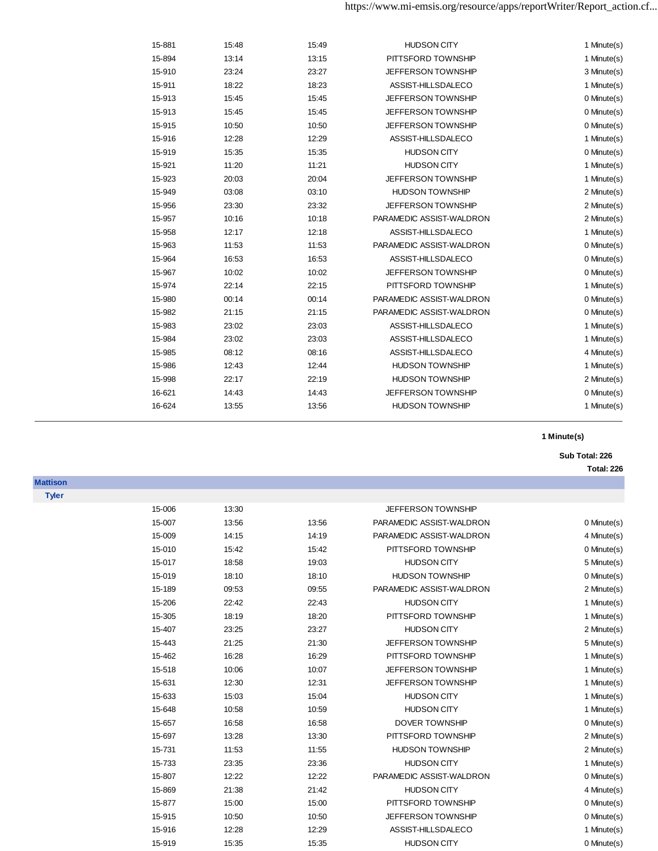| 15-881 | 15:48 | 15:49 | <b>HUDSON CITY</b>        | 1 Minute(s) |
|--------|-------|-------|---------------------------|-------------|
| 15-894 | 13:14 | 13:15 | PITTSFORD TOWNSHIP        | 1 Minute(s) |
| 15-910 | 23:24 | 23:27 | <b>JEFFERSON TOWNSHIP</b> | 3 Minute(s) |
| 15-911 | 18:22 | 18:23 | ASSIST-HILLSDALECO        | 1 Minute(s) |
| 15-913 | 15:45 | 15:45 | <b>JEFFERSON TOWNSHIP</b> | 0 Minute(s) |
| 15-913 | 15:45 | 15:45 | <b>JEFFERSON TOWNSHIP</b> | 0 Minute(s) |
| 15-915 | 10:50 | 10:50 | <b>JEFFERSON TOWNSHIP</b> | 0 Minute(s) |
| 15-916 | 12:28 | 12:29 | ASSIST-HILLSDALECO        | 1 Minute(s) |
| 15-919 | 15:35 | 15:35 | <b>HUDSON CITY</b>        | 0 Minute(s) |
| 15-921 | 11:20 | 11:21 | <b>HUDSON CITY</b>        | 1 Minute(s) |
| 15-923 | 20:03 | 20:04 | JEFFERSON TOWNSHIP        | 1 Minute(s) |
| 15-949 | 03:08 | 03:10 | <b>HUDSON TOWNSHIP</b>    | 2 Minute(s) |
| 15-956 | 23:30 | 23:32 | <b>JEFFERSON TOWNSHIP</b> | 2 Minute(s) |
| 15-957 | 10:16 | 10:18 | PARAMEDIC ASSIST-WALDRON  | 2 Minute(s) |
| 15-958 | 12:17 | 12:18 | ASSIST-HILLSDALECO        | 1 Minute(s) |
| 15-963 | 11:53 | 11:53 | PARAMEDIC ASSIST-WALDRON  | 0 Minute(s) |
| 15-964 | 16:53 | 16:53 | ASSIST-HILLSDALECO        | 0 Minute(s) |
| 15-967 | 10:02 | 10:02 | <b>JEFFERSON TOWNSHIP</b> | 0 Minute(s) |
| 15-974 | 22:14 | 22:15 | PITTSFORD TOWNSHIP        | 1 Minute(s) |
| 15-980 | 00:14 | 00:14 | PARAMEDIC ASSIST-WALDRON  | 0 Minute(s) |
| 15-982 | 21:15 | 21:15 | PARAMEDIC ASSIST-WALDRON  | 0 Minute(s) |
| 15-983 | 23:02 | 23:03 | ASSIST-HILLSDALECO        | 1 Minute(s) |
| 15-984 | 23:02 | 23:03 | ASSIST-HILLSDALECO        | 1 Minute(s) |
| 15-985 | 08:12 | 08:16 | ASSIST-HILLSDALECO        | 4 Minute(s) |
| 15-986 | 12:43 | 12:44 | <b>HUDSON TOWNSHIP</b>    | 1 Minute(s) |
| 15-998 | 22:17 | 22:19 | <b>HUDSON TOWNSHIP</b>    | 2 Minute(s) |
| 16-621 | 14:43 | 14:43 | <b>JEFFERSON TOWNSHIP</b> | 0 Minute(s) |
| 16-624 | 13:55 | 13:56 | <b>HUDSON TOWNSHIP</b>    | 1 Minute(s) |
|        |       |       |                           |             |

### **Sub Total: 226**

**Total: 226**

| <b>Tyler</b> |        |       |       |                          |             |
|--------------|--------|-------|-------|--------------------------|-------------|
|              | 15-006 | 13:30 |       | JEFFERSON TOWNSHIP       |             |
|              | 15-007 | 13:56 | 13:56 | PARAMEDIC ASSIST-WALDRON | 0 Minute(s) |
|              | 15-009 | 14:15 | 14:19 | PARAMEDIC ASSIST-WALDRON | 4 Minute(s) |
|              | 15-010 | 15:42 | 15:42 | PITTSFORD TOWNSHIP       | 0 Minute(s) |
|              | 15-017 | 18:58 | 19:03 | <b>HUDSON CITY</b>       | 5 Minute(s) |
|              | 15-019 | 18:10 | 18:10 | <b>HUDSON TOWNSHIP</b>   | 0 Minute(s) |
|              | 15-189 | 09:53 | 09:55 | PARAMEDIC ASSIST-WALDRON | 2 Minute(s) |
|              | 15-206 | 22:42 | 22:43 | <b>HUDSON CITY</b>       | 1 Minute(s) |
|              | 15-305 | 18:19 | 18:20 | PITTSFORD TOWNSHIP       | 1 Minute(s) |
|              | 15-407 | 23:25 | 23:27 | <b>HUDSON CITY</b>       | 2 Minute(s) |
|              | 15-443 | 21:25 | 21:30 | JEFFERSON TOWNSHIP       | 5 Minute(s) |
|              | 15-462 | 16:28 | 16:29 | PITTSFORD TOWNSHIP       | 1 Minute(s) |
|              | 15-518 | 10:06 | 10:07 | JEFFERSON TOWNSHIP       | 1 Minute(s) |
|              | 15-631 | 12:30 | 12:31 | JEFFERSON TOWNSHIP       | 1 Minute(s) |
|              | 15-633 | 15:03 | 15:04 | <b>HUDSON CITY</b>       | 1 Minute(s) |
|              | 15-648 | 10:58 | 10:59 | <b>HUDSON CITY</b>       | 1 Minute(s) |
|              | 15-657 | 16:58 | 16:58 | DOVER TOWNSHIP           | 0 Minute(s) |
|              | 15-697 | 13:28 | 13:30 | PITTSFORD TOWNSHIP       | 2 Minute(s) |
|              | 15-731 | 11:53 | 11:55 | <b>HUDSON TOWNSHIP</b>   | 2 Minute(s) |
|              | 15-733 | 23:35 | 23:36 | <b>HUDSON CITY</b>       | 1 Minute(s) |
|              | 15-807 | 12:22 | 12:22 | PARAMEDIC ASSIST-WALDRON | 0 Minute(s) |
|              | 15-869 | 21:38 | 21:42 | <b>HUDSON CITY</b>       | 4 Minute(s) |
|              | 15-877 | 15:00 | 15:00 | PITTSFORD TOWNSHIP       | 0 Minute(s) |
|              | 15-915 | 10:50 | 10:50 | JEFFERSON TOWNSHIP       | 0 Minute(s) |
|              | 15-916 | 12:28 | 12:29 | ASSIST-HILLSDALECO       | 1 Minute(s) |
|              | 15-919 | 15:35 | 15:35 | <b>HUDSON CITY</b>       | 0 Minute(s) |

**Mattison**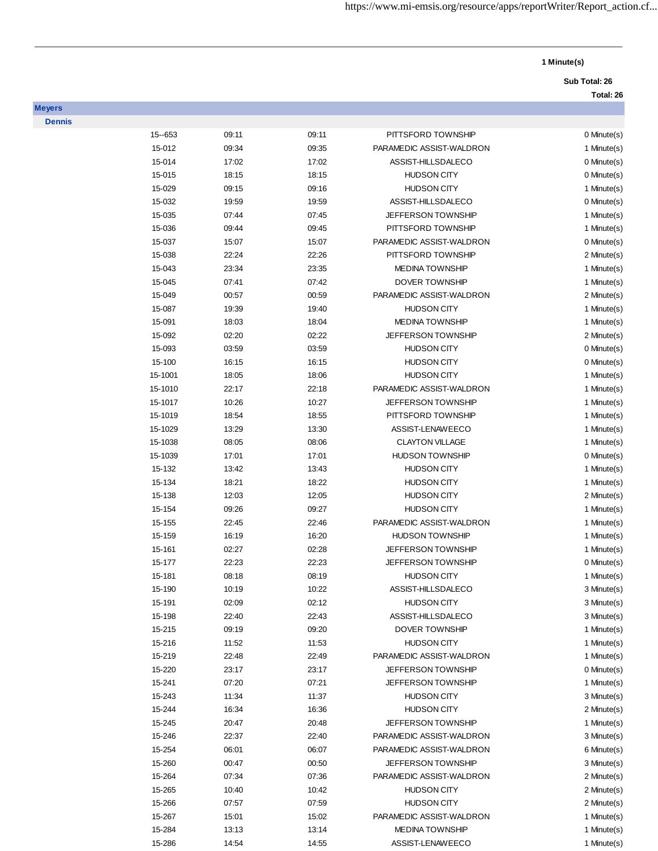# **Sub Total: 26**

**Total: 26**

| <b>Dennis</b> |           |       |       |                           |             |
|---------------|-----------|-------|-------|---------------------------|-------------|
|               | 15 -- 653 | 09:11 | 09:11 | PITTSFORD TOWNSHIP        | 0 Minute(s) |
|               | 15-012    | 09:34 | 09:35 | PARAMEDIC ASSIST-WALDRON  | 1 Minute(s) |
|               | 15-014    | 17:02 | 17:02 | ASSIST-HILLSDALECO        | 0 Minute(s) |
|               | 15-015    | 18:15 | 18:15 | <b>HUDSON CITY</b>        | 0 Minute(s) |
|               | 15-029    | 09:15 | 09:16 | <b>HUDSON CITY</b>        | 1 Minute(s) |
|               | 15-032    | 19:59 | 19:59 | ASSIST-HILLSDALECO        | 0 Minute(s) |
|               | 15-035    | 07:44 | 07:45 | JEFFERSON TOWNSHIP        | 1 Minute(s) |
|               | 15-036    | 09:44 | 09:45 | PITTSFORD TOWNSHIP        | 1 Minute(s) |
|               | 15-037    | 15:07 | 15:07 | PARAMEDIC ASSIST-WALDRON  | 0 Minute(s) |
|               | 15-038    | 22:24 | 22:26 | PITTSFORD TOWNSHIP        | 2 Minute(s) |
|               | 15-043    | 23:34 | 23:35 | <b>MEDINA TOWNSHIP</b>    | 1 Minute(s) |
|               | 15-045    | 07:41 | 07:42 | DOVER TOWNSHIP            | 1 Minute(s) |
|               | 15-049    | 00:57 | 00:59 | PARAMEDIC ASSIST-WALDRON  | 2 Minute(s) |
|               | 15-087    | 19:39 | 19:40 | <b>HUDSON CITY</b>        | 1 Minute(s) |
|               | 15-091    | 18:03 | 18:04 | <b>MEDINA TOWNSHIP</b>    | 1 Minute(s) |
|               | 15-092    | 02:20 | 02:22 | <b>JEFFERSON TOWNSHIP</b> | 2 Minute(s) |
|               | 15-093    | 03:59 | 03:59 | <b>HUDSON CITY</b>        | 0 Minute(s) |
|               | 15-100    | 16:15 | 16:15 | <b>HUDSON CITY</b>        | 0 Minute(s) |
|               | 15-1001   | 18:05 | 18:06 | <b>HUDSON CITY</b>        | 1 Minute(s) |
|               | 15-1010   | 22:17 | 22:18 | PARAMEDIC ASSIST-WALDRON  | 1 Minute(s) |
|               | 15-1017   | 10:26 | 10:27 | <b>JEFFERSON TOWNSHIP</b> | 1 Minute(s) |
|               | 15-1019   | 18:54 | 18:55 | PITTSFORD TOWNSHIP        | 1 Minute(s) |
|               | 15-1029   | 13:29 | 13:30 | ASSIST-LENAWEECO          | 1 Minute(s) |
|               | 15-1038   | 08:05 | 08:06 | <b>CLAYTON VILLAGE</b>    | 1 Minute(s) |
|               | 15-1039   | 17:01 | 17:01 | <b>HUDSON TOWNSHIP</b>    | 0 Minute(s) |
|               | 15-132    | 13:42 | 13:43 | <b>HUDSON CITY</b>        | 1 Minute(s) |
|               | 15-134    | 18:21 | 18:22 | <b>HUDSON CITY</b>        | 1 Minute(s) |
|               | 15-138    | 12:03 | 12:05 | <b>HUDSON CITY</b>        | 2 Minute(s) |
|               | 15-154    | 09:26 | 09:27 | <b>HUDSON CITY</b>        | 1 Minute(s) |
|               | 15-155    | 22:45 | 22:46 | PARAMEDIC ASSIST-WALDRON  | 1 Minute(s) |
|               | 15-159    | 16:19 | 16:20 | <b>HUDSON TOWNSHIP</b>    | 1 Minute(s) |
|               | 15-161    | 02:27 | 02:28 | JEFFERSON TOWNSHIP        | 1 Minute(s) |
|               | 15-177    | 22:23 | 22:23 | JEFFERSON TOWNSHIP        | 0 Minute(s) |
|               | 15-181    | 08:18 | 08:19 | <b>HUDSON CITY</b>        | 1 Minute(s) |
|               | 15-190    | 10:19 | 10:22 | ASSIST-HILLSDALECO        | 3 Minute(s) |
|               | 15-191    | 02:09 | 02:12 | <b>HUDSON CITY</b>        | 3 Minute(s) |
|               | 15-198    | 22:40 | 22:43 | ASSIST-HILLSDALECO        | 3 Minute(s) |
|               | 15-215    | 09:19 | 09:20 | DOVER TOWNSHIP            | 1 Minute(s) |
|               | 15-216    | 11:52 | 11:53 | <b>HUDSON CITY</b>        | 1 Minute(s) |
|               | 15-219    | 22:48 | 22:49 | PARAMEDIC ASSIST-WALDRON  | 1 Minute(s) |
|               | 15-220    | 23:17 | 23:17 | JEFFERSON TOWNSHIP        | 0 Minute(s) |
|               | 15-241    | 07:20 | 07:21 | JEFFERSON TOWNSHIP        | 1 Minute(s) |
|               | 15-243    | 11:34 | 11:37 | <b>HUDSON CITY</b>        | 3 Minute(s) |
|               | 15-244    | 16:34 | 16:36 | <b>HUDSON CITY</b>        | 2 Minute(s) |
|               | 15-245    | 20:47 | 20:48 | JEFFERSON TOWNSHIP        | 1 Minute(s) |
|               | 15-246    | 22:37 | 22:40 | PARAMEDIC ASSIST-WALDRON  | 3 Minute(s) |
|               | 15-254    | 06:01 | 06:07 | PARAMEDIC ASSIST-WALDRON  | 6 Minute(s) |
|               | 15-260    | 00:47 | 00:50 | JEFFERSON TOWNSHIP        | 3 Minute(s) |
|               | 15-264    | 07:34 | 07:36 | PARAMEDIC ASSIST-WALDRON  | 2 Minute(s) |
|               | 15-265    | 10:40 | 10:42 | <b>HUDSON CITY</b>        | 2 Minute(s) |
|               | 15-266    | 07:57 | 07:59 | <b>HUDSON CITY</b>        | 2 Minute(s) |
|               | 15-267    | 15:01 | 15:02 | PARAMEDIC ASSIST-WALDRON  | 1 Minute(s) |
|               | 15-284    | 13:13 | 13:14 | <b>MEDINA TOWNSHIP</b>    | 1 Minute(s) |
|               | 15-286    | 14:54 | 14:55 | ASSIST-LENAWEECO          | 1 Minute(s) |
|               |           |       |       |                           |             |

**Meyers**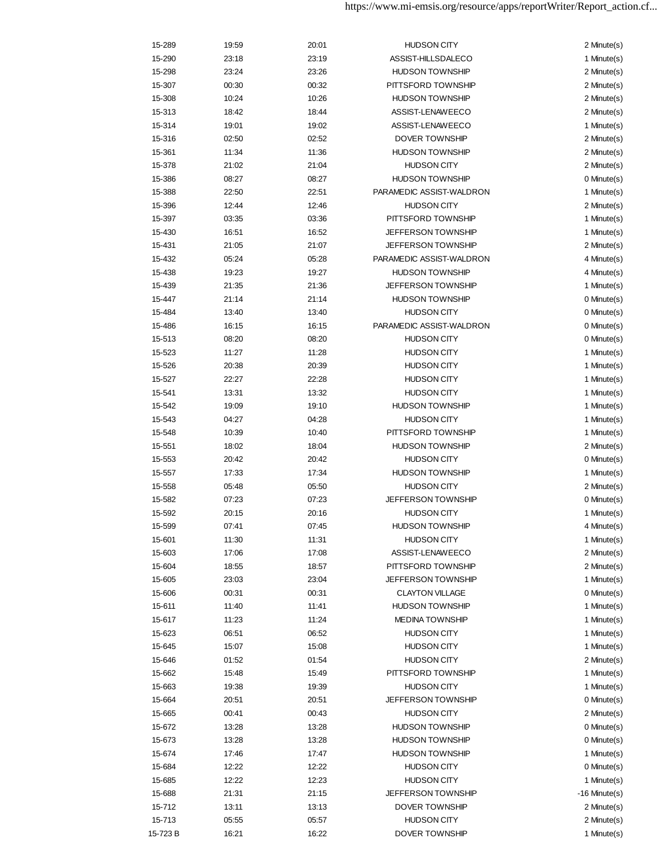| 15-289  | 19:59 | 20:01 | <b>HUDSON CITY</b>                           | 2 Minute(s)                |
|---------|-------|-------|----------------------------------------------|----------------------------|
| 15-290  | 23:18 | 23:19 | ASSIST-HILLSDALECO                           | 1 Minute(s)                |
| 15-298  | 23:24 | 23:26 | <b>HUDSON TOWNSHIP</b>                       | 2 Minute(s)                |
| 15-307  | 00:30 | 00:32 | PITTSFORD TOWNSHIP                           | 2 Minute(s)                |
| 15-308  | 10:24 | 10:26 | <b>HUDSON TOWNSHIP</b>                       | 2 Minute(s)                |
| 15-313  | 18:42 | 18:44 | ASSIST-LENAWEECO                             | 2 Minute(s)                |
| 15-314  | 19:01 | 19:02 | ASSIST-LENAWEECO                             | 1 Minute(s)                |
| 15-316  | 02:50 | 02:52 | DOVER TOWNSHIP                               | 2 Minute(s)                |
| 15-361  | 11:34 | 11:36 | <b>HUDSON TOWNSHIP</b>                       | 2 Minute(s)                |
| 15-378  | 21:02 | 21:04 | <b>HUDSON CITY</b>                           | 2 Minute(s)                |
| 15-386  | 08:27 | 08:27 | <b>HUDSON TOWNSHIP</b>                       | 0 Minute(s)                |
| 15-388  | 22:50 | 22:51 | PARAMEDIC ASSIST-WALDRON                     | 1 Minute(s)                |
| 15-396  | 12:44 | 12:46 | <b>HUDSON CITY</b>                           | 2 Minute(s)                |
| 15-397  | 03:35 | 03:36 | PITTSFORD TOWNSHIP                           | 1 Minute(s)                |
| 15-430  | 16:51 | 16:52 | <b>JEFFERSON TOWNSHIP</b>                    | 1 Minute(s)                |
| 15-431  | 21:05 | 21:07 | <b>JEFFERSON TOWNSHIP</b>                    | 2 Minute(s)                |
| 15-432  | 05:24 | 05:28 | PARAMEDIC ASSIST-WALDRON                     | 4 Minute(s)                |
| 15-438  | 19:23 | 19:27 | <b>HUDSON TOWNSHIP</b>                       | 4 Minute(s)                |
| 15-439  | 21:35 | 21:36 | <b>JEFFERSON TOWNSHIP</b>                    | 1 Minute(s)                |
| 15-447  | 21:14 | 21:14 | <b>HUDSON TOWNSHIP</b>                       | 0 Minute(s)                |
| 15-484  | 13:40 | 13:40 | <b>HUDSON CITY</b>                           | 0 Minute(s)                |
| 15-486  | 16:15 | 16:15 | PARAMEDIC ASSIST-WALDRON                     | 0 Minute(s)                |
| 15-513  | 08:20 | 08:20 | <b>HUDSON CITY</b>                           | 0 Minute(s)                |
| 15-523  | 11:27 | 11:28 | <b>HUDSON CITY</b>                           | 1 Minute(s)                |
| 15-526  | 20:38 | 20:39 | <b>HUDSON CITY</b>                           | 1 Minute(s)                |
| 15-527  | 22:27 | 22:28 | <b>HUDSON CITY</b>                           | 1 Minute(s)                |
| 15-541  | 13:31 | 13:32 | <b>HUDSON CITY</b>                           | 1 Minute(s)                |
| 15-542  | 19:09 | 19:10 | <b>HUDSON TOWNSHIP</b>                       | 1 Minute(s)                |
| 15-543  | 04:27 | 04:28 | <b>HUDSON CITY</b>                           | 1 Minute(s)                |
| 15-548  | 10:39 | 10:40 | PITTSFORD TOWNSHIP                           | 1 Minute(s)                |
|         |       |       | <b>HUDSON TOWNSHIP</b>                       | 2 Minute(s)                |
| 15-551  | 18:02 | 18:04 |                                              |                            |
| 15-553  | 20:42 | 20:42 | <b>HUDSON CITY</b><br><b>HUDSON TOWNSHIP</b> | 0 Minute(s)<br>1 Minute(s) |
| 15-557  | 17:33 | 17:34 |                                              |                            |
| 15-558  | 05:48 | 05:50 | <b>HUDSON CITY</b>                           | 2 Minute(s)                |
| 15-582  | 07:23 | 07:23 | <b>JEFFERSON TOWNSHIP</b>                    | 0 Minute(s)                |
| 15-592  | 20:15 | 20:16 | <b>HUDSON CITY</b>                           | 1 Minute(s)                |
| 15-599  | 07:41 | 07:45 | <b>HUDSON TOWNSHIP</b>                       | 4 Minute(s)                |
| 15-601  | 11:30 | 11:31 | <b>HUDSON CITY</b>                           | 1 Minute(s)                |
| 15-603  | 17:06 | 17:08 | ASSIST-LENAWEECO                             | 2 Minute(s)                |
| 15-604  | 18:55 | 18:57 | PITTSFORD TOWNSHIP                           | 2 Minute(s)                |
| 15-605  | 23:03 | 23:04 | <b>JEFFERSON TOWNSHIP</b>                    | 1 Minute(s)                |
| 15-606  | 00:31 | 00:31 | <b>CLAYTON VILLAGE</b>                       | 0 Minute(s)                |
| 15-611  | 11:40 | 11:41 | <b>HUDSON TOWNSHIP</b>                       | 1 Minute(s)                |
| 15-617  | 11:23 | 11:24 | <b>MEDINA TOWNSHIP</b>                       | 1 Minute(s)                |
| 15-623  | 06:51 | 06:52 | <b>HUDSON CITY</b>                           | 1 Minute(s)                |
| 15-645  | 15:07 | 15:08 | <b>HUDSON CITY</b>                           | 1 Minute(s)                |
| 15-646  | 01:52 | 01:54 | <b>HUDSON CITY</b>                           | 2 Minute(s)                |
| 15-662  | 15:48 | 15:49 | PITTSFORD TOWNSHIP                           | 1 Minute(s)                |
| 15-663  | 19:38 | 19:39 | <b>HUDSON CITY</b>                           | 1 Minute(s)                |
| 15-664  | 20:51 | 20:51 | <b>JEFFERSON TOWNSHIP</b>                    | 0 Minute(s)                |
| 15-665  | 00:41 | 00:43 | <b>HUDSON CITY</b>                           | 2 Minute(s)                |
| 15-672  | 13:28 | 13:28 | <b>HUDSON TOWNSHIP</b>                       | 0 Minute(s)                |
| 15-673  | 13:28 | 13:28 | <b>HUDSON TOWNSHIP</b>                       | 0 Minute(s)                |
| 15-674  | 17:46 | 17:47 | <b>HUDSON TOWNSHIP</b>                       | 1 Minute(s)                |
| 15-684  | 12:22 | 12:22 | <b>HUDSON CITY</b>                           | 0 Minute(s)                |
| 15-685  | 12:22 | 12:23 | <b>HUDSON CITY</b>                           | 1 Minute(s)                |
| 15-688  | 21:31 | 21:15 | <b>JEFFERSON TOWNSHIP</b>                    | $-16$ Minute $(s)$         |
| 15-712  | 13:11 | 13:13 | DOVER TOWNSHIP                               | 2 Minute(s)                |
| 15-713  | 05:55 | 05:57 | <b>HUDSON CITY</b>                           | 2 Minute(s)                |
| 15-723B | 16:21 | 16:22 | DOVER TOWNSHIP                               | 1 Minute(s)                |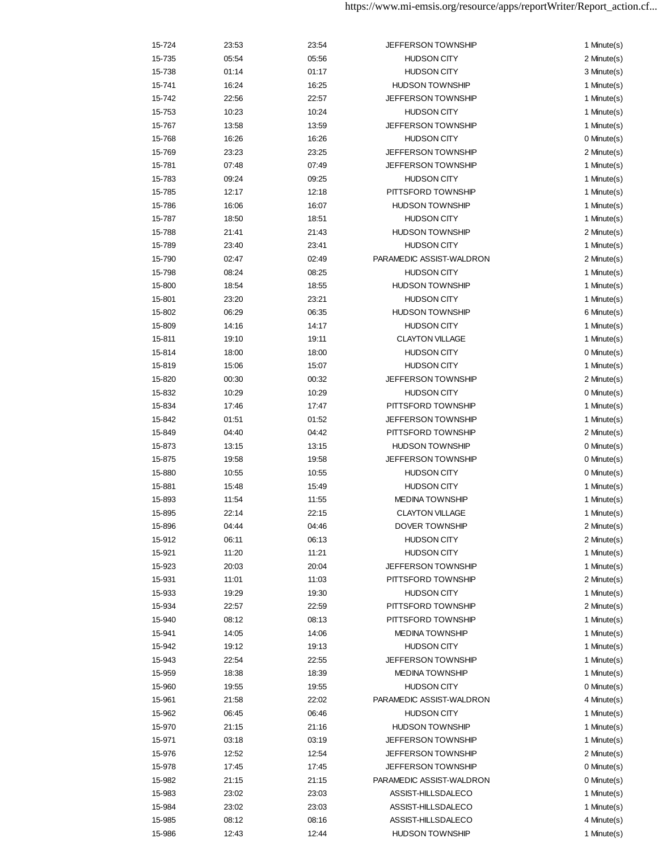| 15-724           | 23:53          | 23:54          | <b>JEFFERSON TOWNSHIP</b>                       | 1 Minute(s)                |
|------------------|----------------|----------------|-------------------------------------------------|----------------------------|
| 15-735           | 05:54          | 05:56          | <b>HUDSON CITY</b>                              | 2 Minute(s)                |
| 15-738           | 01:14          | 01:17          | <b>HUDSON CITY</b>                              | 3 Minute(s)                |
| 15-741           | 16:24          | 16:25          | <b>HUDSON TOWNSHIP</b>                          | 1 Minute(s)                |
| 15-742           | 22:56          | 22:57          | JEFFERSON TOWNSHIP                              | 1 Minute(s)                |
| 15-753           | 10:23          | 10:24          | <b>HUDSON CITY</b>                              | 1 Minute(s)                |
| 15-767           | 13:58          | 13:59          | JEFFERSON TOWNSHIP                              | 1 Minute(s)                |
| 15-768           | 16:26          | 16:26          | <b>HUDSON CITY</b>                              | 0 Minute(s)                |
| 15-769           | 23:23          | 23:25          | JEFFERSON TOWNSHIP                              | 2 Minute(s)                |
| 15-781           | 07:48          | 07:49          | JEFFERSON TOWNSHIP                              | 1 Minute(s)                |
| 15-783           | 09:24          | 09:25          | <b>HUDSON CITY</b>                              | 1 Minute(s)                |
| 15-785           | 12:17          | 12:18          | PITTSFORD TOWNSHIP                              | 1 Minute(s)                |
| 15-786           | 16:06          | 16:07          | <b>HUDSON TOWNSHIP</b>                          | 1 Minute(s)                |
| 15-787           | 18:50          | 18:51          | <b>HUDSON CITY</b>                              | 1 Minute(s)                |
| 15-788           | 21:41          | 21:43          | <b>HUDSON TOWNSHIP</b>                          | 2 Minute(s)                |
| 15-789           | 23:40          | 23:41          | <b>HUDSON CITY</b>                              | 1 Minute(s)                |
| 15-790           | 02:47          | 02:49          | PARAMEDIC ASSIST-WALDRON                        | 2 Minute(s)                |
| 15-798           | 08:24          | 08:25          | <b>HUDSON CITY</b>                              | 1 Minute(s)                |
| 15-800           | 18:54          | 18:55          | <b>HUDSON TOWNSHIP</b>                          | 1 Minute(s)                |
| 15-801           | 23:20          | 23:21          | <b>HUDSON CITY</b>                              | 1 Minute(s)                |
| 15-802           | 06:29          | 06:35          | <b>HUDSON TOWNSHIP</b>                          | 6 Minute(s)                |
| 15-809           | 14:16          | 14:17          | <b>HUDSON CITY</b>                              | 1 Minute(s)                |
| 15-811           | 19:10          | 19:11          | <b>CLAYTON VILLAGE</b>                          | 1 Minute(s)                |
| 15-814           | 18:00          | 18:00          | <b>HUDSON CITY</b>                              | 0 Minute(s)                |
| 15-819           | 15:06          | 15:07          | <b>HUDSON CITY</b>                              | 1 Minute(s)                |
| 15-820           | 00:30          | 00:32          | JEFFERSON TOWNSHIP                              | 2 Minute(s)                |
| 15-832           | 10:29          | 10:29          | <b>HUDSON CITY</b>                              | 0 Minute(s)                |
| 15-834           | 17:46          | 17:47          | PITTSFORD TOWNSHIP                              | 1 Minute(s)                |
| 15-842           | 01:51          | 01:52          | JEFFERSON TOWNSHIP                              | 1 Minute(s)                |
| 15-849           | 04:40          | 04:42          | PITTSFORD TOWNSHIP                              | 2 Minute(s)                |
| 15-873           | 13:15          | 13:15          | <b>HUDSON TOWNSHIP</b>                          | 0 Minute(s)                |
| 15-875           | 19:58          | 19:58          | <b>JEFFERSON TOWNSHIP</b>                       | 0 Minute(s)                |
| 15-880           | 10:55          | 10:55          | <b>HUDSON CITY</b>                              | 0 Minute(s)                |
| 15-881           | 15:48          | 15:49          | <b>HUDSON CITY</b>                              | 1 Minute(s)                |
| 15-893           | 11:54          | 11:55          | <b>MEDINA TOWNSHIP</b>                          | 1 Minute(s)                |
| 15-895           | 22:14          | 22:15          | <b>CLAYTON VILLAGE</b>                          | 1 Minute(s)                |
| 15-896           | 04:44          | 04:46          | DOVER TOWNSHIP                                  | 2 Minute(s)                |
| 15-912           | 06:11<br>11:20 | 06:13<br>11:21 | <b>HUDSON CITY</b>                              | 2 Minute(s)<br>1 Minute(s) |
| 15-921<br>15-923 | 20:03          | 20:04          | <b>HUDSON CITY</b><br><b>JEFFERSON TOWNSHIP</b> | 1 Minute(s)                |
| 15-931           | 11:01          | 11:03          | PITTSFORD TOWNSHIP                              | 2 Minute(s)                |
| 15-933           | 19:29          | 19:30          | <b>HUDSON CITY</b>                              | 1 Minute(s)                |
| 15-934           | 22:57          | 22:59          | PITTSFORD TOWNSHIP                              | 2 Minute(s)                |
| 15-940           | 08:12          | 08:13          | PITTSFORD TOWNSHIP                              | 1 Minute(s)                |
| 15-941           | 14:05          | 14:06          | <b>MEDINA TOWNSHIP</b>                          | 1 Minute(s)                |
| 15-942           | 19:12          | 19:13          | <b>HUDSON CITY</b>                              | 1 Minute(s)                |
| 15-943           | 22:54          | 22:55          | <b>JEFFERSON TOWNSHIP</b>                       | 1 Minute(s)                |
| 15-959           | 18:38          | 18:39          | <b>MEDINA TOWNSHIP</b>                          | 1 Minute(s)                |
| 15-960           | 19:55          | 19:55          | <b>HUDSON CITY</b>                              | 0 Minute(s)                |
| 15-961           | 21:58          | 22:02          | PARAMEDIC ASSIST-WALDRON                        | 4 Minute(s)                |
| 15-962           | 06:45          | 06:46          | <b>HUDSON CITY</b>                              | 1 Minute(s)                |
| 15-970           | 21:15          | 21:16          | <b>HUDSON TOWNSHIP</b>                          | 1 Minute(s)                |
| 15-971           | 03:18          | 03:19          | <b>JEFFERSON TOWNSHIP</b>                       | 1 Minute(s)                |
| 15-976           | 12:52          | 12:54          | <b>JEFFERSON TOWNSHIP</b>                       | 2 Minute(s)                |
| 15-978           | 17:45          | 17:45          | <b>JEFFERSON TOWNSHIP</b>                       | 0 Minute(s)                |
| 15-982           | 21:15          | 21:15          | PARAMEDIC ASSIST-WALDRON                        | 0 Minute(s)                |
| 15-983           | 23:02          | 23:03          | ASSIST-HILLSDALECO                              | 1 Minute(s)                |
| 15-984           | 23:02          | 23:03          | ASSIST-HILLSDALECO                              | 1 Minute(s)                |
| 15-985           | 08:12          | 08:16          | ASSIST-HILLSDALECO                              | 4 Minute(s)                |
| 15-986           | 12:43          | 12:44          | <b>HUDSON TOWNSHIP</b>                          | 1 Minute(s)                |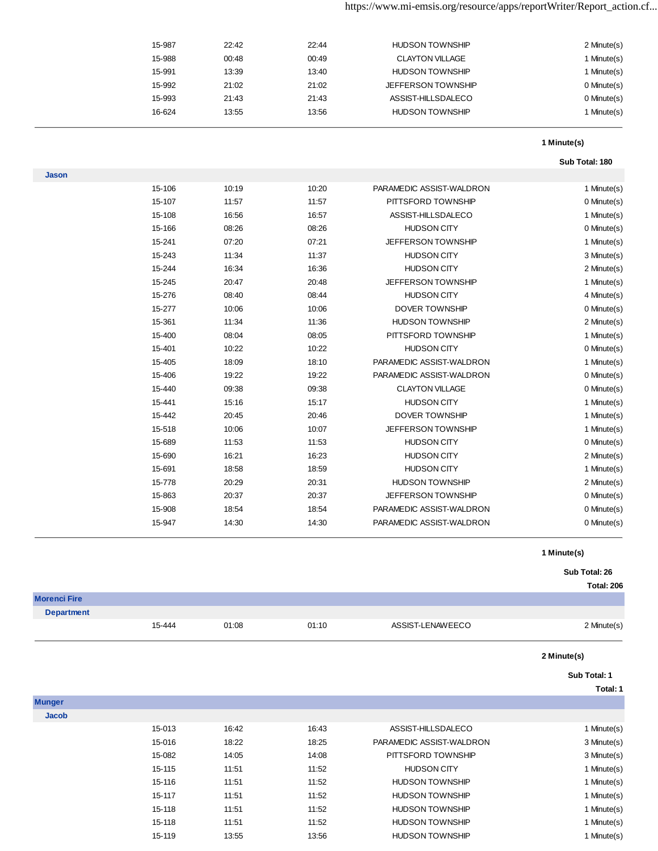| 15-987 | 22:42 | 22:44 | <b>HUDSON TOWNSHIP</b>    | 2 Minute(s) |
|--------|-------|-------|---------------------------|-------------|
| 15-988 | 00:48 | 00:49 | <b>CLAYTON VILLAGE</b>    | I Minute(s) |
| 15-991 | 13:39 | 13:40 | <b>HUDSON TOWNSHIP</b>    | I Minute(s) |
| 15-992 | 21:02 | 21:02 | <b>JEFFERSON TOWNSHIP</b> | 0 Minute(s) |
| 15-993 | 21:43 | 21:43 | ASSIST-HILLSDALECO        | 0 Minute(s) |
| 16-624 | 13:55 | 13:56 | <b>HUDSON TOWNSHIP</b>    | Minute(s)   |
|        |       |       |                           |             |

#### **Sub Total: 180**

| <b>Jason</b> |        |       |       |                          |             |
|--------------|--------|-------|-------|--------------------------|-------------|
|              | 15-106 | 10:19 | 10:20 | PARAMEDIC ASSIST-WALDRON | 1 Minute(s) |
|              | 15-107 | 11:57 | 11:57 | PITTSFORD TOWNSHIP       | 0 Minute(s) |
|              | 15-108 | 16:56 | 16:57 | ASSIST-HILLSDALECO       | 1 Minute(s) |
|              | 15-166 | 08:26 | 08:26 | <b>HUDSON CITY</b>       | 0 Minute(s) |
|              | 15-241 | 07:20 | 07:21 | JEFFERSON TOWNSHIP       | 1 Minute(s) |
|              | 15-243 | 11:34 | 11:37 | <b>HUDSON CITY</b>       | 3 Minute(s) |
|              | 15-244 | 16:34 | 16:36 | <b>HUDSON CITY</b>       | 2 Minute(s) |
|              | 15-245 | 20:47 | 20:48 | JEFFERSON TOWNSHIP       | 1 Minute(s) |
|              | 15-276 | 08:40 | 08:44 | <b>HUDSON CITY</b>       | 4 Minute(s) |
|              | 15-277 | 10:06 | 10:06 | DOVER TOWNSHIP           | 0 Minute(s) |
|              | 15-361 | 11:34 | 11:36 | <b>HUDSON TOWNSHIP</b>   | 2 Minute(s) |
|              | 15-400 | 08:04 | 08:05 | PITTSFORD TOWNSHIP       | 1 Minute(s) |
|              | 15-401 | 10:22 | 10:22 | <b>HUDSON CITY</b>       | 0 Minute(s) |
|              | 15-405 | 18:09 | 18:10 | PARAMEDIC ASSIST-WALDRON | 1 Minute(s) |
|              | 15-406 | 19:22 | 19:22 | PARAMEDIC ASSIST-WALDRON | 0 Minute(s) |
|              | 15-440 | 09:38 | 09:38 | <b>CLAYTON VILLAGE</b>   | 0 Minute(s) |
|              | 15-441 | 15:16 | 15:17 | <b>HUDSON CITY</b>       | 1 Minute(s) |
|              | 15-442 | 20:45 | 20:46 | DOVER TOWNSHIP           | 1 Minute(s) |
|              | 15-518 | 10:06 | 10:07 | JEFFERSON TOWNSHIP       | 1 Minute(s) |
|              | 15-689 | 11:53 | 11:53 | <b>HUDSON CITY</b>       | 0 Minute(s) |
|              | 15-690 | 16:21 | 16:23 | <b>HUDSON CITY</b>       | 2 Minute(s) |
|              | 15-691 | 18:58 | 18:59 | <b>HUDSON CITY</b>       | 1 Minute(s) |
|              | 15-778 | 20:29 | 20:31 | <b>HUDSON TOWNSHIP</b>   | 2 Minute(s) |
|              | 15-863 | 20:37 | 20:37 | JEFFERSON TOWNSHIP       | 0 Minute(s) |
|              | 15-908 | 18:54 | 18:54 | PARAMEDIC ASSIST-WALDRON | 0 Minute(s) |
|              | 15-947 | 14:30 | 14:30 | PARAMEDIC ASSIST-WALDRON | 0 Minute(s) |

### **1 Minute(s)**

### **Sub Total: 26**

|                     |        |       |       |                          | Total: 206   |
|---------------------|--------|-------|-------|--------------------------|--------------|
| <b>Morenci Fire</b> |        |       |       |                          |              |
| <b>Department</b>   |        |       |       |                          |              |
|                     | 15-444 | 01:08 | 01:10 | ASSIST-LENAWEECO         | 2 Minute(s)  |
|                     |        |       |       |                          | 2 Minute(s)  |
|                     |        |       |       |                          | Sub Total: 1 |
|                     |        |       |       |                          | Total: 1     |
| <b>Munger</b>       |        |       |       |                          |              |
| <b>Jacob</b>        |        |       |       |                          |              |
|                     | 15-013 | 16:42 | 16:43 | ASSIST-HILLSDALECO       | 1 Minute(s)  |
|                     | 15-016 | 18:22 | 18:25 | PARAMEDIC ASSIST-WALDRON | 3 Minute(s)  |
|                     | 15-082 | 14:05 | 14:08 | PITTSFORD TOWNSHIP       | 3 Minute(s)  |
|                     | 15-115 | 11:51 | 11:52 | <b>HUDSON CITY</b>       | 1 Minute(s)  |
|                     | 15-116 | 11:51 | 11:52 | <b>HUDSON TOWNSHIP</b>   | 1 Minute(s)  |
|                     | 15-117 | 11:51 | 11:52 | <b>HUDSON TOWNSHIP</b>   | 1 Minute(s)  |
|                     | 15-118 | 11:51 | 11:52 | <b>HUDSON TOWNSHIP</b>   | 1 Minute(s)  |
|                     | 15-118 | 11:51 | 11:52 | <b>HUDSON TOWNSHIP</b>   | 1 Minute(s)  |
|                     | 15-119 | 13:55 | 13:56 | <b>HUDSON TOWNSHIP</b>   | 1 Minute(s)  |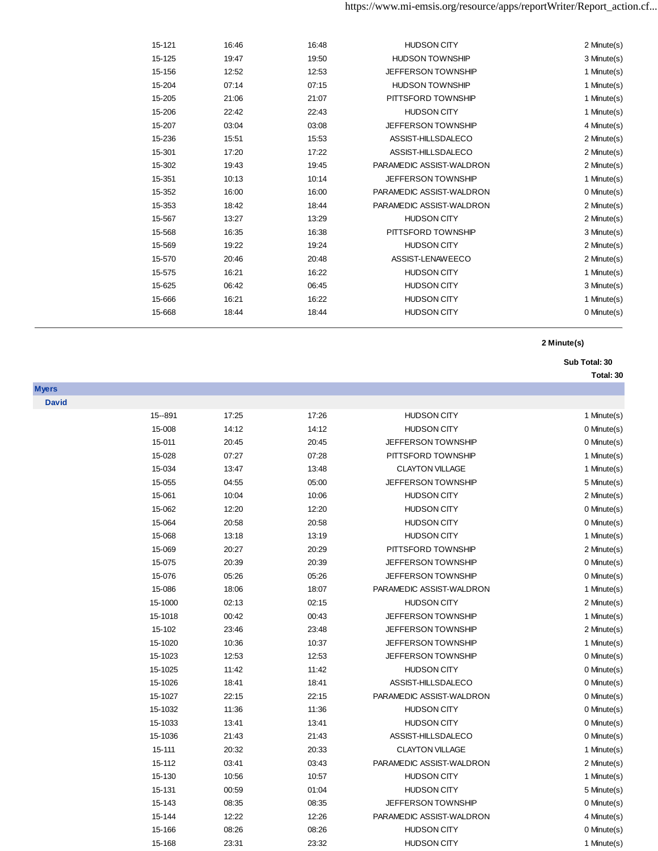| 15-121 | 16:46 | 16:48 | <b>HUDSON CITY</b>        | 2 Minute(s) |
|--------|-------|-------|---------------------------|-------------|
| 15-125 | 19:47 | 19:50 | <b>HUDSON TOWNSHIP</b>    | 3 Minute(s) |
| 15-156 | 12:52 | 12:53 | <b>JEFFERSON TOWNSHIP</b> | 1 Minute(s) |
| 15-204 | 07:14 | 07:15 | <b>HUDSON TOWNSHIP</b>    | 1 Minute(s) |
| 15-205 | 21:06 | 21:07 | PITTSFORD TOWNSHIP        | 1 Minute(s) |
| 15-206 | 22:42 | 22:43 | <b>HUDSON CITY</b>        | 1 Minute(s) |
| 15-207 | 03:04 | 03:08 | <b>JEFFERSON TOWNSHIP</b> | 4 Minute(s) |
| 15-236 | 15:51 | 15:53 | ASSIST-HILLSDALECO        | 2 Minute(s) |
| 15-301 | 17:20 | 17:22 | ASSIST-HILLSDALECO        | 2 Minute(s) |
| 15-302 | 19:43 | 19:45 | PARAMEDIC ASSIST-WALDRON  | 2 Minute(s) |
| 15-351 | 10:13 | 10:14 | <b>JEFFERSON TOWNSHIP</b> | 1 Minute(s) |
| 15-352 | 16:00 | 16:00 | PARAMEDIC ASSIST-WALDRON  | 0 Minute(s) |
| 15-353 | 18:42 | 18:44 | PARAMEDIC ASSIST-WALDRON  | 2 Minute(s) |
| 15-567 | 13:27 | 13:29 | <b>HUDSON CITY</b>        | 2 Minute(s) |
| 15-568 | 16:35 | 16:38 | PITTSFORD TOWNSHIP        | 3 Minute(s) |
| 15-569 | 19:22 | 19:24 | <b>HUDSON CITY</b>        | 2 Minute(s) |
| 15-570 | 20:46 | 20:48 | ASSIST-LENAWEECO          | 2 Minute(s) |
| 15-575 | 16:21 | 16:22 | <b>HUDSON CITY</b>        | 1 Minute(s) |
| 15-625 | 06:42 | 06:45 | <b>HUDSON CITY</b>        | 3 Minute(s) |
| 15-666 | 16:21 | 16:22 | <b>HUDSON CITY</b>        | 1 Minute(s) |
| 15-668 | 18:44 | 18:44 | <b>HUDSON CITY</b>        | 0 Minute(s) |
|        |       |       |                           |             |

**Sub Total: 30** 

| <b>Myers</b><br><b>David</b><br>17:26<br>15 -- 891<br>17:25<br><b>HUDSON CITY</b><br>15-008<br>14:12<br>14:12<br><b>HUDSON CITY</b><br>15-011<br>20:45<br>20:45<br><b>JEFFERSON TOWNSHIP</b><br>07:27<br>07:28<br>PITTSFORD TOWNSHIP<br>15-028<br>15-034<br>13:47<br>13:48<br><b>CLAYTON VILLAGE</b><br><b>JEFFERSON TOWNSHIP</b><br>15-055<br>04:55<br>05:00<br>15-061<br>10:04<br>10:06<br><b>HUDSON CITY</b><br>15-062<br>12:20<br>12:20<br><b>HUDSON CITY</b><br>15-064<br>20:58<br>20:58<br><b>HUDSON CITY</b><br><b>HUDSON CITY</b><br>15-068<br>13:18<br>13:19<br>15-069<br>20:27<br>20:29<br>PITTSFORD TOWNSHIP<br>15-075<br>20:39<br>20:39<br>JEFFERSON TOWNSHIP<br>05:26<br>05:26<br>15-076<br><b>JEFFERSON TOWNSHIP</b><br>18:07<br>PARAMEDIC ASSIST-WALDRON<br>15-086<br>18:06<br>15-1000<br>02:13<br>02:15<br><b>HUDSON CITY</b><br>00:43<br>JEFFERSON TOWNSHIP<br>15-1018<br>00:42 | 1 Minute(s) |
|--------------------------------------------------------------------------------------------------------------------------------------------------------------------------------------------------------------------------------------------------------------------------------------------------------------------------------------------------------------------------------------------------------------------------------------------------------------------------------------------------------------------------------------------------------------------------------------------------------------------------------------------------------------------------------------------------------------------------------------------------------------------------------------------------------------------------------------------------------------------------------------------------|-------------|
|                                                                                                                                                                                                                                                                                                                                                                                                                                                                                                                                                                                                                                                                                                                                                                                                                                                                                                  |             |
|                                                                                                                                                                                                                                                                                                                                                                                                                                                                                                                                                                                                                                                                                                                                                                                                                                                                                                  |             |
|                                                                                                                                                                                                                                                                                                                                                                                                                                                                                                                                                                                                                                                                                                                                                                                                                                                                                                  | 0 Minute(s) |
|                                                                                                                                                                                                                                                                                                                                                                                                                                                                                                                                                                                                                                                                                                                                                                                                                                                                                                  | 0 Minute(s) |
|                                                                                                                                                                                                                                                                                                                                                                                                                                                                                                                                                                                                                                                                                                                                                                                                                                                                                                  | 1 Minute(s) |
|                                                                                                                                                                                                                                                                                                                                                                                                                                                                                                                                                                                                                                                                                                                                                                                                                                                                                                  | 1 Minute(s) |
|                                                                                                                                                                                                                                                                                                                                                                                                                                                                                                                                                                                                                                                                                                                                                                                                                                                                                                  | 5 Minute(s) |
|                                                                                                                                                                                                                                                                                                                                                                                                                                                                                                                                                                                                                                                                                                                                                                                                                                                                                                  | 2 Minute(s) |
|                                                                                                                                                                                                                                                                                                                                                                                                                                                                                                                                                                                                                                                                                                                                                                                                                                                                                                  | 0 Minute(s) |
|                                                                                                                                                                                                                                                                                                                                                                                                                                                                                                                                                                                                                                                                                                                                                                                                                                                                                                  |             |
|                                                                                                                                                                                                                                                                                                                                                                                                                                                                                                                                                                                                                                                                                                                                                                                                                                                                                                  | 0 Minute(s) |
|                                                                                                                                                                                                                                                                                                                                                                                                                                                                                                                                                                                                                                                                                                                                                                                                                                                                                                  | 1 Minute(s) |
|                                                                                                                                                                                                                                                                                                                                                                                                                                                                                                                                                                                                                                                                                                                                                                                                                                                                                                  | 2 Minute(s) |
|                                                                                                                                                                                                                                                                                                                                                                                                                                                                                                                                                                                                                                                                                                                                                                                                                                                                                                  | 0 Minute(s) |
|                                                                                                                                                                                                                                                                                                                                                                                                                                                                                                                                                                                                                                                                                                                                                                                                                                                                                                  | 0 Minute(s) |
|                                                                                                                                                                                                                                                                                                                                                                                                                                                                                                                                                                                                                                                                                                                                                                                                                                                                                                  | 1 Minute(s) |
|                                                                                                                                                                                                                                                                                                                                                                                                                                                                                                                                                                                                                                                                                                                                                                                                                                                                                                  | 2 Minute(s) |
|                                                                                                                                                                                                                                                                                                                                                                                                                                                                                                                                                                                                                                                                                                                                                                                                                                                                                                  | 1 Minute(s) |
| 15-102<br>23:48<br>23:46<br><b>JEFFERSON TOWNSHIP</b>                                                                                                                                                                                                                                                                                                                                                                                                                                                                                                                                                                                                                                                                                                                                                                                                                                            | 2 Minute(s) |
| 10:37<br>15-1020<br>10:36<br><b>JEFFERSON TOWNSHIP</b>                                                                                                                                                                                                                                                                                                                                                                                                                                                                                                                                                                                                                                                                                                                                                                                                                                           | 1 Minute(s) |
| 12:53<br>15-1023<br>12:53<br>JEFFERSON TOWNSHIP                                                                                                                                                                                                                                                                                                                                                                                                                                                                                                                                                                                                                                                                                                                                                                                                                                                  | 0 Minute(s) |
| 15-1025<br>11:42<br>11:42<br><b>HUDSON CITY</b>                                                                                                                                                                                                                                                                                                                                                                                                                                                                                                                                                                                                                                                                                                                                                                                                                                                  | 0 Minute(s) |
| 15-1026<br>18:41<br>ASSIST-HILLSDALECO<br>18:41                                                                                                                                                                                                                                                                                                                                                                                                                                                                                                                                                                                                                                                                                                                                                                                                                                                  | 0 Minute(s) |
| PARAMEDIC ASSIST-WALDRON<br>15-1027<br>22:15<br>22:15                                                                                                                                                                                                                                                                                                                                                                                                                                                                                                                                                                                                                                                                                                                                                                                                                                            | 0 Minute(s) |
| 15-1032<br>11:36<br>11:36<br><b>HUDSON CITY</b>                                                                                                                                                                                                                                                                                                                                                                                                                                                                                                                                                                                                                                                                                                                                                                                                                                                  | 0 Minute(s) |
| 15-1033<br><b>HUDSON CITY</b><br>13:41<br>13:41                                                                                                                                                                                                                                                                                                                                                                                                                                                                                                                                                                                                                                                                                                                                                                                                                                                  | 0 Minute(s) |
| 15-1036<br>21:43<br>ASSIST-HILLSDALECO<br>21:43                                                                                                                                                                                                                                                                                                                                                                                                                                                                                                                                                                                                                                                                                                                                                                                                                                                  | 0 Minute(s) |
| <b>CLAYTON VILLAGE</b><br>15-111<br>20:32<br>20:33                                                                                                                                                                                                                                                                                                                                                                                                                                                                                                                                                                                                                                                                                                                                                                                                                                               | 1 Minute(s) |
| PARAMEDIC ASSIST-WALDRON<br>15-112<br>03:41<br>03:43                                                                                                                                                                                                                                                                                                                                                                                                                                                                                                                                                                                                                                                                                                                                                                                                                                             | 2 Minute(s) |
| 15-130<br>10:57<br><b>HUDSON CITY</b><br>10:56                                                                                                                                                                                                                                                                                                                                                                                                                                                                                                                                                                                                                                                                                                                                                                                                                                                   | 1 Minute(s) |
| 15-131<br>01:04<br><b>HUDSON CITY</b><br>00:59                                                                                                                                                                                                                                                                                                                                                                                                                                                                                                                                                                                                                                                                                                                                                                                                                                                   | 5 Minute(s) |
| JEFFERSON TOWNSHIP<br>15-143<br>08:35<br>08:35                                                                                                                                                                                                                                                                                                                                                                                                                                                                                                                                                                                                                                                                                                                                                                                                                                                   | 0 Minute(s) |
| 12:22<br>PARAMEDIC ASSIST-WALDRON<br>15-144<br>12:26                                                                                                                                                                                                                                                                                                                                                                                                                                                                                                                                                                                                                                                                                                                                                                                                                                             | 4 Minute(s) |
| 15-166<br>08:26<br>08:26<br><b>HUDSON CITY</b>                                                                                                                                                                                                                                                                                                                                                                                                                                                                                                                                                                                                                                                                                                                                                                                                                                                   | 0 Minute(s) |
| <b>HUDSON CITY</b><br>15-168<br>23:31<br>23:32                                                                                                                                                                                                                                                                                                                                                                                                                                                                                                                                                                                                                                                                                                                                                                                                                                                   | 1 Minute(s) |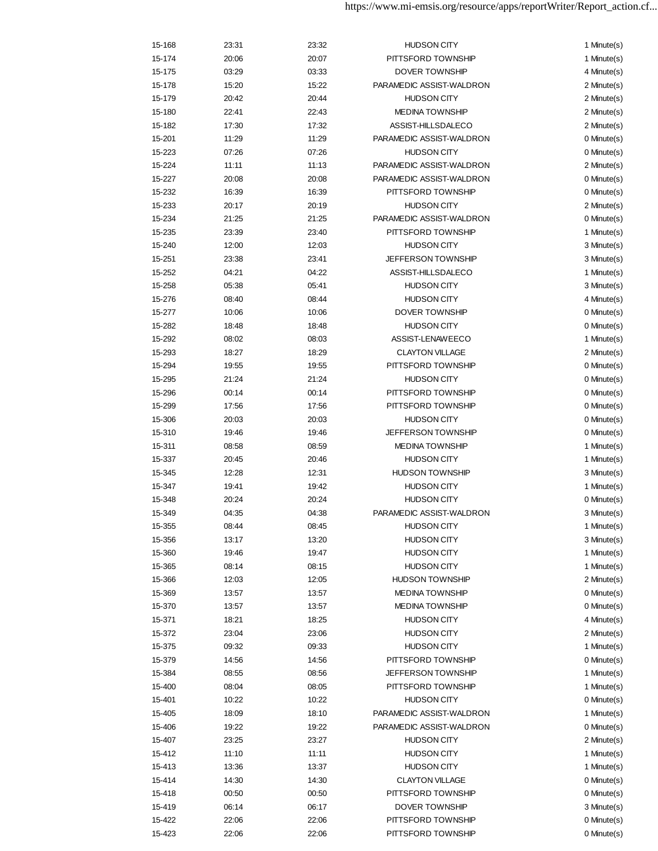| 15-174<br>20:06<br>20:07<br>PITTSFORD TOWNSHIP<br>03:29<br>03:33<br><b>DOVER TOWNSHIP</b><br>15-175<br>PARAMEDIC ASSIST-WALDRON<br>15-178<br>15:20<br>15:22<br>20:44<br><b>HUDSON CITY</b><br>15-179<br>20:42<br><b>MEDINA TOWNSHIP</b><br>15-180<br>22:41<br>22:43<br>ASSIST-HILLSDALECO<br>15-182<br>17:30<br>17:32<br>PARAMEDIC ASSIST-WALDRON<br>15-201<br>11:29<br>11:29<br>07:26<br>07:26<br><b>HUDSON CITY</b><br>15-223<br>PARAMEDIC ASSIST-WALDRON<br>15-224<br>11:11<br>11:13<br>PARAMEDIC ASSIST-WALDRON<br>15-227<br>20:08<br>20:08<br>15-232<br>16:39<br>16:39<br>PITTSFORD TOWNSHIP<br>15-233<br>20:17<br>20:19<br><b>HUDSON CITY</b><br>PARAMEDIC ASSIST-WALDRON<br>15-234<br>21:25<br>21:25<br>15-235<br>23:39<br>23:40<br>PITTSFORD TOWNSHIP<br>15-240<br>12:00<br>12:03<br><b>HUDSON CITY</b><br>23:38<br>23:41<br><b>JEFFERSON TOWNSHIP</b><br>15-251<br>04:22<br>ASSIST-HILLSDALECO<br>15-252<br>04:21<br><b>HUDSON CITY</b><br>15-258<br>05:38<br>05:41<br>08:44<br><b>HUDSON CITY</b><br>15-276<br>08:40<br><b>DOVER TOWNSHIP</b><br>15-277<br>10:06<br>10:06<br>18:48<br>18:48<br><b>HUDSON CITY</b><br>15-282<br>15-292<br>08:02<br>08:03<br>ASSIST-LENAWEECO<br>15-293<br>18:27<br>18:29<br><b>CLAYTON VILLAGE</b><br>15-294<br>19:55<br>PITTSFORD TOWNSHIP<br>19:55<br>15-295<br>21:24<br><b>HUDSON CITY</b><br>21:24<br>PITTSFORD TOWNSHIP<br>00:14<br>00:14<br>15-296<br>15-299<br>17:56<br>17:56<br>PITTSFORD TOWNSHIP<br>15-306<br>20:03<br>20:03<br><b>HUDSON CITY</b><br>15-310<br>19:46<br>19:46<br><b>JEFFERSON TOWNSHIP</b><br>15-311<br>08:58<br>08:59<br><b>MEDINA TOWNSHIP</b><br><b>HUDSON CITY</b><br>15-337<br>20:45<br>20:46<br><b>HUDSON TOWNSHIP</b><br>15-345<br>12:28<br>12:31<br><b>HUDSON CITY</b><br>15-347<br>19:41<br>19:42<br><b>HUDSON CITY</b><br>15-348<br>20:24<br>20:24<br>04:35<br>PARAMEDIC ASSIST-WALDRON<br>15-349<br>04:38<br><b>HUDSON CITY</b><br>15-355<br>08:44<br>08:45<br>13:20<br>15-356<br>13:17<br><b>HUDSON CITY</b><br>15-360<br>19:46<br>19:47<br><b>HUDSON CITY</b><br>15-365<br>08:14<br>08:15<br><b>HUDSON CITY</b> | 1 Minute(s)<br>4 Minute(s)<br>2 Minute(s)<br>2 Minute(s)<br>2 Minute(s)<br>2 Minute(s)<br>0 Minute(s)<br>0 Minute(s)<br>2 Minute(s)<br>0 Minute(s)<br>0 Minute(s)<br>2 Minute(s)<br>0 Minute(s)<br>1 Minute(s)<br>3 Minute(s)<br>3 Minute(s)<br>1 Minute(s)<br>3 Minute(s)<br>4 Minute(s)<br>0 Minute(s)<br>0 Minute(s)<br>1 Minute(s)<br>2 Minute(s)<br>0 Minute(s)<br>0 Minute(s)<br>0 Minute(s)<br>0 Minute(s)<br>0 Minute(s)<br>0 Minute(s)<br>1 Minute(s)<br>1 Minute(s) |
|--------------------------------------------------------------------------------------------------------------------------------------------------------------------------------------------------------------------------------------------------------------------------------------------------------------------------------------------------------------------------------------------------------------------------------------------------------------------------------------------------------------------------------------------------------------------------------------------------------------------------------------------------------------------------------------------------------------------------------------------------------------------------------------------------------------------------------------------------------------------------------------------------------------------------------------------------------------------------------------------------------------------------------------------------------------------------------------------------------------------------------------------------------------------------------------------------------------------------------------------------------------------------------------------------------------------------------------------------------------------------------------------------------------------------------------------------------------------------------------------------------------------------------------------------------------------------------------------------------------------------------------------------------------------------------------------------------------------------------------------------------------------------------------------------------------------------------------------------------------------------------------------------------------------------------------------------------------------------------------------------------------------------------------------------------------------------------------------------|-------------------------------------------------------------------------------------------------------------------------------------------------------------------------------------------------------------------------------------------------------------------------------------------------------------------------------------------------------------------------------------------------------------------------------------------------------------------------------|
|                                                                                                                                                                                                                                                                                                                                                                                                                                                                                                                                                                                                                                                                                                                                                                                                                                                                                                                                                                                                                                                                                                                                                                                                                                                                                                                                                                                                                                                                                                                                                                                                                                                                                                                                                                                                                                                                                                                                                                                                                                                                                                  |                                                                                                                                                                                                                                                                                                                                                                                                                                                                               |
|                                                                                                                                                                                                                                                                                                                                                                                                                                                                                                                                                                                                                                                                                                                                                                                                                                                                                                                                                                                                                                                                                                                                                                                                                                                                                                                                                                                                                                                                                                                                                                                                                                                                                                                                                                                                                                                                                                                                                                                                                                                                                                  |                                                                                                                                                                                                                                                                                                                                                                                                                                                                               |
|                                                                                                                                                                                                                                                                                                                                                                                                                                                                                                                                                                                                                                                                                                                                                                                                                                                                                                                                                                                                                                                                                                                                                                                                                                                                                                                                                                                                                                                                                                                                                                                                                                                                                                                                                                                                                                                                                                                                                                                                                                                                                                  |                                                                                                                                                                                                                                                                                                                                                                                                                                                                               |
|                                                                                                                                                                                                                                                                                                                                                                                                                                                                                                                                                                                                                                                                                                                                                                                                                                                                                                                                                                                                                                                                                                                                                                                                                                                                                                                                                                                                                                                                                                                                                                                                                                                                                                                                                                                                                                                                                                                                                                                                                                                                                                  |                                                                                                                                                                                                                                                                                                                                                                                                                                                                               |
|                                                                                                                                                                                                                                                                                                                                                                                                                                                                                                                                                                                                                                                                                                                                                                                                                                                                                                                                                                                                                                                                                                                                                                                                                                                                                                                                                                                                                                                                                                                                                                                                                                                                                                                                                                                                                                                                                                                                                                                                                                                                                                  |                                                                                                                                                                                                                                                                                                                                                                                                                                                                               |
|                                                                                                                                                                                                                                                                                                                                                                                                                                                                                                                                                                                                                                                                                                                                                                                                                                                                                                                                                                                                                                                                                                                                                                                                                                                                                                                                                                                                                                                                                                                                                                                                                                                                                                                                                                                                                                                                                                                                                                                                                                                                                                  |                                                                                                                                                                                                                                                                                                                                                                                                                                                                               |
|                                                                                                                                                                                                                                                                                                                                                                                                                                                                                                                                                                                                                                                                                                                                                                                                                                                                                                                                                                                                                                                                                                                                                                                                                                                                                                                                                                                                                                                                                                                                                                                                                                                                                                                                                                                                                                                                                                                                                                                                                                                                                                  |                                                                                                                                                                                                                                                                                                                                                                                                                                                                               |
|                                                                                                                                                                                                                                                                                                                                                                                                                                                                                                                                                                                                                                                                                                                                                                                                                                                                                                                                                                                                                                                                                                                                                                                                                                                                                                                                                                                                                                                                                                                                                                                                                                                                                                                                                                                                                                                                                                                                                                                                                                                                                                  |                                                                                                                                                                                                                                                                                                                                                                                                                                                                               |
|                                                                                                                                                                                                                                                                                                                                                                                                                                                                                                                                                                                                                                                                                                                                                                                                                                                                                                                                                                                                                                                                                                                                                                                                                                                                                                                                                                                                                                                                                                                                                                                                                                                                                                                                                                                                                                                                                                                                                                                                                                                                                                  |                                                                                                                                                                                                                                                                                                                                                                                                                                                                               |
|                                                                                                                                                                                                                                                                                                                                                                                                                                                                                                                                                                                                                                                                                                                                                                                                                                                                                                                                                                                                                                                                                                                                                                                                                                                                                                                                                                                                                                                                                                                                                                                                                                                                                                                                                                                                                                                                                                                                                                                                                                                                                                  |                                                                                                                                                                                                                                                                                                                                                                                                                                                                               |
|                                                                                                                                                                                                                                                                                                                                                                                                                                                                                                                                                                                                                                                                                                                                                                                                                                                                                                                                                                                                                                                                                                                                                                                                                                                                                                                                                                                                                                                                                                                                                                                                                                                                                                                                                                                                                                                                                                                                                                                                                                                                                                  |                                                                                                                                                                                                                                                                                                                                                                                                                                                                               |
|                                                                                                                                                                                                                                                                                                                                                                                                                                                                                                                                                                                                                                                                                                                                                                                                                                                                                                                                                                                                                                                                                                                                                                                                                                                                                                                                                                                                                                                                                                                                                                                                                                                                                                                                                                                                                                                                                                                                                                                                                                                                                                  |                                                                                                                                                                                                                                                                                                                                                                                                                                                                               |
|                                                                                                                                                                                                                                                                                                                                                                                                                                                                                                                                                                                                                                                                                                                                                                                                                                                                                                                                                                                                                                                                                                                                                                                                                                                                                                                                                                                                                                                                                                                                                                                                                                                                                                                                                                                                                                                                                                                                                                                                                                                                                                  |                                                                                                                                                                                                                                                                                                                                                                                                                                                                               |
|                                                                                                                                                                                                                                                                                                                                                                                                                                                                                                                                                                                                                                                                                                                                                                                                                                                                                                                                                                                                                                                                                                                                                                                                                                                                                                                                                                                                                                                                                                                                                                                                                                                                                                                                                                                                                                                                                                                                                                                                                                                                                                  |                                                                                                                                                                                                                                                                                                                                                                                                                                                                               |
|                                                                                                                                                                                                                                                                                                                                                                                                                                                                                                                                                                                                                                                                                                                                                                                                                                                                                                                                                                                                                                                                                                                                                                                                                                                                                                                                                                                                                                                                                                                                                                                                                                                                                                                                                                                                                                                                                                                                                                                                                                                                                                  |                                                                                                                                                                                                                                                                                                                                                                                                                                                                               |
|                                                                                                                                                                                                                                                                                                                                                                                                                                                                                                                                                                                                                                                                                                                                                                                                                                                                                                                                                                                                                                                                                                                                                                                                                                                                                                                                                                                                                                                                                                                                                                                                                                                                                                                                                                                                                                                                                                                                                                                                                                                                                                  |                                                                                                                                                                                                                                                                                                                                                                                                                                                                               |
|                                                                                                                                                                                                                                                                                                                                                                                                                                                                                                                                                                                                                                                                                                                                                                                                                                                                                                                                                                                                                                                                                                                                                                                                                                                                                                                                                                                                                                                                                                                                                                                                                                                                                                                                                                                                                                                                                                                                                                                                                                                                                                  |                                                                                                                                                                                                                                                                                                                                                                                                                                                                               |
|                                                                                                                                                                                                                                                                                                                                                                                                                                                                                                                                                                                                                                                                                                                                                                                                                                                                                                                                                                                                                                                                                                                                                                                                                                                                                                                                                                                                                                                                                                                                                                                                                                                                                                                                                                                                                                                                                                                                                                                                                                                                                                  |                                                                                                                                                                                                                                                                                                                                                                                                                                                                               |
|                                                                                                                                                                                                                                                                                                                                                                                                                                                                                                                                                                                                                                                                                                                                                                                                                                                                                                                                                                                                                                                                                                                                                                                                                                                                                                                                                                                                                                                                                                                                                                                                                                                                                                                                                                                                                                                                                                                                                                                                                                                                                                  |                                                                                                                                                                                                                                                                                                                                                                                                                                                                               |
|                                                                                                                                                                                                                                                                                                                                                                                                                                                                                                                                                                                                                                                                                                                                                                                                                                                                                                                                                                                                                                                                                                                                                                                                                                                                                                                                                                                                                                                                                                                                                                                                                                                                                                                                                                                                                                                                                                                                                                                                                                                                                                  |                                                                                                                                                                                                                                                                                                                                                                                                                                                                               |
|                                                                                                                                                                                                                                                                                                                                                                                                                                                                                                                                                                                                                                                                                                                                                                                                                                                                                                                                                                                                                                                                                                                                                                                                                                                                                                                                                                                                                                                                                                                                                                                                                                                                                                                                                                                                                                                                                                                                                                                                                                                                                                  |                                                                                                                                                                                                                                                                                                                                                                                                                                                                               |
|                                                                                                                                                                                                                                                                                                                                                                                                                                                                                                                                                                                                                                                                                                                                                                                                                                                                                                                                                                                                                                                                                                                                                                                                                                                                                                                                                                                                                                                                                                                                                                                                                                                                                                                                                                                                                                                                                                                                                                                                                                                                                                  |                                                                                                                                                                                                                                                                                                                                                                                                                                                                               |
|                                                                                                                                                                                                                                                                                                                                                                                                                                                                                                                                                                                                                                                                                                                                                                                                                                                                                                                                                                                                                                                                                                                                                                                                                                                                                                                                                                                                                                                                                                                                                                                                                                                                                                                                                                                                                                                                                                                                                                                                                                                                                                  |                                                                                                                                                                                                                                                                                                                                                                                                                                                                               |
|                                                                                                                                                                                                                                                                                                                                                                                                                                                                                                                                                                                                                                                                                                                                                                                                                                                                                                                                                                                                                                                                                                                                                                                                                                                                                                                                                                                                                                                                                                                                                                                                                                                                                                                                                                                                                                                                                                                                                                                                                                                                                                  |                                                                                                                                                                                                                                                                                                                                                                                                                                                                               |
|                                                                                                                                                                                                                                                                                                                                                                                                                                                                                                                                                                                                                                                                                                                                                                                                                                                                                                                                                                                                                                                                                                                                                                                                                                                                                                                                                                                                                                                                                                                                                                                                                                                                                                                                                                                                                                                                                                                                                                                                                                                                                                  |                                                                                                                                                                                                                                                                                                                                                                                                                                                                               |
|                                                                                                                                                                                                                                                                                                                                                                                                                                                                                                                                                                                                                                                                                                                                                                                                                                                                                                                                                                                                                                                                                                                                                                                                                                                                                                                                                                                                                                                                                                                                                                                                                                                                                                                                                                                                                                                                                                                                                                                                                                                                                                  |                                                                                                                                                                                                                                                                                                                                                                                                                                                                               |
|                                                                                                                                                                                                                                                                                                                                                                                                                                                                                                                                                                                                                                                                                                                                                                                                                                                                                                                                                                                                                                                                                                                                                                                                                                                                                                                                                                                                                                                                                                                                                                                                                                                                                                                                                                                                                                                                                                                                                                                                                                                                                                  |                                                                                                                                                                                                                                                                                                                                                                                                                                                                               |
|                                                                                                                                                                                                                                                                                                                                                                                                                                                                                                                                                                                                                                                                                                                                                                                                                                                                                                                                                                                                                                                                                                                                                                                                                                                                                                                                                                                                                                                                                                                                                                                                                                                                                                                                                                                                                                                                                                                                                                                                                                                                                                  |                                                                                                                                                                                                                                                                                                                                                                                                                                                                               |
|                                                                                                                                                                                                                                                                                                                                                                                                                                                                                                                                                                                                                                                                                                                                                                                                                                                                                                                                                                                                                                                                                                                                                                                                                                                                                                                                                                                                                                                                                                                                                                                                                                                                                                                                                                                                                                                                                                                                                                                                                                                                                                  |                                                                                                                                                                                                                                                                                                                                                                                                                                                                               |
|                                                                                                                                                                                                                                                                                                                                                                                                                                                                                                                                                                                                                                                                                                                                                                                                                                                                                                                                                                                                                                                                                                                                                                                                                                                                                                                                                                                                                                                                                                                                                                                                                                                                                                                                                                                                                                                                                                                                                                                                                                                                                                  |                                                                                                                                                                                                                                                                                                                                                                                                                                                                               |
|                                                                                                                                                                                                                                                                                                                                                                                                                                                                                                                                                                                                                                                                                                                                                                                                                                                                                                                                                                                                                                                                                                                                                                                                                                                                                                                                                                                                                                                                                                                                                                                                                                                                                                                                                                                                                                                                                                                                                                                                                                                                                                  |                                                                                                                                                                                                                                                                                                                                                                                                                                                                               |
|                                                                                                                                                                                                                                                                                                                                                                                                                                                                                                                                                                                                                                                                                                                                                                                                                                                                                                                                                                                                                                                                                                                                                                                                                                                                                                                                                                                                                                                                                                                                                                                                                                                                                                                                                                                                                                                                                                                                                                                                                                                                                                  | 3 Minute(s)                                                                                                                                                                                                                                                                                                                                                                                                                                                                   |
|                                                                                                                                                                                                                                                                                                                                                                                                                                                                                                                                                                                                                                                                                                                                                                                                                                                                                                                                                                                                                                                                                                                                                                                                                                                                                                                                                                                                                                                                                                                                                                                                                                                                                                                                                                                                                                                                                                                                                                                                                                                                                                  | 1 Minute(s)                                                                                                                                                                                                                                                                                                                                                                                                                                                                   |
|                                                                                                                                                                                                                                                                                                                                                                                                                                                                                                                                                                                                                                                                                                                                                                                                                                                                                                                                                                                                                                                                                                                                                                                                                                                                                                                                                                                                                                                                                                                                                                                                                                                                                                                                                                                                                                                                                                                                                                                                                                                                                                  | 0 Minute(s)                                                                                                                                                                                                                                                                                                                                                                                                                                                                   |
|                                                                                                                                                                                                                                                                                                                                                                                                                                                                                                                                                                                                                                                                                                                                                                                                                                                                                                                                                                                                                                                                                                                                                                                                                                                                                                                                                                                                                                                                                                                                                                                                                                                                                                                                                                                                                                                                                                                                                                                                                                                                                                  | 3 Minute(s)                                                                                                                                                                                                                                                                                                                                                                                                                                                                   |
|                                                                                                                                                                                                                                                                                                                                                                                                                                                                                                                                                                                                                                                                                                                                                                                                                                                                                                                                                                                                                                                                                                                                                                                                                                                                                                                                                                                                                                                                                                                                                                                                                                                                                                                                                                                                                                                                                                                                                                                                                                                                                                  | 1 Minute(s)                                                                                                                                                                                                                                                                                                                                                                                                                                                                   |
|                                                                                                                                                                                                                                                                                                                                                                                                                                                                                                                                                                                                                                                                                                                                                                                                                                                                                                                                                                                                                                                                                                                                                                                                                                                                                                                                                                                                                                                                                                                                                                                                                                                                                                                                                                                                                                                                                                                                                                                                                                                                                                  | 3 Minute(s)                                                                                                                                                                                                                                                                                                                                                                                                                                                                   |
|                                                                                                                                                                                                                                                                                                                                                                                                                                                                                                                                                                                                                                                                                                                                                                                                                                                                                                                                                                                                                                                                                                                                                                                                                                                                                                                                                                                                                                                                                                                                                                                                                                                                                                                                                                                                                                                                                                                                                                                                                                                                                                  | 1 Minute(s)                                                                                                                                                                                                                                                                                                                                                                                                                                                                   |
|                                                                                                                                                                                                                                                                                                                                                                                                                                                                                                                                                                                                                                                                                                                                                                                                                                                                                                                                                                                                                                                                                                                                                                                                                                                                                                                                                                                                                                                                                                                                                                                                                                                                                                                                                                                                                                                                                                                                                                                                                                                                                                  | 1 Minute(s)                                                                                                                                                                                                                                                                                                                                                                                                                                                                   |
| 15-366<br>12:03<br>12:05<br><b>HUDSON TOWNSHIP</b>                                                                                                                                                                                                                                                                                                                                                                                                                                                                                                                                                                                                                                                                                                                                                                                                                                                                                                                                                                                                                                                                                                                                                                                                                                                                                                                                                                                                                                                                                                                                                                                                                                                                                                                                                                                                                                                                                                                                                                                                                                               | 2 Minute(s)                                                                                                                                                                                                                                                                                                                                                                                                                                                                   |
| 15-369<br>13:57<br><b>MEDINA TOWNSHIP</b><br>13:57                                                                                                                                                                                                                                                                                                                                                                                                                                                                                                                                                                                                                                                                                                                                                                                                                                                                                                                                                                                                                                                                                                                                                                                                                                                                                                                                                                                                                                                                                                                                                                                                                                                                                                                                                                                                                                                                                                                                                                                                                                               |                                                                                                                                                                                                                                                                                                                                                                                                                                                                               |
| 15-370<br>13:57<br>13:57<br><b>MEDINA TOWNSHIP</b>                                                                                                                                                                                                                                                                                                                                                                                                                                                                                                                                                                                                                                                                                                                                                                                                                                                                                                                                                                                                                                                                                                                                                                                                                                                                                                                                                                                                                                                                                                                                                                                                                                                                                                                                                                                                                                                                                                                                                                                                                                               |                                                                                                                                                                                                                                                                                                                                                                                                                                                                               |
| 15-371<br>18:21<br>18:25<br><b>HUDSON CITY</b>                                                                                                                                                                                                                                                                                                                                                                                                                                                                                                                                                                                                                                                                                                                                                                                                                                                                                                                                                                                                                                                                                                                                                                                                                                                                                                                                                                                                                                                                                                                                                                                                                                                                                                                                                                                                                                                                                                                                                                                                                                                   | 0 Minute(s)                                                                                                                                                                                                                                                                                                                                                                                                                                                                   |
| 15-372<br>23:04<br>23:06<br><b>HUDSON CITY</b>                                                                                                                                                                                                                                                                                                                                                                                                                                                                                                                                                                                                                                                                                                                                                                                                                                                                                                                                                                                                                                                                                                                                                                                                                                                                                                                                                                                                                                                                                                                                                                                                                                                                                                                                                                                                                                                                                                                                                                                                                                                   | 0 Minute(s)                                                                                                                                                                                                                                                                                                                                                                                                                                                                   |
| 15-375<br>09:32<br>09:33<br><b>HUDSON CITY</b>                                                                                                                                                                                                                                                                                                                                                                                                                                                                                                                                                                                                                                                                                                                                                                                                                                                                                                                                                                                                                                                                                                                                                                                                                                                                                                                                                                                                                                                                                                                                                                                                                                                                                                                                                                                                                                                                                                                                                                                                                                                   | 4 Minute(s)                                                                                                                                                                                                                                                                                                                                                                                                                                                                   |
| 15-379<br>14:56<br>14:56<br>PITTSFORD TOWNSHIP                                                                                                                                                                                                                                                                                                                                                                                                                                                                                                                                                                                                                                                                                                                                                                                                                                                                                                                                                                                                                                                                                                                                                                                                                                                                                                                                                                                                                                                                                                                                                                                                                                                                                                                                                                                                                                                                                                                                                                                                                                                   | 2 Minute(s)                                                                                                                                                                                                                                                                                                                                                                                                                                                                   |
| 08:55<br>08:56<br><b>JEFFERSON TOWNSHIP</b><br>15-384                                                                                                                                                                                                                                                                                                                                                                                                                                                                                                                                                                                                                                                                                                                                                                                                                                                                                                                                                                                                                                                                                                                                                                                                                                                                                                                                                                                                                                                                                                                                                                                                                                                                                                                                                                                                                                                                                                                                                                                                                                            | 1 Minute(s)                                                                                                                                                                                                                                                                                                                                                                                                                                                                   |
| 08:04<br>08:05<br>PITTSFORD TOWNSHIP<br>15-400                                                                                                                                                                                                                                                                                                                                                                                                                                                                                                                                                                                                                                                                                                                                                                                                                                                                                                                                                                                                                                                                                                                                                                                                                                                                                                                                                                                                                                                                                                                                                                                                                                                                                                                                                                                                                                                                                                                                                                                                                                                   | 0 Minute(s)                                                                                                                                                                                                                                                                                                                                                                                                                                                                   |
| 10:22<br>10:22<br><b>HUDSON CITY</b><br>15-401                                                                                                                                                                                                                                                                                                                                                                                                                                                                                                                                                                                                                                                                                                                                                                                                                                                                                                                                                                                                                                                                                                                                                                                                                                                                                                                                                                                                                                                                                                                                                                                                                                                                                                                                                                                                                                                                                                                                                                                                                                                   | 1 Minute(s)                                                                                                                                                                                                                                                                                                                                                                                                                                                                   |
|                                                                                                                                                                                                                                                                                                                                                                                                                                                                                                                                                                                                                                                                                                                                                                                                                                                                                                                                                                                                                                                                                                                                                                                                                                                                                                                                                                                                                                                                                                                                                                                                                                                                                                                                                                                                                                                                                                                                                                                                                                                                                                  | 1 Minute(s)                                                                                                                                                                                                                                                                                                                                                                                                                                                                   |
|                                                                                                                                                                                                                                                                                                                                                                                                                                                                                                                                                                                                                                                                                                                                                                                                                                                                                                                                                                                                                                                                                                                                                                                                                                                                                                                                                                                                                                                                                                                                                                                                                                                                                                                                                                                                                                                                                                                                                                                                                                                                                                  | 0 Minute(s)                                                                                                                                                                                                                                                                                                                                                                                                                                                                   |
| PARAMEDIC ASSIST-WALDRON<br>15-405<br>18:09<br>18:10                                                                                                                                                                                                                                                                                                                                                                                                                                                                                                                                                                                                                                                                                                                                                                                                                                                                                                                                                                                                                                                                                                                                                                                                                                                                                                                                                                                                                                                                                                                                                                                                                                                                                                                                                                                                                                                                                                                                                                                                                                             | 1 Minute(s)                                                                                                                                                                                                                                                                                                                                                                                                                                                                   |
| PARAMEDIC ASSIST-WALDRON<br>15-406<br>19:22<br>19:22<br>15-407<br><b>HUDSON CITY</b>                                                                                                                                                                                                                                                                                                                                                                                                                                                                                                                                                                                                                                                                                                                                                                                                                                                                                                                                                                                                                                                                                                                                                                                                                                                                                                                                                                                                                                                                                                                                                                                                                                                                                                                                                                                                                                                                                                                                                                                                             | 0 Minute(s)                                                                                                                                                                                                                                                                                                                                                                                                                                                                   |
| 23:25<br>23:27<br>15-412<br>11:10                                                                                                                                                                                                                                                                                                                                                                                                                                                                                                                                                                                                                                                                                                                                                                                                                                                                                                                                                                                                                                                                                                                                                                                                                                                                                                                                                                                                                                                                                                                                                                                                                                                                                                                                                                                                                                                                                                                                                                                                                                                                | 2 Minute(s)                                                                                                                                                                                                                                                                                                                                                                                                                                                                   |
| 11:11<br><b>HUDSON CITY</b><br>15-413<br><b>HUDSON CITY</b>                                                                                                                                                                                                                                                                                                                                                                                                                                                                                                                                                                                                                                                                                                                                                                                                                                                                                                                                                                                                                                                                                                                                                                                                                                                                                                                                                                                                                                                                                                                                                                                                                                                                                                                                                                                                                                                                                                                                                                                                                                      | 1 Minute(s)                                                                                                                                                                                                                                                                                                                                                                                                                                                                   |
| 13:36<br>13:37<br>15-414<br>14:30<br>14:30<br><b>CLAYTON VILLAGE</b>                                                                                                                                                                                                                                                                                                                                                                                                                                                                                                                                                                                                                                                                                                                                                                                                                                                                                                                                                                                                                                                                                                                                                                                                                                                                                                                                                                                                                                                                                                                                                                                                                                                                                                                                                                                                                                                                                                                                                                                                                             | 1 Minute(s)<br>0 Minute(s)                                                                                                                                                                                                                                                                                                                                                                                                                                                    |
| 15-418<br>00:50<br>00:50<br>PITTSFORD TOWNSHIP                                                                                                                                                                                                                                                                                                                                                                                                                                                                                                                                                                                                                                                                                                                                                                                                                                                                                                                                                                                                                                                                                                                                                                                                                                                                                                                                                                                                                                                                                                                                                                                                                                                                                                                                                                                                                                                                                                                                                                                                                                                   | 0 Minute(s)                                                                                                                                                                                                                                                                                                                                                                                                                                                                   |
| 15-419<br>06:14<br>06:17<br>DOVER TOWNSHIP                                                                                                                                                                                                                                                                                                                                                                                                                                                                                                                                                                                                                                                                                                                                                                                                                                                                                                                                                                                                                                                                                                                                                                                                                                                                                                                                                                                                                                                                                                                                                                                                                                                                                                                                                                                                                                                                                                                                                                                                                                                       |                                                                                                                                                                                                                                                                                                                                                                                                                                                                               |
| 22:06<br>22:06<br>PITTSFORD TOWNSHIP<br>15-422                                                                                                                                                                                                                                                                                                                                                                                                                                                                                                                                                                                                                                                                                                                                                                                                                                                                                                                                                                                                                                                                                                                                                                                                                                                                                                                                                                                                                                                                                                                                                                                                                                                                                                                                                                                                                                                                                                                                                                                                                                                   | 3 Minute(s)<br>0 Minute(s)                                                                                                                                                                                                                                                                                                                                                                                                                                                    |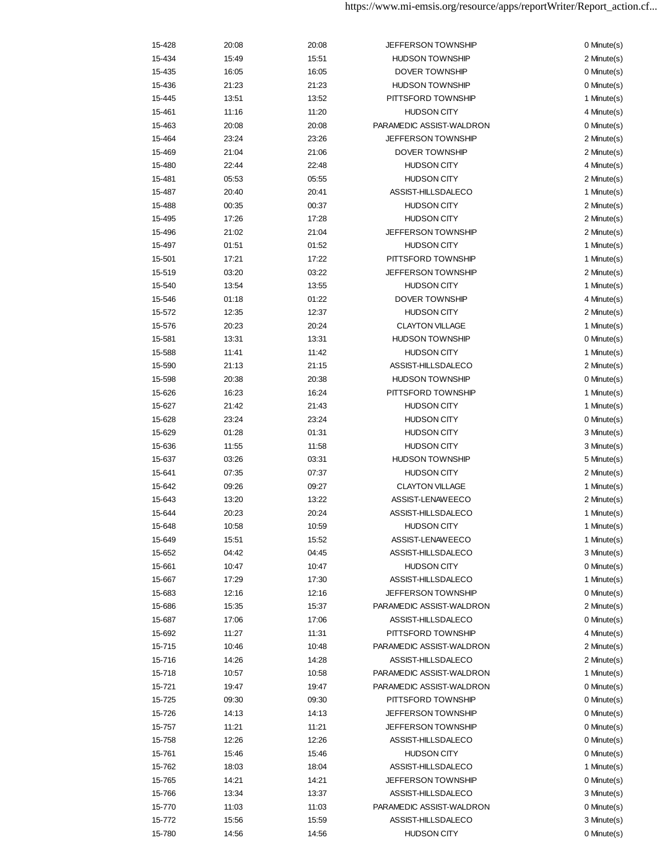| 15-428 | 20:08 | 20:08 | <b>JEFFERSON TOWNSHIP</b> | 0 Minute(s)      |
|--------|-------|-------|---------------------------|------------------|
| 15-434 | 15:49 | 15:51 | <b>HUDSON TOWNSHIP</b>    | 2 Minute(s)      |
| 15-435 | 16:05 | 16:05 | DOVER TOWNSHIP            | 0 Minute(s)      |
| 15-436 | 21:23 | 21:23 | <b>HUDSON TOWNSHIP</b>    | 0 Minute(s)      |
| 15-445 | 13:51 | 13:52 | PITTSFORD TOWNSHIP        | 1 Minute(s)      |
| 15-461 | 11:16 | 11:20 | <b>HUDSON CITY</b>        | 4 Minute(s)      |
| 15-463 | 20:08 | 20:08 | PARAMEDIC ASSIST-WALDRON  | 0 Minute(s)      |
| 15-464 | 23:24 | 23:26 | <b>JEFFERSON TOWNSHIP</b> | 2 Minute(s)      |
| 15-469 | 21:04 | 21:06 | DOVER TOWNSHIP            | 2 Minute(s)      |
| 15-480 | 22:44 | 22:48 | <b>HUDSON CITY</b>        | 4 Minute(s)      |
| 15-481 | 05:53 | 05:55 | <b>HUDSON CITY</b>        | 2 Minute(s)      |
| 15-487 | 20:40 | 20:41 | ASSIST-HILLSDALECO        | 1 Minute(s)      |
| 15-488 | 00:35 | 00:37 | <b>HUDSON CITY</b>        | 2 Minute(s)      |
| 15-495 | 17:26 | 17:28 | <b>HUDSON CITY</b>        | 2 Minute(s)      |
| 15-496 | 21:02 | 21:04 | <b>JEFFERSON TOWNSHIP</b> | 2 Minute(s)      |
| 15-497 | 01:51 | 01:52 | <b>HUDSON CITY</b>        | 1 Minute(s)      |
| 15-501 | 17:21 | 17:22 | PITTSFORD TOWNSHIP        | 1 Minute(s)      |
| 15-519 | 03:20 | 03:22 | <b>JEFFERSON TOWNSHIP</b> | 2 Minute(s)      |
| 15-540 | 13:54 | 13:55 | <b>HUDSON CITY</b>        | 1 Minute(s)      |
| 15-546 | 01:18 | 01:22 | DOVER TOWNSHIP            | 4 Minute(s)      |
| 15-572 | 12:35 | 12:37 | <b>HUDSON CITY</b>        | 2 Minute(s)      |
| 15-576 | 20:23 | 20:24 | <b>CLAYTON VILLAGE</b>    | 1 Minute(s)      |
| 15-581 | 13:31 | 13:31 | <b>HUDSON TOWNSHIP</b>    | 0 Minute(s)      |
| 15-588 | 11:41 | 11:42 | <b>HUDSON CITY</b>        | 1 Minute(s)      |
| 15-590 | 21:13 | 21:15 | ASSIST-HILLSDALECO        | 2 Minute(s)      |
| 15-598 | 20:38 | 20:38 | <b>HUDSON TOWNSHIP</b>    | 0 Minute(s)      |
| 15-626 | 16:23 | 16:24 | PITTSFORD TOWNSHIP        | 1 Minute(s)      |
| 15-627 | 21:42 | 21:43 | <b>HUDSON CITY</b>        | 1 Minute(s)      |
| 15-628 | 23:24 | 23:24 | <b>HUDSON CITY</b>        | 0 Minute(s)      |
| 15-629 | 01:28 | 01:31 | <b>HUDSON CITY</b>        | 3 Minute(s)      |
| 15-636 | 11:55 | 11:58 | <b>HUDSON CITY</b>        | 3 Minute(s)      |
| 15-637 | 03:26 | 03:31 | <b>HUDSON TOWNSHIP</b>    | 5 Minute(s)      |
| 15-641 | 07:35 | 07:37 | <b>HUDSON CITY</b>        | 2 Minute(s)      |
| 15-642 | 09:26 | 09:27 | <b>CLAYTON VILLAGE</b>    | 1 Minute(s)      |
| 15-643 | 13:20 | 13:22 | ASSIST-LENAWEECO          | 2 Minute(s)      |
| 15-644 | 20:23 | 20:24 | ASSIST-HILLSDALECO        | 1 Minute(s)      |
| 15-648 | 10:58 | 10:59 | <b>HUDSON CITY</b>        | 1 Minute(s)      |
| 15-649 | 15:51 | 15:52 | ASSIST-LENAWEECO          | 1 Minute(s)      |
| 15-652 | 04:42 | 04:45 | ASSIST-HILLSDALECO        | 3 Minute(s)      |
| 15-661 | 10:47 | 10:47 | <b>HUDSON CITY</b>        | 0 Minute(s)      |
| 15-667 | 17:29 | 17:30 | ASSIST-HILLSDALECO        | 1 Minute(s)      |
| 15-683 | 12:16 | 12:16 | JEFFERSON TOWNSHIP        | $0$ Minute $(s)$ |
| 15-686 | 15:35 | 15:37 | PARAMEDIC ASSIST-WALDRON  | 2 Minute(s)      |
| 15-687 | 17:06 | 17:06 | ASSIST-HILLSDALECO        | 0 Minute(s)      |
| 15-692 | 11:27 | 11:31 | PITTSFORD TOWNSHIP        | 4 Minute(s)      |
| 15-715 | 10:46 | 10:48 | PARAMEDIC ASSIST-WALDRON  | 2 Minute(s)      |
| 15-716 | 14:26 | 14:28 | ASSIST-HILLSDALECO        | 2 Minute(s)      |
| 15-718 | 10:57 | 10:58 | PARAMEDIC ASSIST-WALDRON  | 1 Minute(s)      |
| 15-721 | 19:47 | 19:47 | PARAMEDIC ASSIST-WALDRON  | 0 Minute(s)      |
| 15-725 | 09:30 | 09:30 | PITTSFORD TOWNSHIP        | 0 Minute(s)      |
| 15-726 | 14:13 | 14:13 | JEFFERSON TOWNSHIP        | 0 Minute(s)      |
| 15-757 | 11:21 | 11:21 | <b>JEFFERSON TOWNSHIP</b> | 0 Minute(s)      |
| 15-758 | 12:26 | 12:26 | ASSIST-HILLSDALECO        | 0 Minute(s)      |
| 15-761 | 15:46 | 15:46 | <b>HUDSON CITY</b>        | 0 Minute(s)      |
| 15-762 | 18:03 | 18:04 | ASSIST-HILLSDALECO        | 1 Minute(s)      |
| 15-765 | 14:21 | 14:21 | <b>JEFFERSON TOWNSHIP</b> | 0 Minute(s)      |
| 15-766 | 13:34 | 13:37 | ASSIST-HILLSDALECO        | 3 Minute(s)      |
| 15-770 | 11:03 | 11:03 | PARAMEDIC ASSIST-WALDRON  | 0 Minute(s)      |
| 15-772 | 15:56 | 15:59 | ASSIST-HILLSDALECO        | 3 Minute(s)      |
| 15-780 | 14:56 | 14:56 | <b>HUDSON CITY</b>        | 0 Minute(s)      |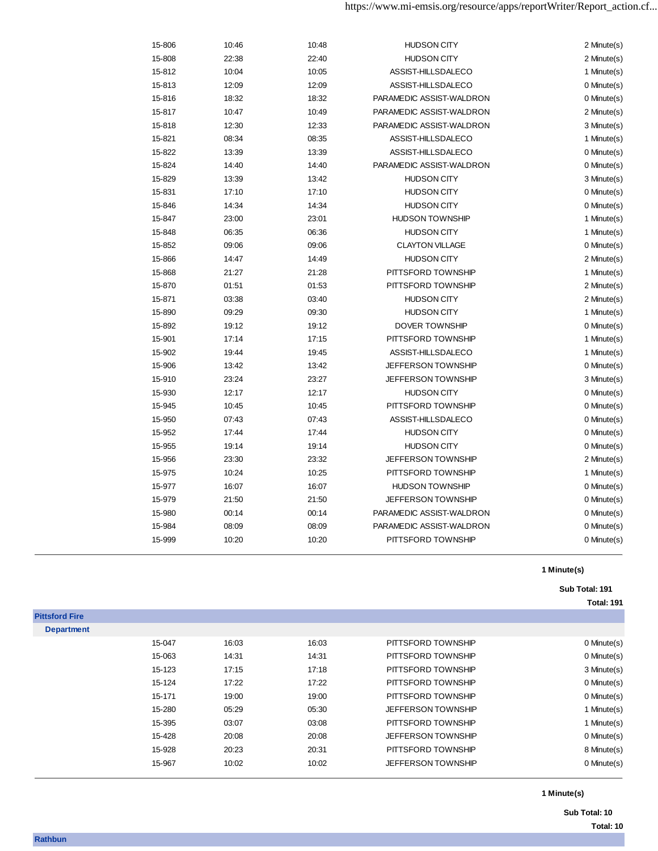| 15-806 | 10:46 | 10:48 | <b>HUDSON CITY</b>        | 2 Minute(s) |
|--------|-------|-------|---------------------------|-------------|
| 15-808 | 22:38 | 22:40 | <b>HUDSON CITY</b>        | 2 Minute(s) |
| 15-812 | 10:04 | 10:05 | ASSIST-HILLSDALECO        | 1 Minute(s) |
| 15-813 | 12:09 | 12:09 | ASSIST-HILLSDALECO        | 0 Minute(s) |
| 15-816 | 18:32 | 18:32 | PARAMEDIC ASSIST-WALDRON  | 0 Minute(s) |
| 15-817 | 10:47 | 10:49 | PARAMEDIC ASSIST-WALDRON  | 2 Minute(s) |
| 15-818 | 12:30 | 12:33 | PARAMEDIC ASSIST-WALDRON  | 3 Minute(s) |
| 15-821 | 08:34 | 08:35 | ASSIST-HILLSDALECO        | 1 Minute(s) |
| 15-822 | 13:39 | 13:39 | ASSIST-HILLSDALECO        | 0 Minute(s) |
| 15-824 | 14:40 | 14:40 | PARAMEDIC ASSIST-WALDRON  | 0 Minute(s) |
| 15-829 | 13:39 | 13:42 | <b>HUDSON CITY</b>        | 3 Minute(s) |
| 15-831 | 17:10 | 17:10 | <b>HUDSON CITY</b>        | 0 Minute(s) |
| 15-846 | 14:34 | 14:34 | <b>HUDSON CITY</b>        | 0 Minute(s) |
| 15-847 | 23:00 | 23:01 | <b>HUDSON TOWNSHIP</b>    | 1 Minute(s) |
| 15-848 | 06:35 | 06:36 | <b>HUDSON CITY</b>        | 1 Minute(s) |
| 15-852 | 09:06 | 09:06 | <b>CLAYTON VILLAGE</b>    | 0 Minute(s) |
| 15-866 | 14:47 | 14:49 | <b>HUDSON CITY</b>        | 2 Minute(s) |
| 15-868 | 21:27 | 21:28 | PITTSFORD TOWNSHIP        | 1 Minute(s) |
| 15-870 | 01:51 | 01:53 | PITTSFORD TOWNSHIP        | 2 Minute(s) |
| 15-871 | 03:38 | 03:40 | <b>HUDSON CITY</b>        | 2 Minute(s) |
| 15-890 | 09:29 | 09:30 | <b>HUDSON CITY</b>        | 1 Minute(s) |
| 15-892 | 19:12 | 19:12 | <b>DOVER TOWNSHIP</b>     | 0 Minute(s) |
| 15-901 | 17:14 | 17:15 | PITTSFORD TOWNSHIP        | 1 Minute(s) |
| 15-902 | 19:44 | 19:45 | ASSIST-HILLSDALECO        | 1 Minute(s) |
| 15-906 | 13:42 | 13:42 | <b>JEFFERSON TOWNSHIP</b> | 0 Minute(s) |
| 15-910 | 23:24 | 23:27 | JEFFERSON TOWNSHIP        | 3 Minute(s) |
| 15-930 | 12:17 | 12:17 | <b>HUDSON CITY</b>        | 0 Minute(s) |
| 15-945 | 10:45 | 10:45 | PITTSFORD TOWNSHIP        | 0 Minute(s) |
| 15-950 | 07:43 | 07:43 | ASSIST-HILLSDALECO        | 0 Minute(s) |
| 15-952 | 17:44 | 17:44 | <b>HUDSON CITY</b>        | 0 Minute(s) |
| 15-955 | 19:14 | 19:14 | <b>HUDSON CITY</b>        | 0 Minute(s) |
| 15-956 | 23:30 | 23:32 | <b>JEFFERSON TOWNSHIP</b> | 2 Minute(s) |
| 15-975 | 10:24 | 10:25 | PITTSFORD TOWNSHIP        | 1 Minute(s) |
| 15-977 | 16:07 | 16:07 | <b>HUDSON TOWNSHIP</b>    | 0 Minute(s) |
| 15-979 | 21:50 | 21:50 | <b>JEFFERSON TOWNSHIP</b> | 0 Minute(s) |
| 15-980 | 00:14 | 00:14 | PARAMEDIC ASSIST-WALDRON  | 0 Minute(s) |
| 15-984 | 08:09 | 08:09 | PARAMEDIC ASSIST-WALDRON  | 0 Minute(s) |
| 15-999 | 10:20 | 10:20 | PITTSFORD TOWNSHIP        | 0 Minute(s) |

### **Sub Total: 191 Total: 191**

| <b>Pittsford Fire</b> |        |       |       |                           |                  |
|-----------------------|--------|-------|-------|---------------------------|------------------|
| <b>Department</b>     |        |       |       |                           |                  |
|                       | 15-047 | 16:03 | 16:03 | PITTSFORD TOWNSHIP        | 0 Minute(s)      |
|                       | 15-063 | 14:31 | 14:31 | PITTSFORD TOWNSHIP        | 0 Minute(s)      |
|                       | 15-123 | 17:15 | 17:18 | PITTSFORD TOWNSHIP        | 3 Minute(s)      |
|                       | 15-124 | 17:22 | 17:22 | PITTSFORD TOWNSHIP        | $0$ Minute $(s)$ |
|                       | 15-171 | 19:00 | 19:00 | PITTSFORD TOWNSHIP        | 0 Minute(s)      |
|                       | 15-280 | 05:29 | 05:30 | <b>JEFFERSON TOWNSHIP</b> | 1 Minute(s)      |
|                       | 15-395 | 03:07 | 03:08 | PITTSFORD TOWNSHIP        | 1 Minute(s)      |
|                       | 15-428 | 20:08 | 20:08 | <b>JEFFERSON TOWNSHIP</b> | 0 Minute(s)      |
|                       | 15-928 | 20:23 | 20:31 | PITTSFORD TOWNSHIP        | 8 Minute(s)      |
|                       | 15-967 | 10:02 | 10:02 | <b>JEFFERSON TOWNSHIP</b> | $0$ Minute $(s)$ |
|                       |        |       |       |                           |                  |

**1 Minute(s)**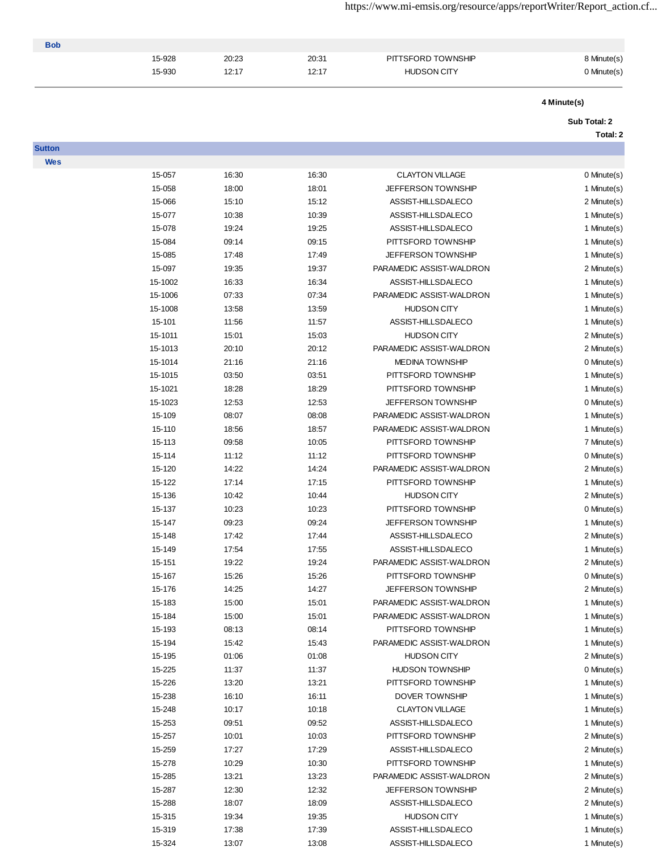https://www.mi-emsis.org/resource/apps/reportWriter/Report\_action.cf...

| <b>Bob</b> |        |       |       |                    |             |
|------------|--------|-------|-------|--------------------|-------------|
|            | 15-928 | 20:23 | 20:31 | PITTSFORD TOWNSHIP | 8 Minute(s) |
|            | 15-930 | 12:17 | 12:17 | <b>HUDSON CITY</b> | 0 Minute(s) |
|            |        |       |       |                    |             |

**Sutton Wes**

# **4 Minute(s)**

#### **Sub Total: 2**

# **Total: 2**

| 15-057  | 16:30 | 16:30 | <b>CLAYTON VILLAGE</b>    | 0 Minute(s) |
|---------|-------|-------|---------------------------|-------------|
| 15-058  | 18:00 | 18:01 | JEFFERSON TOWNSHIP        | 1 Minute(s) |
| 15-066  | 15:10 | 15:12 | ASSIST-HILLSDALECO        | 2 Minute(s) |
| 15-077  | 10:38 | 10:39 | ASSIST-HILLSDALECO        | 1 Minute(s) |
| 15-078  | 19:24 | 19:25 | ASSIST-HILLSDALECO        | 1 Minute(s) |
| 15-084  | 09:14 | 09:15 | PITTSFORD TOWNSHIP        | 1 Minute(s) |
| 15-085  | 17:48 | 17:49 | JEFFERSON TOWNSHIP        | 1 Minute(s) |
| 15-097  | 19:35 | 19:37 | PARAMEDIC ASSIST-WALDRON  | 2 Minute(s) |
| 15-1002 | 16:33 | 16:34 | ASSIST-HILLSDALECO        | 1 Minute(s) |
| 15-1006 | 07:33 | 07:34 | PARAMEDIC ASSIST-WALDRON  | 1 Minute(s) |
| 15-1008 | 13:58 | 13:59 | <b>HUDSON CITY</b>        | 1 Minute(s) |
| 15-101  | 11:56 | 11:57 | ASSIST-HILLSDALECO        | 1 Minute(s) |
| 15-1011 | 15:01 | 15:03 | <b>HUDSON CITY</b>        | 2 Minute(s) |
| 15-1013 | 20:10 | 20:12 | PARAMEDIC ASSIST-WALDRON  | 2 Minute(s) |
| 15-1014 | 21:16 | 21:16 | <b>MEDINA TOWNSHIP</b>    | 0 Minute(s) |
| 15-1015 | 03:50 | 03:51 | PITTSFORD TOWNSHIP        | 1 Minute(s) |
| 15-1021 | 18:28 | 18:29 | PITTSFORD TOWNSHIP        | 1 Minute(s) |
| 15-1023 | 12:53 | 12:53 | <b>JEFFERSON TOWNSHIP</b> | 0 Minute(s) |
| 15-109  | 08:07 | 08:08 | PARAMEDIC ASSIST-WALDRON  | 1 Minute(s) |
| 15-110  | 18:56 | 18:57 | PARAMEDIC ASSIST-WALDRON  | 1 Minute(s) |
| 15-113  | 09:58 | 10:05 | PITTSFORD TOWNSHIP        | 7 Minute(s) |
| 15-114  | 11:12 | 11:12 | PITTSFORD TOWNSHIP        | 0 Minute(s) |
| 15-120  | 14:22 | 14:24 | PARAMEDIC ASSIST-WALDRON  | 2 Minute(s) |
| 15-122  | 17:14 | 17:15 | PITTSFORD TOWNSHIP        | 1 Minute(s) |
| 15-136  | 10:42 | 10:44 | <b>HUDSON CITY</b>        | 2 Minute(s) |
| 15-137  | 10:23 | 10:23 | PITTSFORD TOWNSHIP        | 0 Minute(s) |
| 15-147  | 09:23 | 09:24 | <b>JEFFERSON TOWNSHIP</b> | 1 Minute(s) |
| 15-148  | 17:42 | 17:44 | ASSIST-HILLSDALECO        | 2 Minute(s) |
| 15-149  | 17:54 | 17:55 | ASSIST-HILLSDALECO        | 1 Minute(s) |
| 15-151  | 19:22 | 19:24 | PARAMEDIC ASSIST-WALDRON  | 2 Minute(s) |
| 15-167  | 15:26 | 15:26 | PITTSFORD TOWNSHIP        | 0 Minute(s) |
| 15-176  | 14:25 | 14:27 | JEFFERSON TOWNSHIP        | 2 Minute(s) |
| 15-183  | 15:00 | 15:01 | PARAMEDIC ASSIST-WALDRON  | 1 Minute(s) |
| 15-184  | 15:00 | 15:01 | PARAMEDIC ASSIST-WALDRON  | 1 Minute(s) |
| 15-193  | 08:13 | 08:14 | PITTSFORD TOWNSHIP        | 1 Minute(s) |
| 15-194  | 15:42 | 15:43 | PARAMEDIC ASSIST-WALDRON  | 1 Minute(s) |
| 15-195  | 01:06 | 01:08 | <b>HUDSON CITY</b>        | 2 Minute(s) |
| 15-225  | 11:37 | 11:37 | <b>HUDSON TOWNSHIP</b>    | 0 Minute(s) |
| 15-226  | 13:20 | 13:21 | PITTSFORD TOWNSHIP        | 1 Minute(s) |
| 15-238  | 16:10 | 16:11 | DOVER TOWNSHIP            | 1 Minute(s) |
| 15-248  | 10:17 | 10:18 | <b>CLAYTON VILLAGE</b>    | 1 Minute(s) |
| 15-253  | 09:51 | 09:52 | ASSIST-HILLSDALECO        | 1 Minute(s) |
| 15-257  | 10:01 | 10:03 | PITTSFORD TOWNSHIP        | 2 Minute(s) |
| 15-259  | 17:27 | 17:29 | ASSIST-HILLSDALECO        | 2 Minute(s) |
| 15-278  | 10:29 | 10:30 | PITTSFORD TOWNSHIP        | 1 Minute(s) |
| 15-285  | 13:21 | 13:23 | PARAMEDIC ASSIST-WALDRON  | 2 Minute(s) |
| 15-287  | 12:30 | 12:32 | <b>JEFFERSON TOWNSHIP</b> | 2 Minute(s) |
| 15-288  | 18:07 | 18:09 | ASSIST-HILLSDALECO        | 2 Minute(s) |
| 15-315  | 19:34 | 19:35 | <b>HUDSON CITY</b>        | 1 Minute(s) |
|         |       |       |                           |             |

15-319 17:38 17:39 17:39 ASSIST-HILLSDALECO 1 Minute(s) 15-324 13:07 13:08 ASSIST-HILLSDALECO 1 Minute(s)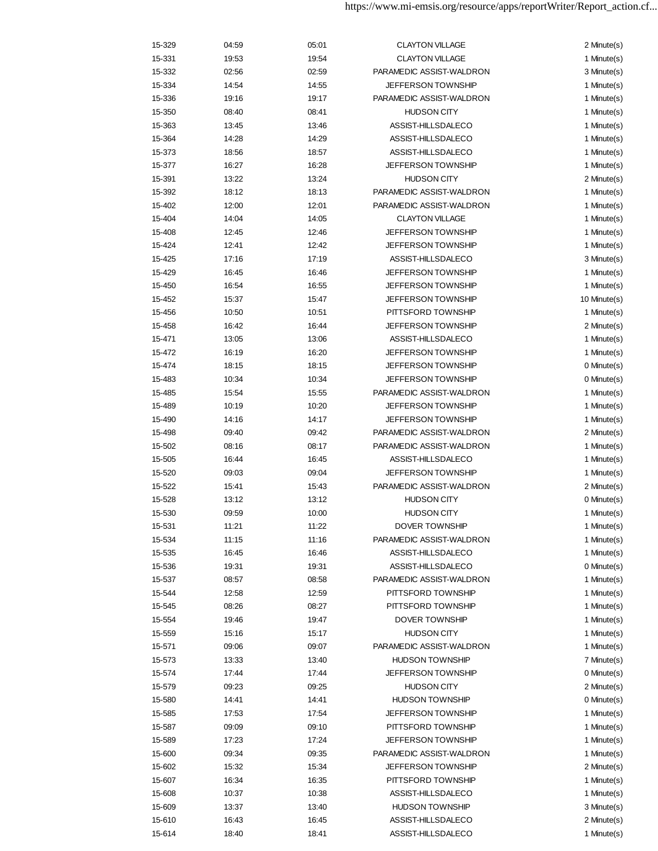| 15-329 | 04:59 | 05:01 | <b>CLAYTON VILLAGE</b>    | 2 Minute(s)  |
|--------|-------|-------|---------------------------|--------------|
| 15-331 | 19:53 | 19:54 | <b>CLAYTON VILLAGE</b>    | 1 Minute(s)  |
| 15-332 | 02:56 | 02:59 | PARAMEDIC ASSIST-WALDRON  | 3 Minute(s)  |
| 15-334 | 14:54 | 14:55 | JEFFERSON TOWNSHIP        | 1 Minute(s)  |
| 15-336 | 19:16 | 19:17 | PARAMEDIC ASSIST-WALDRON  | 1 Minute(s)  |
| 15-350 | 08:40 | 08:41 | <b>HUDSON CITY</b>        | 1 Minute(s)  |
| 15-363 | 13:45 | 13:46 | ASSIST-HILLSDALECO        | 1 Minute(s)  |
| 15-364 | 14:28 | 14:29 | ASSIST-HILLSDALECO        | 1 Minute(s)  |
| 15-373 | 18:56 | 18:57 | ASSIST-HILLSDALECO        | 1 Minute(s)  |
| 15-377 | 16:27 | 16:28 | JEFFERSON TOWNSHIP        | 1 Minute(s)  |
| 15-391 | 13:22 | 13:24 | <b>HUDSON CITY</b>        | 2 Minute(s)  |
| 15-392 | 18:12 | 18:13 | PARAMEDIC ASSIST-WALDRON  | 1 Minute(s)  |
| 15-402 | 12:00 | 12:01 | PARAMEDIC ASSIST-WALDRON  | 1 Minute(s)  |
| 15-404 | 14:04 | 14:05 | <b>CLAYTON VILLAGE</b>    | 1 Minute(s)  |
| 15-408 | 12:45 | 12:46 | JEFFERSON TOWNSHIP        | 1 Minute(s)  |
|        |       |       |                           |              |
| 15-424 | 12:41 | 12:42 | JEFFERSON TOWNSHIP        | 1 Minute(s)  |
| 15-425 | 17:16 | 17:19 | ASSIST-HILLSDALECO        | 3 Minute(s)  |
| 15-429 | 16:45 | 16:46 | <b>JEFFERSON TOWNSHIP</b> | 1 Minute(s)  |
| 15-450 | 16:54 | 16:55 | <b>JEFFERSON TOWNSHIP</b> | 1 Minute(s)  |
| 15-452 | 15:37 | 15:47 | <b>JEFFERSON TOWNSHIP</b> | 10 Minute(s) |
| 15-456 | 10:50 | 10:51 | PITTSFORD TOWNSHIP        | 1 Minute(s)  |
| 15-458 | 16:42 | 16:44 | <b>JEFFERSON TOWNSHIP</b> | 2 Minute(s)  |
| 15-471 | 13:05 | 13:06 | ASSIST-HILLSDALECO        | 1 Minute(s)  |
| 15-472 | 16:19 | 16:20 | <b>JEFFERSON TOWNSHIP</b> | 1 Minute(s)  |
| 15-474 | 18:15 | 18:15 | <b>JEFFERSON TOWNSHIP</b> | 0 Minute(s)  |
| 15-483 | 10:34 | 10:34 | JEFFERSON TOWNSHIP        | 0 Minute(s)  |
| 15-485 | 15:54 | 15:55 | PARAMEDIC ASSIST-WALDRON  | 1 Minute(s)  |
| 15-489 | 10:19 | 10:20 | <b>JEFFERSON TOWNSHIP</b> | 1 Minute(s)  |
| 15-490 | 14:16 | 14:17 | <b>JEFFERSON TOWNSHIP</b> | 1 Minute(s)  |
| 15-498 | 09:40 | 09:42 | PARAMEDIC ASSIST-WALDRON  | 2 Minute(s)  |
| 15-502 | 08:16 | 08:17 | PARAMEDIC ASSIST-WALDRON  | 1 Minute(s)  |
| 15-505 | 16:44 | 16:45 | ASSIST-HILLSDALECO        | 1 Minute(s)  |
| 15-520 | 09:03 | 09:04 | <b>JEFFERSON TOWNSHIP</b> | 1 Minute(s)  |
| 15-522 | 15:41 | 15:43 | PARAMEDIC ASSIST-WALDRON  | 2 Minute(s)  |
| 15-528 | 13:12 | 13:12 | <b>HUDSON CITY</b>        | 0 Minute(s)  |
| 15-530 | 09:59 | 10:00 | <b>HUDSON CITY</b>        | 1 Minute(s)  |
| 15-531 | 11:21 | 11:22 | <b>DOVER TOWNSHIP</b>     | 1 Minute(s)  |
| 15-534 | 11:15 | 11:16 | PARAMEDIC ASSIST-WALDRON  | 1 Minute(s)  |
| 15-535 | 16:45 | 16:46 | ASSIST-HILLSDALECO        | 1 Minute(s)  |
| 15-536 | 19:31 | 19:31 | ASSIST-HILLSDALECO        | 0 Minute(s)  |
| 15-537 | 08:57 | 08:58 | PARAMEDIC ASSIST-WALDRON  | 1 Minute(s)  |
| 15-544 | 12:58 | 12:59 | PITTSFORD TOWNSHIP        | 1 Minute(s)  |
| 15-545 | 08:26 | 08:27 | PITTSFORD TOWNSHIP        | 1 Minute(s)  |
| 15-554 | 19:46 | 19:47 | DOVER TOWNSHIP            | 1 Minute(s)  |
| 15-559 | 15:16 | 15:17 | <b>HUDSON CITY</b>        | 1 Minute(s)  |
| 15-571 | 09:06 | 09:07 | PARAMEDIC ASSIST-WALDRON  | 1 Minute(s)  |
| 15-573 | 13:33 | 13:40 | <b>HUDSON TOWNSHIP</b>    | 7 Minute(s)  |
|        | 17:44 | 17:44 | <b>JEFFERSON TOWNSHIP</b> | 0 Minute(s)  |
| 15-574 |       |       | <b>HUDSON CITY</b>        | 2 Minute(s)  |
| 15-579 | 09:23 | 09:25 |                           | 0 Minute(s)  |
| 15-580 | 14:41 | 14:41 | <b>HUDSON TOWNSHIP</b>    |              |
| 15-585 | 17:53 | 17:54 | <b>JEFFERSON TOWNSHIP</b> | 1 Minute(s)  |
| 15-587 | 09:09 | 09:10 | PITTSFORD TOWNSHIP        | 1 Minute(s)  |
| 15-589 | 17:23 | 17:24 | <b>JEFFERSON TOWNSHIP</b> | 1 Minute(s)  |
| 15-600 | 09:34 | 09:35 | PARAMEDIC ASSIST-WALDRON  | 1 Minute(s)  |
| 15-602 | 15:32 | 15:34 | <b>JEFFERSON TOWNSHIP</b> | 2 Minute(s)  |
| 15-607 | 16:34 | 16:35 | PITTSFORD TOWNSHIP        | 1 Minute(s)  |
| 15-608 | 10:37 | 10:38 | ASSIST-HILLSDALECO        | 1 Minute(s)  |
| 15-609 | 13:37 | 13:40 | <b>HUDSON TOWNSHIP</b>    | 3 Minute(s)  |
| 15-610 | 16:43 | 16:45 | ASSIST-HILLSDALECO        | 2 Minute(s)  |
| 15-614 | 18:40 | 18:41 | ASSIST-HILLSDALECO        | 1 Minute(s)  |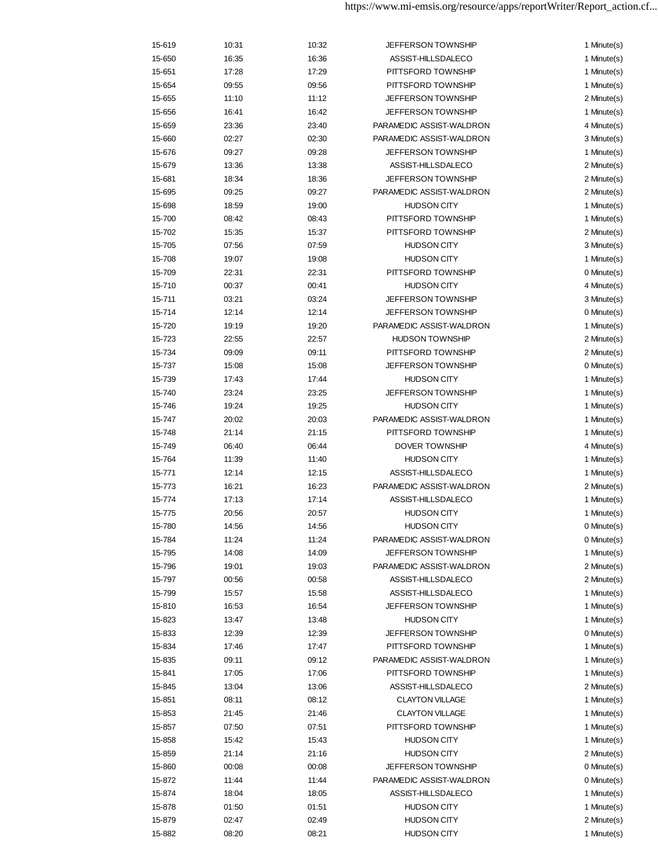| 15-619 | 10:31 | 10:32 | <b>JEFFERSON TOWNSHIP</b> | 1 Minute(s) |
|--------|-------|-------|---------------------------|-------------|
| 15-650 | 16:35 | 16:36 | ASSIST-HILLSDALECO        | 1 Minute(s) |
| 15-651 | 17:28 | 17:29 | PITTSFORD TOWNSHIP        | 1 Minute(s) |
| 15-654 | 09:55 | 09:56 | PITTSFORD TOWNSHIP        | 1 Minute(s) |
| 15-655 | 11:10 | 11:12 | <b>JEFFERSON TOWNSHIP</b> | 2 Minute(s) |
| 15-656 | 16:41 | 16:42 | <b>JEFFERSON TOWNSHIP</b> | 1 Minute(s) |
| 15-659 | 23:36 | 23:40 | PARAMEDIC ASSIST-WALDRON  | 4 Minute(s) |
| 15-660 | 02:27 | 02:30 | PARAMEDIC ASSIST-WALDRON  | 3 Minute(s) |
| 15-676 | 09:27 | 09:28 | JEFFERSON TOWNSHIP        | 1 Minute(s) |
| 15-679 | 13:36 | 13:38 | ASSIST-HILLSDALECO        | 2 Minute(s) |
| 15-681 | 18:34 | 18:36 | <b>JEFFERSON TOWNSHIP</b> | 2 Minute(s) |
| 15-695 | 09:25 | 09:27 | PARAMEDIC ASSIST-WALDRON  | 2 Minute(s) |
| 15-698 | 18:59 | 19:00 | <b>HUDSON CITY</b>        | 1 Minute(s) |
| 15-700 | 08:42 | 08:43 | PITTSFORD TOWNSHIP        | 1 Minute(s) |
| 15-702 | 15:35 | 15:37 | PITTSFORD TOWNSHIP        | 2 Minute(s) |
| 15-705 | 07:56 | 07:59 | <b>HUDSON CITY</b>        | 3 Minute(s) |
| 15-708 | 19:07 | 19:08 | <b>HUDSON CITY</b>        | 1 Minute(s) |
| 15-709 | 22:31 | 22:31 | PITTSFORD TOWNSHIP        | 0 Minute(s) |
| 15-710 | 00:37 | 00:41 | <b>HUDSON CITY</b>        | 4 Minute(s) |
| 15-711 | 03:21 | 03:24 | <b>JEFFERSON TOWNSHIP</b> | 3 Minute(s) |
| 15-714 | 12:14 | 12:14 | <b>JEFFERSON TOWNSHIP</b> | 0 Minute(s) |
| 15-720 | 19:19 | 19:20 | PARAMEDIC ASSIST-WALDRON  | 1 Minute(s) |
| 15-723 | 22:55 | 22:57 | <b>HUDSON TOWNSHIP</b>    | 2 Minute(s) |
| 15-734 | 09:09 | 09:11 | PITTSFORD TOWNSHIP        | 2 Minute(s) |
| 15-737 | 15:08 | 15:08 | <b>JEFFERSON TOWNSHIP</b> | 0 Minute(s) |
| 15-739 | 17:43 | 17:44 | <b>HUDSON CITY</b>        | 1 Minute(s) |
| 15-740 | 23:24 | 23:25 | JEFFERSON TOWNSHIP        | 1 Minute(s) |
| 15-746 | 19:24 | 19:25 | <b>HUDSON CITY</b>        | 1 Minute(s) |
| 15-747 | 20:02 | 20:03 | PARAMEDIC ASSIST-WALDRON  | 1 Minute(s) |
| 15-748 | 21:14 | 21:15 | PITTSFORD TOWNSHIP        | 1 Minute(s) |
| 15-749 | 06:40 | 06:44 | DOVER TOWNSHIP            | 4 Minute(s) |
| 15-764 | 11:39 | 11:40 | <b>HUDSON CITY</b>        | 1 Minute(s) |
| 15-771 | 12:14 | 12:15 | ASSIST-HILLSDALECO        | 1 Minute(s) |
| 15-773 | 16:21 | 16:23 | PARAMEDIC ASSIST-WALDRON  | 2 Minute(s) |
| 15-774 | 17:13 | 17:14 | ASSIST-HILLSDALECO        | 1 Minute(s) |
| 15-775 | 20:56 | 20:57 | <b>HUDSON CITY</b>        | 1 Minute(s) |
| 15-780 | 14:56 | 14:56 | <b>HUDSON CITY</b>        | 0 Minute(s) |
| 15-784 | 11:24 | 11:24 | PARAMEDIC ASSIST-WALDRON  | 0 Minute(s) |
| 15-795 | 14:08 | 14:09 | <b>JEFFERSON TOWNSHIP</b> | 1 Minute(s) |
| 15-796 | 19:01 | 19:03 | PARAMEDIC ASSIST-WALDRON  | 2 Minute(s) |
| 15-797 | 00:56 | 00:58 | ASSIST-HILLSDALECO        | 2 Minute(s) |
| 15-799 | 15:57 | 15:58 | ASSIST-HILLSDALECO        | 1 Minute(s) |
| 15-810 | 16:53 | 16:54 | <b>JEFFERSON TOWNSHIP</b> | 1 Minute(s) |
| 15-823 | 13:47 | 13:48 | <b>HUDSON CITY</b>        | 1 Minute(s) |
| 15-833 | 12:39 | 12:39 | <b>JEFFERSON TOWNSHIP</b> | 0 Minute(s) |
| 15-834 | 17:46 | 17:47 | PITTSFORD TOWNSHIP        | 1 Minute(s) |
| 15-835 | 09:11 | 09:12 | PARAMEDIC ASSIST-WALDRON  | 1 Minute(s) |
| 15-841 | 17:05 | 17:06 | PITTSFORD TOWNSHIP        | 1 Minute(s) |
| 15-845 | 13:04 | 13:06 | ASSIST-HILLSDALECO        | 2 Minute(s) |
| 15-851 | 08:11 | 08:12 | <b>CLAYTON VILLAGE</b>    | 1 Minute(s) |
| 15-853 | 21:45 | 21:46 | <b>CLAYTON VILLAGE</b>    | 1 Minute(s) |
| 15-857 | 07:50 | 07:51 | PITTSFORD TOWNSHIP        | 1 Minute(s) |
| 15-858 | 15:42 | 15:43 | <b>HUDSON CITY</b>        | 1 Minute(s) |
| 15-859 | 21:14 | 21:16 | <b>HUDSON CITY</b>        | 2 Minute(s) |
| 15-860 | 00:08 | 00:08 | JEFFERSON TOWNSHIP        | 0 Minute(s) |
| 15-872 | 11:44 | 11:44 | PARAMEDIC ASSIST-WALDRON  | 0 Minute(s) |
| 15-874 | 18:04 | 18:05 | ASSIST-HILLSDALECO        | 1 Minute(s) |
| 15-878 | 01:50 | 01:51 | <b>HUDSON CITY</b>        | 1 Minute(s) |
| 15-879 | 02:47 | 02:49 | <b>HUDSON CITY</b>        | 2 Minute(s) |
| 15-882 | 08:20 | 08:21 | <b>HUDSON CITY</b>        | 1 Minute(s) |
|        |       |       |                           |             |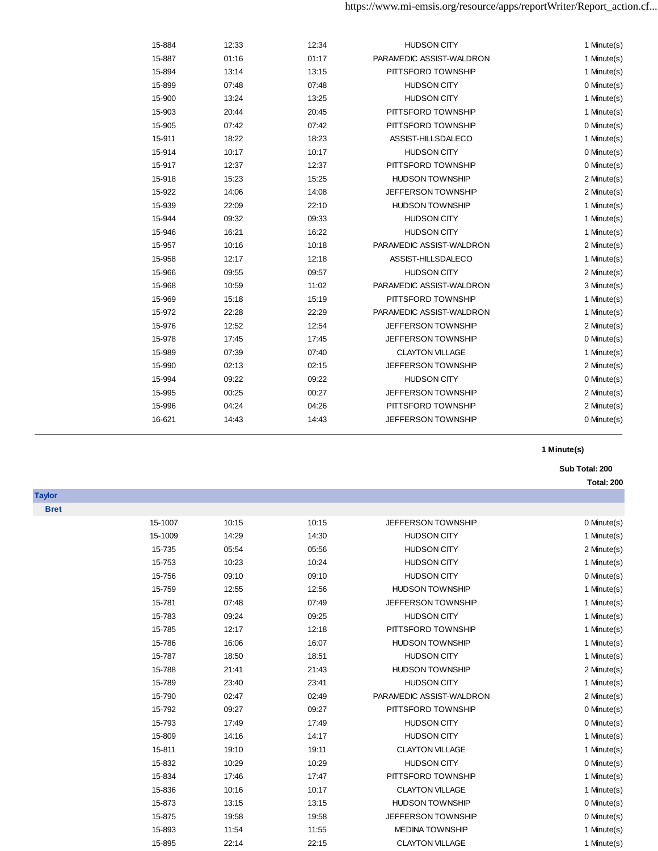| 15-884 | 12:33 | 12:34 | <b>HUDSON CITY</b>       | 1 Minute(s) |
|--------|-------|-------|--------------------------|-------------|
| 15-887 | 01:16 | 01:17 | PARAMEDIC ASSIST-WALDRON | 1 Minute(s) |
| 15-894 | 13:14 | 13:15 | PITTSFORD TOWNSHIP       | 1 Minute(s) |
| 15-899 | 07:48 | 07:48 | <b>HUDSON CITY</b>       | 0 Minute(s) |
| 15-900 | 13:24 | 13:25 | <b>HUDSON CITY</b>       | 1 Minute(s) |
| 15-903 | 20:44 | 20:45 | PITTSFORD TOWNSHIP       | 1 Minute(s) |
| 15-905 | 07:42 | 07:42 | PITTSFORD TOWNSHIP       | 0 Minute(s) |
| 15-911 | 18:22 | 18:23 | ASSIST-HILLSDALECO       | 1 Minute(s) |
| 15-914 | 10:17 | 10:17 | <b>HUDSON CITY</b>       | 0 Minute(s) |
| 15-917 | 12:37 | 12:37 | PITTSFORD TOWNSHIP       | 0 Minute(s) |
| 15-918 | 15:23 | 15:25 | <b>HUDSON TOWNSHIP</b>   | 2 Minute(s) |
| 15-922 | 14:06 | 14:08 | JEFFERSON TOWNSHIP       | 2 Minute(s) |
| 15-939 | 22:09 | 22:10 | <b>HUDSON TOWNSHIP</b>   | 1 Minute(s) |
| 15-944 | 09:32 | 09:33 | <b>HUDSON CITY</b>       | 1 Minute(s) |
| 15-946 | 16:21 | 16:22 | <b>HUDSON CITY</b>       | 1 Minute(s) |
| 15-957 | 10:16 | 10:18 | PARAMEDIC ASSIST-WALDRON | 2 Minute(s) |
| 15-958 | 12:17 | 12:18 | ASSIST-HILLSDALECO       | 1 Minute(s) |
| 15-966 | 09:55 | 09:57 | <b>HUDSON CITY</b>       | 2 Minute(s) |
| 15-968 | 10:59 | 11:02 | PARAMEDIC ASSIST-WALDRON | 3 Minute(s) |
| 15-969 | 15:18 | 15:19 | PITTSFORD TOWNSHIP       | 1 Minute(s) |
| 15-972 | 22:28 | 22:29 | PARAMEDIC ASSIST-WALDRON | 1 Minute(s) |
| 15-976 | 12:52 | 12:54 | JEFFERSON TOWNSHIP       | 2 Minute(s) |
| 15-978 | 17:45 | 17:45 | JEFFERSON TOWNSHIP       | 0 Minute(s) |
| 15-989 | 07:39 | 07:40 | <b>CLAYTON VILLAGE</b>   | 1 Minute(s) |
| 15-990 | 02:13 | 02:15 | JEFFERSON TOWNSHIP       | 2 Minute(s) |
| 15-994 | 09:22 | 09:22 | <b>HUDSON CITY</b>       | 0 Minute(s) |
| 15-995 | 00:25 | 00:27 | JEFFERSON TOWNSHIP       | 2 Minute(s) |
| 15-996 | 04:24 | 04:26 | PITTSFORD TOWNSHIP       | 2 Minute(s) |
| 16-621 | 14:43 | 14:43 | JEFFERSON TOWNSHIP       | 0 Minute(s) |
|        |       |       |                          |             |

**Sub Total: 200** 

**Total: 200**

| <b>Bret</b> |         |       |       |                          |             |
|-------------|---------|-------|-------|--------------------------|-------------|
|             | 15-1007 | 10:15 | 10:15 | JEFFERSON TOWNSHIP       | 0 Minute(s) |
|             | 15-1009 | 14:29 | 14:30 | <b>HUDSON CITY</b>       | 1 Minute(s) |
|             | 15-735  | 05:54 | 05:56 | <b>HUDSON CITY</b>       | 2 Minute(s) |
|             | 15-753  | 10:23 | 10:24 | <b>HUDSON CITY</b>       | 1 Minute(s) |
|             | 15-756  | 09:10 | 09:10 | <b>HUDSON CITY</b>       | 0 Minute(s) |
|             | 15-759  | 12:55 | 12:56 | <b>HUDSON TOWNSHIP</b>   | 1 Minute(s) |
|             | 15-781  | 07:48 | 07:49 | JEFFERSON TOWNSHIP       | 1 Minute(s) |
|             | 15-783  | 09:24 | 09:25 | <b>HUDSON CITY</b>       | 1 Minute(s) |
|             | 15-785  | 12:17 | 12:18 | PITTSFORD TOWNSHIP       | 1 Minute(s) |
|             | 15-786  | 16:06 | 16:07 | <b>HUDSON TOWNSHIP</b>   | 1 Minute(s) |
|             | 15-787  | 18:50 | 18:51 | <b>HUDSON CITY</b>       | 1 Minute(s) |
|             | 15-788  | 21:41 | 21:43 | <b>HUDSON TOWNSHIP</b>   | 2 Minute(s) |
|             | 15-789  | 23:40 | 23:41 | <b>HUDSON CITY</b>       | 1 Minute(s) |
|             | 15-790  | 02:47 | 02:49 | PARAMEDIC ASSIST-WALDRON | 2 Minute(s) |
|             | 15-792  | 09:27 | 09:27 | PITTSFORD TOWNSHIP       | 0 Minute(s) |
|             | 15-793  | 17:49 | 17:49 | <b>HUDSON CITY</b>       | 0 Minute(s) |
|             | 15-809  | 14:16 | 14:17 | <b>HUDSON CITY</b>       | 1 Minute(s) |
|             | 15-811  | 19:10 | 19:11 | <b>CLAYTON VILLAGE</b>   | 1 Minute(s) |
|             | 15-832  | 10:29 | 10:29 | <b>HUDSON CITY</b>       | 0 Minute(s) |
|             | 15-834  | 17:46 | 17:47 | PITTSFORD TOWNSHIP       | 1 Minute(s) |
|             | 15-836  | 10:16 | 10:17 | <b>CLAYTON VILLAGE</b>   | 1 Minute(s) |
|             | 15-873  | 13:15 | 13:15 | <b>HUDSON TOWNSHIP</b>   | 0 Minute(s) |
|             | 15-875  | 19:58 | 19:58 | JEFFERSON TOWNSHIP       | 0 Minute(s) |
|             | 15-893  | 11:54 | 11:55 | <b>MEDINA TOWNSHIP</b>   | 1 Minute(s) |
|             | 15-895  | 22:14 | 22:15 | <b>CLAYTON VILLAGE</b>   | 1 Minute(s) |

**Taylor**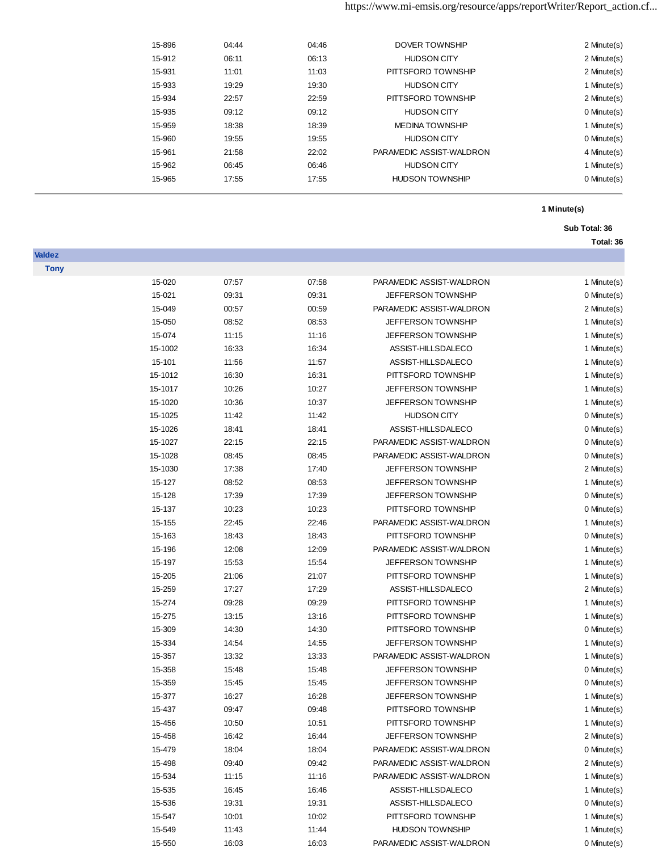# https://www.mi-emsis.org/resource/apps/reportWriter/Report\_action.cf...

| 2 Minute(s) | DOVER TOWNSHIP           | 04:46 | 04:44 | 15-896 |  |
|-------------|--------------------------|-------|-------|--------|--|
| 2 Minute(s) | <b>HUDSON CITY</b>       | 06:13 | 06:11 | 15-912 |  |
| 2 Minute(s) | PITTSFORD TOWNSHIP       | 11:03 | 11:01 | 15-931 |  |
| 1 Minute(s) | <b>HUDSON CITY</b>       | 19:30 | 19:29 | 15-933 |  |
| 2 Minute(s) | PITTSFORD TOWNSHIP       | 22:59 | 22:57 | 15-934 |  |
| 0 Minute(s) | <b>HUDSON CITY</b>       | 09:12 | 09:12 | 15-935 |  |
| 1 Minute(s) | <b>MEDINA TOWNSHIP</b>   | 18:39 | 18:38 | 15-959 |  |
| 0 Minute(s) | <b>HUDSON CITY</b>       | 19:55 | 19:55 | 15-960 |  |
| 4 Minute(s) | PARAMEDIC ASSIST-WALDRON | 22:02 | 21:58 | 15-961 |  |
| 1 Minute(s) | <b>HUDSON CITY</b>       | 06:46 | 06:45 | 15-962 |  |
| 0 Minute(s) | <b>HUDSON TOWNSHIP</b>   | 17:55 | 17:55 | 15-965 |  |
|             |                          |       |       |        |  |

**Valdez**

# **1 Minute(s)**

### **Sub Total: 36**

| <b>Tony</b> |         |       |       |                           |             |
|-------------|---------|-------|-------|---------------------------|-------------|
|             | 15-020  | 07:57 | 07:58 | PARAMEDIC ASSIST-WALDRON  | 1 Minute(s) |
|             | 15-021  | 09:31 | 09:31 | JEFFERSON TOWNSHIP        | 0 Minute(s) |
|             | 15-049  | 00:57 | 00:59 | PARAMEDIC ASSIST-WALDRON  | 2 Minute(s) |
|             | 15-050  | 08:52 | 08:53 | JEFFERSON TOWNSHIP        | 1 Minute(s) |
|             | 15-074  | 11:15 | 11:16 | <b>JEFFERSON TOWNSHIP</b> | 1 Minute(s) |
|             | 15-1002 | 16:33 | 16:34 | ASSIST-HILLSDALECO        | 1 Minute(s) |
|             | 15-101  | 11:56 | 11:57 | ASSIST-HILLSDALECO        | 1 Minute(s) |
|             | 15-1012 | 16:30 | 16:31 | PITTSFORD TOWNSHIP        | 1 Minute(s) |
|             | 15-1017 | 10:26 | 10:27 | JEFFERSON TOWNSHIP        | 1 Minute(s) |
|             | 15-1020 | 10:36 | 10:37 | <b>JEFFERSON TOWNSHIP</b> | 1 Minute(s) |
|             | 15-1025 | 11:42 | 11:42 | <b>HUDSON CITY</b>        | 0 Minute(s) |
|             | 15-1026 | 18:41 | 18:41 | ASSIST-HILLSDALECO        | 0 Minute(s) |
|             | 15-1027 | 22:15 | 22:15 | PARAMEDIC ASSIST-WALDRON  | 0 Minute(s) |
|             | 15-1028 | 08:45 | 08:45 | PARAMEDIC ASSIST-WALDRON  | 0 Minute(s) |
|             | 15-1030 | 17:38 | 17:40 | <b>JEFFERSON TOWNSHIP</b> | 2 Minute(s) |
|             | 15-127  | 08:52 | 08:53 | JEFFERSON TOWNSHIP        | 1 Minute(s) |
|             | 15-128  | 17:39 | 17:39 | <b>JEFFERSON TOWNSHIP</b> | 0 Minute(s) |
|             | 15-137  | 10:23 | 10:23 | PITTSFORD TOWNSHIP        | 0 Minute(s) |
|             | 15-155  | 22:45 | 22:46 | PARAMEDIC ASSIST-WALDRON  | 1 Minute(s) |
|             | 15-163  | 18:43 | 18:43 | PITTSFORD TOWNSHIP        | 0 Minute(s) |
|             | 15-196  | 12:08 | 12:09 | PARAMEDIC ASSIST-WALDRON  | 1 Minute(s) |
|             | 15-197  | 15:53 | 15:54 | <b>JEFFERSON TOWNSHIP</b> | 1 Minute(s) |
|             | 15-205  | 21:06 | 21:07 | PITTSFORD TOWNSHIP        | 1 Minute(s) |
|             | 15-259  | 17:27 | 17:29 | ASSIST-HILLSDALECO        | 2 Minute(s) |
|             | 15-274  | 09:28 | 09:29 | PITTSFORD TOWNSHIP        | 1 Minute(s) |
|             | 15-275  | 13:15 | 13:16 | PITTSFORD TOWNSHIP        | 1 Minute(s) |
|             | 15-309  | 14:30 | 14:30 | PITTSFORD TOWNSHIP        | 0 Minute(s) |
|             | 15-334  | 14:54 | 14:55 | <b>JEFFERSON TOWNSHIP</b> | 1 Minute(s) |
|             | 15-357  | 13:32 | 13:33 | PARAMEDIC ASSIST-WALDRON  | 1 Minute(s) |
|             | 15-358  | 15:48 | 15:48 | JEFFERSON TOWNSHIP        | 0 Minute(s) |
|             | 15-359  | 15:45 | 15:45 | <b>JEFFERSON TOWNSHIP</b> | 0 Minute(s) |
|             | 15-377  | 16:27 | 16:28 | <b>JEFFERSON TOWNSHIP</b> | 1 Minute(s) |
|             | 15-437  | 09:47 | 09:48 | PITTSFORD TOWNSHIP        | 1 Minute(s) |
|             | 15-456  | 10:50 | 10:51 | PITTSFORD TOWNSHIP        | 1 Minute(s) |
|             | 15-458  | 16:42 | 16:44 | <b>JEFFERSON TOWNSHIP</b> | 2 Minute(s) |
|             | 15-479  | 18:04 | 18:04 | PARAMEDIC ASSIST-WALDRON  | 0 Minute(s) |
|             | 15-498  | 09:40 | 09:42 | PARAMEDIC ASSIST-WALDRON  | 2 Minute(s) |
|             | 15-534  | 11:15 | 11:16 | PARAMEDIC ASSIST-WALDRON  | 1 Minute(s) |
|             | 15-535  | 16:45 | 16:46 | ASSIST-HILLSDALECO        | 1 Minute(s) |
|             | 15-536  | 19:31 | 19:31 | ASSIST-HILLSDALECO        | 0 Minute(s) |
|             | 15-547  | 10:01 | 10:02 | PITTSFORD TOWNSHIP        | 1 Minute(s) |
|             | 15-549  | 11:43 | 11:44 | <b>HUDSON TOWNSHIP</b>    | 1 Minute(s) |
|             | 15-550  | 16:03 | 16:03 | PARAMEDIC ASSIST-WALDRON  | 0 Minute(s) |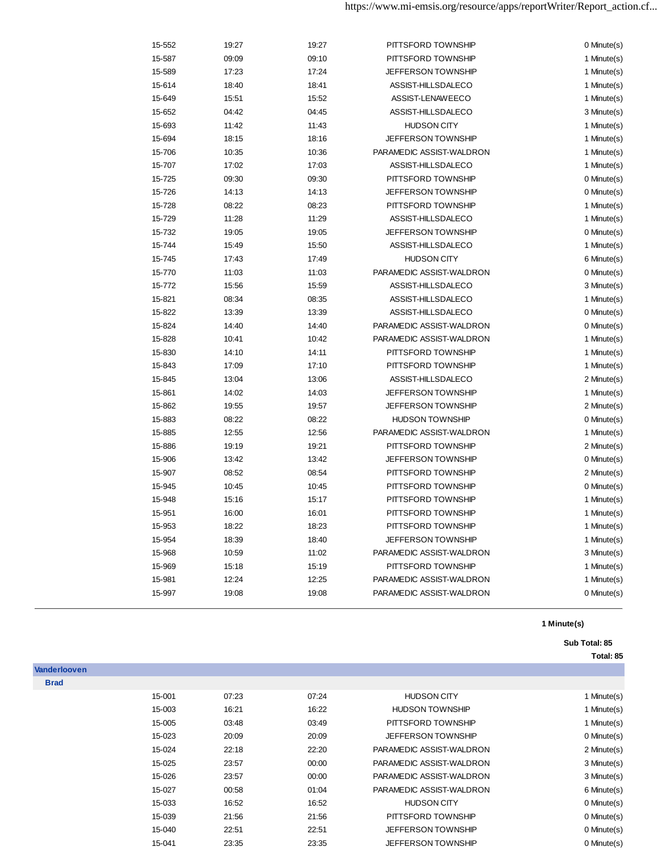| 15-552 | 19:27 | 19:27 | PITTSFORD TOWNSHIP        | 0 Minute(s) |
|--------|-------|-------|---------------------------|-------------|
| 15-587 | 09:09 | 09:10 | PITTSFORD TOWNSHIP        | 1 Minute(s) |
| 15-589 | 17:23 | 17:24 | <b>JEFFERSON TOWNSHIP</b> | 1 Minute(s) |
| 15-614 | 18:40 | 18:41 | ASSIST-HILLSDALECO        | 1 Minute(s) |
| 15-649 | 15:51 | 15:52 | ASSIST-LENAWEECO          | 1 Minute(s) |
| 15-652 | 04:42 | 04:45 | ASSIST-HILLSDALECO        | 3 Minute(s) |
| 15-693 | 11:42 | 11:43 | <b>HUDSON CITY</b>        | 1 Minute(s) |
| 15-694 | 18:15 | 18:16 | <b>JEFFERSON TOWNSHIP</b> | 1 Minute(s) |
| 15-706 | 10:35 | 10:36 | PARAMEDIC ASSIST-WALDRON  | 1 Minute(s) |
| 15-707 | 17:02 | 17:03 | ASSIST-HILLSDALECO        | 1 Minute(s) |
| 15-725 | 09:30 | 09:30 | PITTSFORD TOWNSHIP        | 0 Minute(s) |
| 15-726 | 14:13 | 14:13 | JEFFERSON TOWNSHIP        | 0 Minute(s) |
| 15-728 | 08:22 | 08:23 | PITTSFORD TOWNSHIP        | 1 Minute(s) |
| 15-729 | 11:28 | 11:29 | ASSIST-HILLSDALECO        | 1 Minute(s) |
| 15-732 | 19:05 | 19:05 | JEFFERSON TOWNSHIP        | 0 Minute(s) |
| 15-744 | 15:49 | 15:50 | ASSIST-HILLSDALECO        | 1 Minute(s) |
| 15-745 | 17:43 | 17:49 | <b>HUDSON CITY</b>        | 6 Minute(s) |
| 15-770 | 11:03 | 11:03 | PARAMEDIC ASSIST-WALDRON  | 0 Minute(s) |
| 15-772 | 15:56 | 15:59 | ASSIST-HILLSDALECO        | 3 Minute(s) |
| 15-821 | 08:34 | 08:35 | ASSIST-HILLSDALECO        | 1 Minute(s) |
| 15-822 | 13:39 | 13:39 | ASSIST-HILLSDALECO        | 0 Minute(s) |
| 15-824 | 14:40 | 14:40 | PARAMEDIC ASSIST-WALDRON  | 0 Minute(s) |
| 15-828 | 10:41 | 10:42 | PARAMEDIC ASSIST-WALDRON  | 1 Minute(s) |
| 15-830 | 14:10 | 14:11 | PITTSFORD TOWNSHIP        | 1 Minute(s) |
| 15-843 | 17:09 | 17:10 | PITTSFORD TOWNSHIP        | 1 Minute(s) |
| 15-845 | 13:04 | 13:06 | ASSIST-HILLSDALECO        | 2 Minute(s) |
| 15-861 | 14:02 | 14:03 | JEFFERSON TOWNSHIP        | 1 Minute(s) |
| 15-862 | 19:55 | 19:57 | JEFFERSON TOWNSHIP        | 2 Minute(s) |
| 15-883 | 08:22 | 08:22 | <b>HUDSON TOWNSHIP</b>    | 0 Minute(s) |
| 15-885 | 12:55 | 12:56 | PARAMEDIC ASSIST-WALDRON  | 1 Minute(s) |
| 15-886 | 19:19 | 19:21 | PITTSFORD TOWNSHIP        | 2 Minute(s) |
| 15-906 | 13:42 | 13:42 | JEFFERSON TOWNSHIP        | 0 Minute(s) |
| 15-907 | 08:52 | 08:54 | PITTSFORD TOWNSHIP        | 2 Minute(s) |
| 15-945 | 10:45 | 10:45 | PITTSFORD TOWNSHIP        | 0 Minute(s) |
| 15-948 | 15:16 | 15:17 | PITTSFORD TOWNSHIP        | 1 Minute(s) |
| 15-951 | 16:00 | 16:01 | PITTSFORD TOWNSHIP        | 1 Minute(s) |
| 15-953 | 18:22 | 18:23 | PITTSFORD TOWNSHIP        | 1 Minute(s) |
| 15-954 | 18:39 | 18:40 | <b>JEFFERSON TOWNSHIP</b> | 1 Minute(s) |
| 15-968 | 10:59 | 11:02 | PARAMEDIC ASSIST-WALDRON  | 3 Minute(s) |
| 15-969 | 15:18 | 15:19 | PITTSFORD TOWNSHIP        | 1 Minute(s) |
| 15-981 | 12:24 | 12:25 | PARAMEDIC ASSIST-WALDRON  | 1 Minute(s) |
| 15-997 | 19:08 | 19:08 | PARAMEDIC ASSIST-WALDRON  | 0 Minute(s) |
|        |       |       |                           |             |

## **Sub Total: 85**

| <b>Vanderlooven</b> |        |       |       |                           |             |
|---------------------|--------|-------|-------|---------------------------|-------------|
| <b>Brad</b>         |        |       |       |                           |             |
|                     | 15-001 | 07:23 | 07:24 | <b>HUDSON CITY</b>        | 1 Minute(s) |
|                     | 15-003 | 16:21 | 16:22 | <b>HUDSON TOWNSHIP</b>    | 1 Minute(s) |
|                     | 15-005 | 03:48 | 03:49 | PITTSFORD TOWNSHIP        | 1 Minute(s) |
|                     | 15-023 | 20:09 | 20:09 | <b>JEFFERSON TOWNSHIP</b> | 0 Minute(s) |
|                     | 15-024 | 22:18 | 22:20 | PARAMEDIC ASSIST-WALDRON  | 2 Minute(s) |
|                     | 15-025 | 23:57 | 00:00 | PARAMEDIC ASSIST-WALDRON  | 3 Minute(s) |
|                     | 15-026 | 23:57 | 00:00 | PARAMEDIC ASSIST-WALDRON  | 3 Minute(s) |
|                     | 15-027 | 00:58 | 01:04 | PARAMEDIC ASSIST-WALDRON  | 6 Minute(s) |
|                     | 15-033 | 16:52 | 16:52 | <b>HUDSON CITY</b>        | 0 Minute(s) |
|                     | 15-039 | 21:56 | 21:56 | PITTSFORD TOWNSHIP        | 0 Minute(s) |
|                     | 15-040 | 22:51 | 22:51 | <b>JEFFERSON TOWNSHIP</b> | 0 Minute(s) |
|                     | 15-041 | 23:35 | 23:35 | <b>JEFFERSON TOWNSHIP</b> | 0 Minute(s) |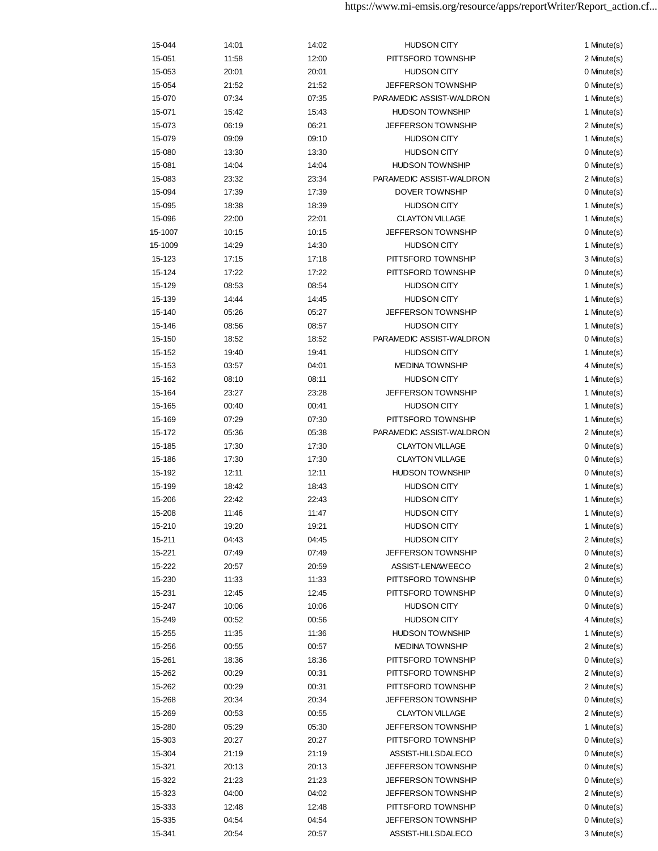| 15-044  | 14:01 | 14:02 | <b>HUDSON CITY</b>        | 1 Minute(s) |
|---------|-------|-------|---------------------------|-------------|
| 15-051  | 11:58 | 12:00 | PITTSFORD TOWNSHIP        | 2 Minute(s) |
| 15-053  | 20:01 | 20:01 | <b>HUDSON CITY</b>        | 0 Minute(s) |
| 15-054  | 21:52 | 21:52 | <b>JEFFERSON TOWNSHIP</b> | 0 Minute(s) |
| 15-070  | 07:34 | 07:35 | PARAMEDIC ASSIST-WALDRON  | 1 Minute(s) |
| 15-071  | 15:42 | 15:43 | <b>HUDSON TOWNSHIP</b>    | 1 Minute(s) |
| 15-073  | 06:19 | 06:21 | <b>JEFFERSON TOWNSHIP</b> | 2 Minute(s) |
| 15-079  | 09:09 | 09:10 | <b>HUDSON CITY</b>        | 1 Minute(s) |
| 15-080  | 13:30 | 13:30 | <b>HUDSON CITY</b>        | 0 Minute(s) |
| 15-081  | 14:04 | 14:04 | <b>HUDSON TOWNSHIP</b>    | 0 Minute(s) |
| 15-083  | 23:32 | 23:34 | PARAMEDIC ASSIST-WALDRON  | 2 Minute(s) |
| 15-094  | 17:39 | 17:39 | <b>DOVER TOWNSHIP</b>     | 0 Minute(s) |
| 15-095  | 18:38 | 18:39 | <b>HUDSON CITY</b>        | 1 Minute(s) |
| 15-096  | 22:00 | 22:01 | <b>CLAYTON VILLAGE</b>    | 1 Minute(s) |
| 15-1007 | 10:15 | 10:15 | JEFFERSON TOWNSHIP        | 0 Minute(s) |
| 15-1009 | 14:29 | 14:30 | <b>HUDSON CITY</b>        | 1 Minute(s) |
| 15-123  | 17:15 | 17:18 | PITTSFORD TOWNSHIP        | 3 Minute(s) |
| 15-124  | 17:22 | 17:22 | PITTSFORD TOWNSHIP        | 0 Minute(s) |
|         |       |       | <b>HUDSON CITY</b>        |             |
| 15-129  | 08:53 | 08:54 |                           | 1 Minute(s) |
| 15-139  | 14:44 | 14:45 | <b>HUDSON CITY</b>        | 1 Minute(s) |
| 15-140  | 05:26 | 05:27 | JEFFERSON TOWNSHIP        | 1 Minute(s) |
| 15-146  | 08:56 | 08:57 | <b>HUDSON CITY</b>        | 1 Minute(s) |
| 15-150  | 18:52 | 18:52 | PARAMEDIC ASSIST-WALDRON  | 0 Minute(s) |
| 15-152  | 19:40 | 19:41 | <b>HUDSON CITY</b>        | 1 Minute(s) |
| 15-153  | 03:57 | 04:01 | <b>MEDINA TOWNSHIP</b>    | 4 Minute(s) |
| 15-162  | 08:10 | 08:11 | <b>HUDSON CITY</b>        | 1 Minute(s) |
| 15-164  | 23:27 | 23:28 | JEFFERSON TOWNSHIP        | 1 Minute(s) |
| 15-165  | 00:40 | 00:41 | <b>HUDSON CITY</b>        | 1 Minute(s) |
| 15-169  | 07:29 | 07:30 | PITTSFORD TOWNSHIP        | 1 Minute(s) |
| 15-172  | 05:36 | 05:38 | PARAMEDIC ASSIST-WALDRON  | 2 Minute(s) |
| 15-185  | 17:30 | 17:30 | <b>CLAYTON VILLAGE</b>    | 0 Minute(s) |
| 15-186  | 17:30 | 17:30 | <b>CLAYTON VILLAGE</b>    | 0 Minute(s) |
| 15-192  | 12:11 | 12:11 | <b>HUDSON TOWNSHIP</b>    | 0 Minute(s) |
| 15-199  | 18:42 | 18:43 | <b>HUDSON CITY</b>        | 1 Minute(s) |
| 15-206  | 22:42 | 22:43 | <b>HUDSON CITY</b>        | 1 Minute(s) |
| 15-208  | 11:46 | 11:47 | <b>HUDSON CITY</b>        | 1 Minute(s) |
| 15-210  | 19:20 | 19:21 | <b>HUDSON CITY</b>        | 1 Minute(s) |
| 15-211  | 04:43 | 04:45 | <b>HUDSON CITY</b>        | 2 Minute(s) |
| 15-221  | 07:49 | 07:49 | JEFFERSON TOWNSHIP        | 0 Minute(s) |
| 15-222  | 20:57 | 20:59 | ASSIST-LENAWEECO          | 2 Minute(s) |
| 15-230  | 11:33 | 11:33 | PITTSFORD TOWNSHIP        | 0 Minute(s) |
| 15-231  | 12:45 | 12:45 | PITTSFORD TOWNSHIP        | 0 Minute(s) |
| 15-247  | 10:06 | 10:06 | <b>HUDSON CITY</b>        | 0 Minute(s) |
| 15-249  | 00:52 | 00:56 | <b>HUDSON CITY</b>        | 4 Minute(s) |
| 15-255  | 11:35 | 11:36 | <b>HUDSON TOWNSHIP</b>    | 1 Minute(s) |
| 15-256  | 00:55 | 00:57 | <b>MEDINA TOWNSHIP</b>    | 2 Minute(s) |
| 15-261  | 18:36 | 18:36 | PITTSFORD TOWNSHIP        | 0 Minute(s) |
| 15-262  | 00:29 | 00:31 | PITTSFORD TOWNSHIP        | 2 Minute(s) |
| 15-262  | 00:29 | 00:31 | PITTSFORD TOWNSHIP        | 2 Minute(s) |
| 15-268  | 20:34 | 20:34 | <b>JEFFERSON TOWNSHIP</b> | 0 Minute(s) |
| 15-269  | 00:53 | 00:55 | <b>CLAYTON VILLAGE</b>    | 2 Minute(s) |
| 15-280  | 05:29 | 05:30 | <b>JEFFERSON TOWNSHIP</b> | 1 Minute(s) |
| 15-303  | 20:27 | 20:27 | PITTSFORD TOWNSHIP        | 0 Minute(s) |
| 15-304  | 21:19 | 21:19 | ASSIST-HILLSDALECO        | 0 Minute(s) |
| 15-321  | 20:13 | 20:13 | JEFFERSON TOWNSHIP        | 0 Minute(s) |
| 15-322  | 21:23 | 21:23 | <b>JEFFERSON TOWNSHIP</b> | 0 Minute(s) |
| 15-323  | 04:00 | 04:02 | <b>JEFFERSON TOWNSHIP</b> | 2 Minute(s) |
| 15-333  | 12:48 | 12:48 | PITTSFORD TOWNSHIP        | 0 Minute(s) |
| 15-335  | 04:54 | 04:54 | <b>JEFFERSON TOWNSHIP</b> | 0 Minute(s) |
| 15-341  | 20:54 | 20:57 | ASSIST-HILLSDALECO        | 3 Minute(s) |
|         |       |       |                           |             |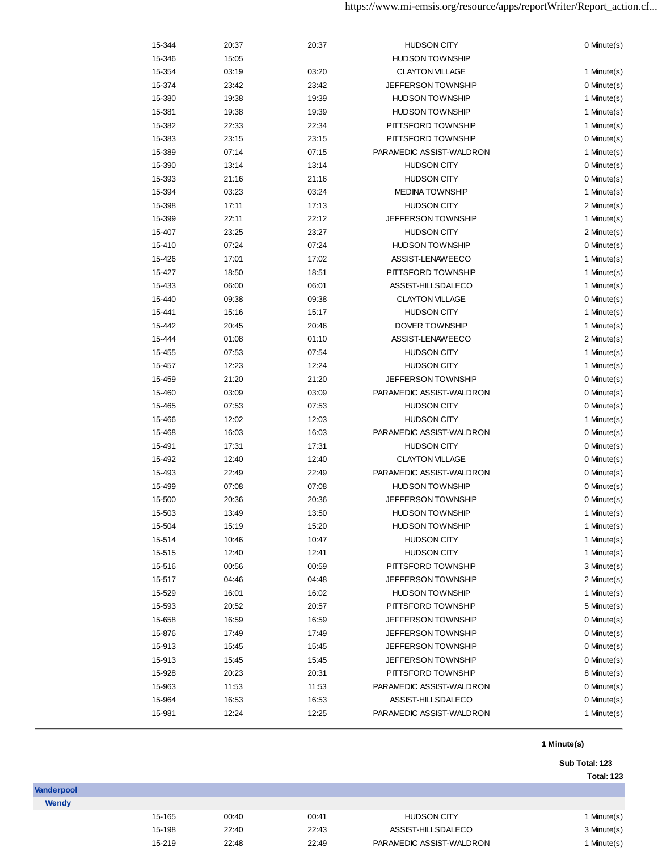| 15-344 | 20:37 | 20:37 | <b>HUDSON CITY</b>        | 0 Minute(s) |
|--------|-------|-------|---------------------------|-------------|
| 15-346 | 15:05 |       | <b>HUDSON TOWNSHIP</b>    |             |
| 15-354 | 03:19 | 03:20 | <b>CLAYTON VILLAGE</b>    | 1 Minute(s) |
| 15-374 | 23:42 | 23:42 | <b>JEFFERSON TOWNSHIP</b> | 0 Minute(s) |
| 15-380 | 19:38 | 19:39 | <b>HUDSON TOWNSHIP</b>    | 1 Minute(s) |
| 15-381 | 19:38 | 19:39 | <b>HUDSON TOWNSHIP</b>    | 1 Minute(s) |
| 15-382 | 22:33 | 22:34 | PITTSFORD TOWNSHIP        | 1 Minute(s) |
| 15-383 | 23:15 | 23:15 | PITTSFORD TOWNSHIP        | 0 Minute(s) |
| 15-389 | 07:14 | 07:15 | PARAMEDIC ASSIST-WALDRON  | 1 Minute(s) |
| 15-390 | 13:14 | 13:14 | <b>HUDSON CITY</b>        | 0 Minute(s) |
| 15-393 | 21:16 | 21:16 | <b>HUDSON CITY</b>        | 0 Minute(s) |
| 15-394 | 03:23 | 03:24 | <b>MEDINA TOWNSHIP</b>    | 1 Minute(s) |
| 15-398 | 17:11 | 17:13 | <b>HUDSON CITY</b>        | 2 Minute(s) |
| 15-399 | 22:11 | 22:12 | <b>JEFFERSON TOWNSHIP</b> | 1 Minute(s) |
| 15-407 | 23:25 | 23:27 | <b>HUDSON CITY</b>        | 2 Minute(s) |
| 15-410 | 07:24 | 07:24 | <b>HUDSON TOWNSHIP</b>    | 0 Minute(s) |
| 15-426 | 17:01 | 17:02 | ASSIST-LENAWEECO          | 1 Minute(s) |
| 15-427 | 18:50 | 18:51 | PITTSFORD TOWNSHIP        | 1 Minute(s) |
| 15-433 | 06:00 | 06:01 | ASSIST-HILLSDALECO        | 1 Minute(s) |
| 15-440 | 09:38 | 09:38 | <b>CLAYTON VILLAGE</b>    | 0 Minute(s) |
| 15-441 | 15:16 | 15:17 | <b>HUDSON CITY</b>        | 1 Minute(s) |
| 15-442 | 20:45 | 20:46 | <b>DOVER TOWNSHIP</b>     | 1 Minute(s) |
| 15-444 | 01:08 | 01:10 | ASSIST-LENAWEECO          | 2 Minute(s) |
| 15-455 | 07:53 | 07:54 | <b>HUDSON CITY</b>        | 1 Minute(s) |
| 15-457 | 12:23 | 12:24 | <b>HUDSON CITY</b>        | 1 Minute(s) |
| 15-459 | 21:20 | 21:20 | <b>JEFFERSON TOWNSHIP</b> | 0 Minute(s) |
| 15-460 | 03:09 | 03:09 | PARAMEDIC ASSIST-WALDRON  | 0 Minute(s) |
| 15-465 | 07:53 | 07:53 | <b>HUDSON CITY</b>        | 0 Minute(s) |
| 15-466 | 12:02 | 12:03 | <b>HUDSON CITY</b>        | 1 Minute(s) |
| 15-468 | 16:03 | 16:03 | PARAMEDIC ASSIST-WALDRON  | 0 Minute(s) |
| 15-491 | 17:31 | 17:31 | <b>HUDSON CITY</b>        | 0 Minute(s) |
| 15-492 | 12:40 | 12:40 | <b>CLAYTON VILLAGE</b>    | 0 Minute(s) |
| 15-493 | 22:49 | 22:49 | PARAMEDIC ASSIST-WALDRON  | 0 Minute(s) |
| 15-499 | 07:08 | 07:08 | <b>HUDSON TOWNSHIP</b>    | 0 Minute(s) |
| 15-500 | 20:36 | 20:36 | JEFFERSON TOWNSHIP        | 0 Minute(s) |
| 15-503 | 13:49 | 13:50 | <b>HUDSON TOWNSHIP</b>    | 1 Minute(s) |
| 15-504 | 15:19 | 15:20 | <b>HUDSON TOWNSHIP</b>    | 1 Minute(s) |
| 15-514 | 10:46 | 10:47 | <b>HUDSON CITY</b>        | 1 Minute(s) |
| 15-515 | 12:40 | 12:41 | <b>HUDSON CITY</b>        | 1 Minute(s) |
| 15-516 | 00:56 | 00:59 | PITTSFORD TOWNSHIP        | 3 Minute(s) |
| 15-517 | 04:46 | 04:48 | JEFFERSON TOWNSHIP        | 2 Minute(s) |
| 15-529 | 16:01 | 16:02 | <b>HUDSON TOWNSHIP</b>    | 1 Minute(s) |
| 15-593 | 20:52 | 20:57 | PITTSFORD TOWNSHIP        | 5 Minute(s) |
| 15-658 | 16:59 | 16:59 | <b>JEFFERSON TOWNSHIP</b> | 0 Minute(s) |
| 15-876 | 17:49 | 17:49 | <b>JEFFERSON TOWNSHIP</b> | 0 Minute(s) |
| 15-913 | 15:45 | 15:45 | <b>JEFFERSON TOWNSHIP</b> | 0 Minute(s) |
| 15-913 | 15:45 | 15:45 | <b>JEFFERSON TOWNSHIP</b> | 0 Minute(s) |
| 15-928 | 20:23 | 20:31 | PITTSFORD TOWNSHIP        | 8 Minute(s) |
| 15-963 | 11:53 | 11:53 | PARAMEDIC ASSIST-WALDRON  | 0 Minute(s) |
| 15-964 | 16:53 | 16:53 | ASSIST-HILLSDALECO        | 0 Minute(s) |
| 15-981 | 12:24 | 12:25 | PARAMEDIC ASSIST-WALDRON  | 1 Minute(s) |
|        |       |       |                           |             |

**Sub Total: 123 Total: 123**

| Wendy |        |       |       |                          |             |
|-------|--------|-------|-------|--------------------------|-------------|
|       | 15-165 | 00:40 | 00:41 | <b>HUDSON CITY</b>       | 1 Minute(s) |
|       | 15-198 | 22:40 | 22:43 | ASSIST-HILLSDALECO       | 3 Minute(s) |
|       | 15-219 | 22:48 | 22:49 | PARAMEDIC ASSIST-WALDRON | 1 Minute(s) |

**Vanderpool**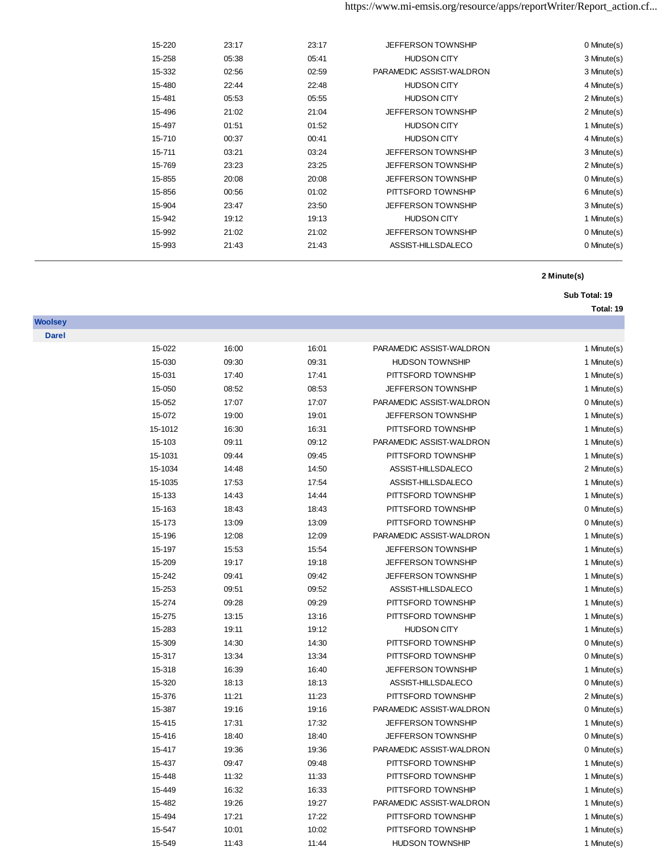| 0 Minute(s) | <b>JEFFERSON TOWNSHIP</b> | 23:17 | 23:17 | 15-220 |  |
|-------------|---------------------------|-------|-------|--------|--|
| 3 Minute(s) | <b>HUDSON CITY</b>        | 05:41 | 05:38 | 15-258 |  |
| 3 Minute(s) | PARAMEDIC ASSIST-WALDRON  | 02:59 | 02:56 | 15-332 |  |
| 4 Minute(s) | <b>HUDSON CITY</b>        | 22:48 | 22:44 | 15-480 |  |
| 2 Minute(s) | <b>HUDSON CITY</b>        | 05:55 | 05:53 | 15-481 |  |
| 2 Minute(s) | <b>JEFFERSON TOWNSHIP</b> | 21:04 | 21:02 | 15-496 |  |
| 1 Minute(s) | <b>HUDSON CITY</b>        | 01:52 | 01:51 | 15-497 |  |
| 4 Minute(s) | <b>HUDSON CITY</b>        | 00:41 | 00:37 | 15-710 |  |
| 3 Minute(s) | <b>JEFFERSON TOWNSHIP</b> | 03:24 | 03:21 | 15-711 |  |
| 2 Minute(s) | <b>JEFFERSON TOWNSHIP</b> | 23:25 | 23:23 | 15-769 |  |
| 0 Minute(s) | <b>JEFFERSON TOWNSHIP</b> | 20:08 | 20:08 | 15-855 |  |
| 6 Minute(s) | PITTSFORD TOWNSHIP        | 01:02 | 00:56 | 15-856 |  |
| 3 Minute(s) | <b>JEFFERSON TOWNSHIP</b> | 23:50 | 23:47 | 15-904 |  |
| 1 Minute(s) | <b>HUDSON CITY</b>        | 19:13 | 19:12 | 15-942 |  |
| 0 Minute(s) | <b>JEFFERSON TOWNSHIP</b> | 21:02 | 21:02 | 15-992 |  |
| 0 Minute(s) | ASSIST-HILLSDALECO        | 21:43 | 21:43 | 15-993 |  |
|             |                           |       |       |        |  |

## **Sub Total: 19**

| loolse |
|--------|
| Darel  |

| 15-022  | 16:00 | 16:01 | PARAMEDIC ASSIST-WALDRON  | 1 Minute(s) |
|---------|-------|-------|---------------------------|-------------|
| 15-030  | 09:30 | 09:31 | <b>HUDSON TOWNSHIP</b>    | 1 Minute(s) |
| 15-031  | 17:40 | 17:41 | PITTSFORD TOWNSHIP        | 1 Minute(s) |
| 15-050  | 08:52 | 08:53 | <b>JEFFERSON TOWNSHIP</b> | 1 Minute(s) |
| 15-052  | 17:07 | 17:07 | PARAMEDIC ASSIST-WALDRON  | 0 Minute(s) |
| 15-072  | 19:00 | 19:01 | <b>JEFFERSON TOWNSHIP</b> | 1 Minute(s) |
| 15-1012 | 16:30 | 16:31 | PITTSFORD TOWNSHIP        | 1 Minute(s) |
| 15-103  | 09:11 | 09:12 | PARAMEDIC ASSIST-WALDRON  | 1 Minute(s) |
| 15-1031 | 09:44 | 09:45 | PITTSFORD TOWNSHIP        | 1 Minute(s) |
| 15-1034 | 14:48 | 14:50 | ASSIST-HILLSDALECO        | 2 Minute(s) |
| 15-1035 | 17:53 | 17:54 | ASSIST-HILLSDALECO        | 1 Minute(s) |
| 15-133  | 14:43 | 14:44 | PITTSFORD TOWNSHIP        | 1 Minute(s) |
| 15-163  | 18:43 | 18:43 | PITTSFORD TOWNSHIP        | 0 Minute(s) |
| 15-173  | 13:09 | 13:09 | PITTSFORD TOWNSHIP        | 0 Minute(s) |
| 15-196  | 12:08 | 12:09 | PARAMEDIC ASSIST-WALDRON  | 1 Minute(s) |
| 15-197  | 15:53 | 15:54 | JEFFERSON TOWNSHIP        | 1 Minute(s) |
| 15-209  | 19:17 | 19:18 | <b>JEFFERSON TOWNSHIP</b> | 1 Minute(s) |
| 15-242  | 09:41 | 09:42 | <b>JEFFERSON TOWNSHIP</b> | 1 Minute(s) |
| 15-253  | 09:51 | 09:52 | ASSIST-HILLSDALECO        | 1 Minute(s) |
| 15-274  | 09:28 | 09:29 | PITTSFORD TOWNSHIP        | 1 Minute(s) |
| 15-275  | 13:15 | 13:16 | PITTSFORD TOWNSHIP        | 1 Minute(s) |
| 15-283  | 19:11 | 19:12 | <b>HUDSON CITY</b>        | 1 Minute(s) |
| 15-309  | 14:30 | 14:30 | PITTSFORD TOWNSHIP        | 0 Minute(s) |
| 15-317  | 13:34 | 13:34 | PITTSFORD TOWNSHIP        | 0 Minute(s) |
| 15-318  | 16:39 | 16:40 | JEFFERSON TOWNSHIP        | 1 Minute(s) |
| 15-320  | 18:13 | 18:13 | ASSIST-HILLSDALECO        | 0 Minute(s) |
| 15-376  | 11:21 | 11:23 | PITTSFORD TOWNSHIP        | 2 Minute(s) |
| 15-387  | 19:16 | 19:16 | PARAMEDIC ASSIST-WALDRON  | 0 Minute(s) |
| 15-415  | 17:31 | 17:32 | <b>JEFFERSON TOWNSHIP</b> | 1 Minute(s) |
| 15-416  | 18:40 | 18:40 | JEFFERSON TOWNSHIP        | 0 Minute(s) |
| 15-417  | 19:36 | 19:36 | PARAMEDIC ASSIST-WALDRON  | 0 Minute(s) |
| 15-437  | 09:47 | 09:48 | PITTSFORD TOWNSHIP        | 1 Minute(s) |
| 15-448  | 11:32 | 11:33 | PITTSFORD TOWNSHIP        | 1 Minute(s) |
| 15-449  | 16:32 | 16:33 | PITTSFORD TOWNSHIP        | 1 Minute(s) |
| 15-482  | 19:26 | 19:27 | PARAMEDIC ASSIST-WALDRON  | 1 Minute(s) |
| 15-494  | 17:21 | 17:22 | PITTSFORD TOWNSHIP        | 1 Minute(s) |
| 15-547  | 10:01 | 10:02 | PITTSFORD TOWNSHIP        | 1 Minute(s) |
| 15-549  | 11:43 | 11:44 | <b>HUDSON TOWNSHIP</b>    | 1 Minute(s) |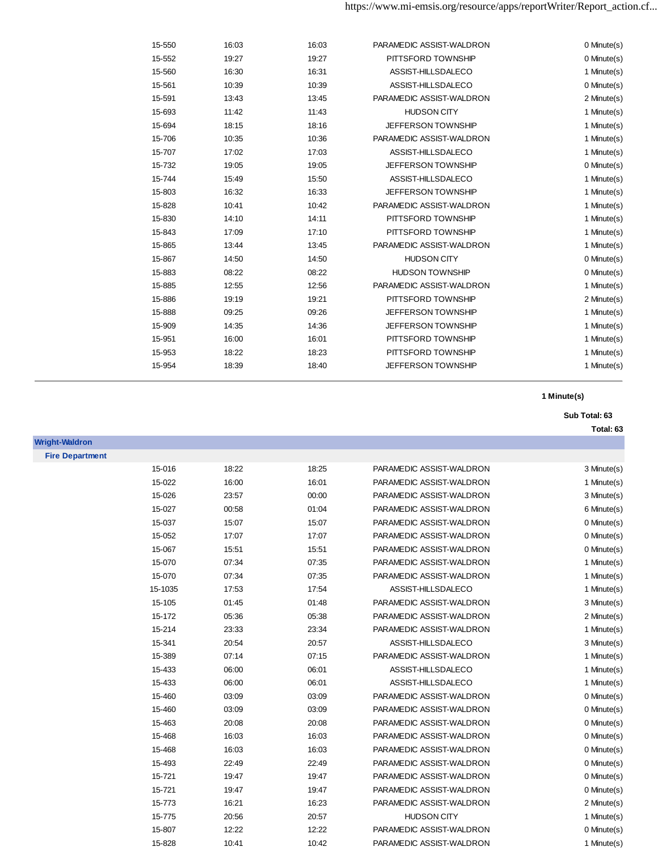| 15-550 | 16:03 | 16:03 | PARAMEDIC ASSIST-WALDRON  | 0 Minute(s) |
|--------|-------|-------|---------------------------|-------------|
| 15-552 | 19:27 | 19:27 | PITTSFORD TOWNSHIP        | 0 Minute(s) |
| 15-560 | 16:30 | 16:31 | ASSIST-HILLSDALECO        | 1 Minute(s) |
| 15-561 | 10:39 | 10:39 | ASSIST-HILLSDALECO        | 0 Minute(s) |
| 15-591 | 13:43 | 13:45 | PARAMEDIC ASSIST-WALDRON  | 2 Minute(s) |
| 15-693 | 11:42 | 11:43 | <b>HUDSON CITY</b>        | 1 Minute(s) |
| 15-694 | 18:15 | 18:16 | JEFFERSON TOWNSHIP        | 1 Minute(s) |
| 15-706 | 10:35 | 10:36 | PARAMEDIC ASSIST-WALDRON  | 1 Minute(s) |
| 15-707 | 17:02 | 17:03 | ASSIST-HILLSDALECO        | 1 Minute(s) |
| 15-732 | 19:05 | 19:05 | JEFFERSON TOWNSHIP        | 0 Minute(s) |
| 15-744 | 15:49 | 15:50 | ASSIST-HILLSDALECO        | 1 Minute(s) |
| 15-803 | 16:32 | 16:33 | JEFFERSON TOWNSHIP        | 1 Minute(s) |
| 15-828 | 10:41 | 10:42 | PARAMEDIC ASSIST-WALDRON  | 1 Minute(s) |
| 15-830 | 14:10 | 14:11 | PITTSFORD TOWNSHIP        | 1 Minute(s) |
| 15-843 | 17:09 | 17:10 | PITTSFORD TOWNSHIP        | 1 Minute(s) |
| 15-865 | 13:44 | 13:45 | PARAMEDIC ASSIST-WALDRON  | 1 Minute(s) |
| 15-867 | 14:50 | 14:50 | <b>HUDSON CITY</b>        | 0 Minute(s) |
| 15-883 | 08:22 | 08:22 | <b>HUDSON TOWNSHIP</b>    | 0 Minute(s) |
| 15-885 | 12:55 | 12:56 | PARAMEDIC ASSIST-WALDRON  | 1 Minute(s) |
| 15-886 | 19:19 | 19:21 | PITTSFORD TOWNSHIP        | 2 Minute(s) |
| 15-888 | 09:25 | 09:26 | <b>JEFFERSON TOWNSHIP</b> | 1 Minute(s) |
| 15-909 | 14:35 | 14:36 | <b>JEFFERSON TOWNSHIP</b> | 1 Minute(s) |
| 15-951 | 16:00 | 16:01 | PITTSFORD TOWNSHIP        | 1 Minute(s) |
| 15-953 | 18:22 | 18:23 | PITTSFORD TOWNSHIP        | 1 Minute(s) |
| 15-954 | 18:39 | 18:40 | <b>JEFFERSON TOWNSHIP</b> | 1 Minute(s) |
|        |       |       |                           |             |

# **Sub Total: 63**

| <b>Wright-Waldron</b>  |
|------------------------|
| <b>Fire Department</b> |

| 15-016<br>15-022<br>15-026<br>15-027 | 18:22<br>16:00<br>23:57 | 18:25<br>16:01<br>00:00 | PARAMEDIC ASSIST-WALDRON<br>PARAMEDIC ASSIST-WALDRON | 3 Minute(s)<br>1 Minute(s) |
|--------------------------------------|-------------------------|-------------------------|------------------------------------------------------|----------------------------|
|                                      |                         |                         |                                                      |                            |
|                                      |                         |                         |                                                      |                            |
|                                      |                         |                         | PARAMEDIC ASSIST-WALDRON                             | 3 Minute(s)                |
|                                      | 00:58                   | 01:04                   | PARAMEDIC ASSIST-WALDRON                             | 6 Minute(s)                |
| 15-037                               | 15:07                   | 15:07                   | PARAMEDIC ASSIST-WALDRON                             | 0 Minute(s)                |
| 15-052                               | 17:07                   | 17:07                   | PARAMEDIC ASSIST-WALDRON                             | 0 Minute(s)                |
| 15-067                               | 15:51                   | 15:51                   | PARAMEDIC ASSIST-WALDRON                             | 0 Minute(s)                |
| 15-070                               | 07:34                   | 07:35                   | PARAMEDIC ASSIST-WALDRON                             | 1 Minute(s)                |
| 15-070                               | 07:34                   | 07:35                   | PARAMEDIC ASSIST-WALDRON                             | 1 Minute(s)                |
| 15-1035                              | 17:53                   | 17:54                   | ASSIST-HILLSDALECO                                   | 1 Minute(s)                |
| 15-105                               | 01:45                   | 01:48                   | PARAMEDIC ASSIST-WALDRON                             | 3 Minute(s)                |
| 15-172                               | 05:36                   | 05:38                   | PARAMEDIC ASSIST-WALDRON                             | 2 Minute(s)                |
| 15-214                               | 23:33                   | 23:34                   | PARAMEDIC ASSIST-WALDRON                             | 1 Minute(s)                |
| 15-341                               | 20:54                   | 20:57                   | ASSIST-HILLSDALECO                                   | 3 Minute(s)                |
| 15-389                               | 07:14                   | 07:15                   | PARAMEDIC ASSIST-WALDRON                             | 1 Minute(s)                |
| 15-433                               | 06:00                   | 06:01                   | ASSIST-HILLSDALECO                                   | 1 Minute(s)                |
| 15-433                               | 06:00                   | 06:01                   | ASSIST-HILLSDALECO                                   | 1 Minute(s)                |
| 15-460                               | 03:09                   | 03:09                   | PARAMEDIC ASSIST-WALDRON                             | 0 Minute(s)                |
| 15-460                               | 03:09                   | 03:09                   | PARAMEDIC ASSIST-WALDRON                             | 0 Minute(s)                |
| 15-463                               | 20:08                   | 20:08                   | PARAMEDIC ASSIST-WALDRON                             | 0 Minute(s)                |
| 15-468                               | 16:03                   | 16:03                   | PARAMEDIC ASSIST-WALDRON                             | 0 Minute(s)                |
| 15-468                               | 16:03                   | 16:03                   | PARAMEDIC ASSIST-WALDRON                             | 0 Minute(s)                |
| 15-493                               | 22:49                   | 22:49                   | PARAMEDIC ASSIST-WALDRON                             | 0 Minute(s)                |
| 15-721                               | 19:47                   | 19:47                   | PARAMEDIC ASSIST-WALDRON                             | 0 Minute(s)                |
| 15-721                               | 19:47                   | 19:47                   | PARAMEDIC ASSIST-WALDRON                             | 0 Minute(s)                |
| 15-773                               | 16:21                   | 16:23                   | PARAMEDIC ASSIST-WALDRON                             | 2 Minute(s)                |
| 15-775                               | 20:56                   | 20:57                   | <b>HUDSON CITY</b>                                   | 1 Minute(s)                |
| 15-807                               | 12:22                   | 12:22                   | PARAMEDIC ASSIST-WALDRON                             | 0 Minute(s)                |
| 15-828                               | 10:41                   | 10:42                   | PARAMEDIC ASSIST-WALDRON                             | 1 Minute(s)                |